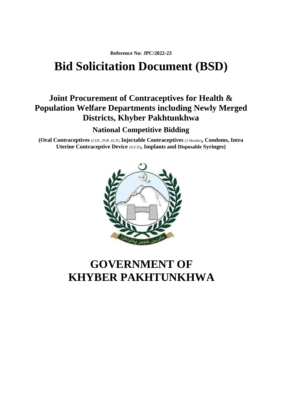**Reference No: JPC/2022-23**

# **Bid Solicitation Document (BSD)**

# **Joint Procurement of Contraceptives for Health & Population Welfare Departments including Newly Merged Districts, Khyber Pakhtunkhwa**

**National Competitive Bidding**

**(Oral Contraceptives** (COC, POP, ECP),**Injectable Contraceptives** (3 Months)**, Condoms, Intra Uterine Contraceptive Device** (IUCD)**, Implants and Disposable Syringes)**



# **GOVERNMENT OF KHYBER PAKHTUNKHWA**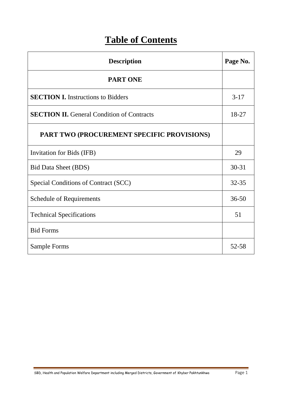# **Table of Contents**

| <b>Description</b>                                |           |  |  |
|---------------------------------------------------|-----------|--|--|
| <b>PART ONE</b>                                   |           |  |  |
| <b>SECTION I.</b> Instructions to Bidders         | $3-17$    |  |  |
| <b>SECTION II.</b> General Condition of Contracts | 18-27     |  |  |
| PART TWO (PROCUREMENT SPECIFIC PROVISIONS)        |           |  |  |
| Invitation for Bids (IFB)                         | 29        |  |  |
| <b>Bid Data Sheet (BDS)</b>                       | $30 - 31$ |  |  |
| Special Conditions of Contract (SCC)              |           |  |  |
| <b>Schedule of Requirements</b>                   | $36 - 50$ |  |  |
| <b>Technical Specifications</b>                   | 51        |  |  |
| <b>Bid Forms</b>                                  |           |  |  |
| Sample Forms                                      | 52-58     |  |  |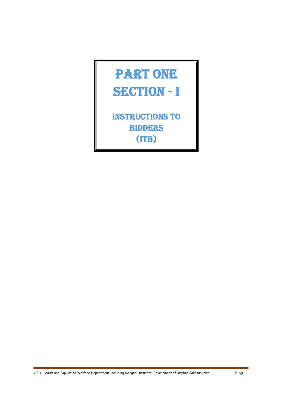# PART ONE SECTION - I

Instructions to **BIDDERS** (ITB)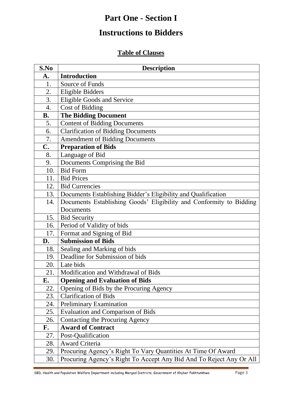# **Part One - Section I**

# **Instructions to Bidders**

### **Table of Clauses**

| S.No      | <b>Description</b>                                                  |
|-----------|---------------------------------------------------------------------|
| A.        | <b>Introduction</b>                                                 |
| 1.        | Source of Funds                                                     |
| 2.        | <b>Eligible Bidders</b>                                             |
| 3.        | <b>Eligible Goods and Service</b>                                   |
| 4.        | Cost of Bidding                                                     |
| <b>B.</b> | <b>The Bidding Document</b>                                         |
| 5.        | <b>Content of Bidding Documents</b>                                 |
| 6.        | <b>Clarification of Bidding Documents</b>                           |
| 7.        | <b>Amendment of Bidding Documents</b>                               |
| C.        | <b>Preparation of Bids</b>                                          |
| 8.        | Language of Bid                                                     |
| 9.        | Documents Comprising the Bid                                        |
| 10.       | <b>Bid Form</b>                                                     |
| 11.       | <b>Bid Prices</b>                                                   |
| 12.       | <b>Bid Currencies</b>                                               |
| 13.       | Documents Establishing Bidder's Eligibility and Qualification       |
| 14.       | Documents Establishing Goods' Eligibility and Conformity to Bidding |
|           | Documents                                                           |
| 15.       | <b>Bid Security</b>                                                 |
| 16.       | Period of Validity of bids                                          |
| 17.       | Format and Signing of Bid                                           |
| D.        | <b>Submission of Bids</b>                                           |
| 18.       | Sealing and Marking of bids                                         |
| 19.       | Deadline for Submission of bids                                     |
| 20.       | Late bids                                                           |
| 21.       | Modification and Withdrawal of Bids                                 |
| E.        | <b>Opening and Evaluation of Bids</b>                               |
| 22.       | Opening of Bids by the Procuring Agency                             |
| 23.       | <b>Clarification of Bids</b>                                        |
| 24.       | <b>Preliminary Examination</b>                                      |
| 25.       | <b>Evaluation and Comparison of Bids</b>                            |
| 26.       | <b>Contacting the Procuring Agency</b>                              |
| F.        | <b>Award of Contract</b>                                            |
| 27.       | Post-Qualification                                                  |
| 28.       | <b>Award Criteria</b>                                               |
| 29.       | Procuring Agency's Right To Vary Quantities At Time Of Award        |
| 30.       | Procuring Agency's Right To Accept Any Bid And To Reject Any Or All |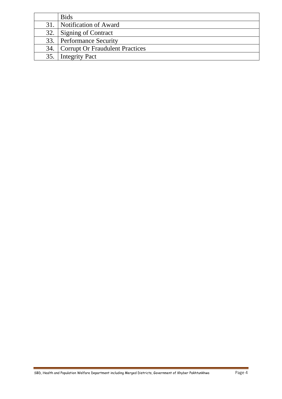|     | <b>Bids</b>                         |
|-----|-------------------------------------|
|     | 31. Notification of Award           |
| 32. | Signing of Contract                 |
|     | 33. Performance Security            |
|     | 34. Corrupt Or Fraudulent Practices |
| 35. | Integrity Pact                      |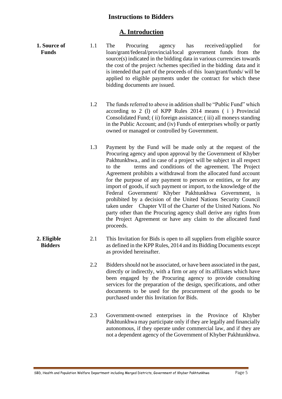#### **Instructions to Bidders**

#### **A. Introduction**

- **1. Source of Funds** 1.1 The Procuring agency has received/applied for loan/grant/federal/provincial/local government funds from the source(s) indicated in the bidding data in various currencies towards the cost of the project /schemes specified in the bidding data and it is intended that part of the proceeds of this loan/grant/funds/ will be applied to eligible payments under the contract for which these bidding documents are issued.
	- 1.2 The funds referred to above in addition shall be "Public Fund" which according to 2 (l) of KPP Rules 2014 means ( i ) Provincial Consolidated Fund; ( ii) foreign assistance; ( iii) all moneys standing in the Public Account; and (iv) Funds of enterprises wholly or partly owned or managed or controlled by Government.
	- 1.3 Payment by the Fund will be made only at the request of the Procuring agency and upon approval by the Government of Khyber Pakhtunkhwa., and in case of a project will be subject in all respect to the terms and conditions of the agreement. The Project Agreement prohibits a withdrawal from the allocated fund account for the purpose of any payment to persons or entities, or for any import of goods, if such payment or import, to the knowledge of the Federal Government/ Khyber Pakhtunkhwa Government, is prohibited by a decision of the United Nations Security Council taken under Chapter VII of the Charter of the United Nations. No party other than the Procuring agency shall derive any rights from the Project Agreement or have any claim to the allocated fund proceeds.
- **2. Eligible Bidders** 2.1 This Invitation for Bids is open to all suppliers from eligible source as defined in the KPP Rules, 2014 and its Bidding Documents except as provided hereinafter.
	- 2.2 Bidders should not be associated, or have been associated in the past, directly or indirectly, with a firm or any of its affiliates which have been engaged by the Procuring agency to provide consulting services for the preparation of the design, specifications, and other documents to be used for the procurement of the goods to be purchased under this Invitation for Bids.
	- 2.3 Government-owned enterprises in the Province of Khyber Pakhtunkhwa may participate only if they are legally and financially autonomous, if they operate under commercial law, and if they are not a dependent agency of the Government of Khyber Pakhtunkhwa.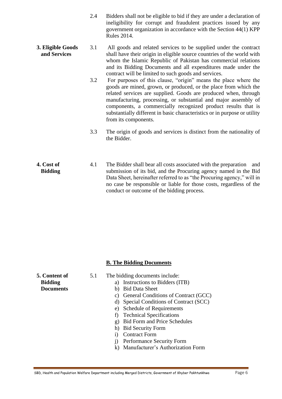- 2.4 Bidders shall not be eligible to bid if they are under a declaration of ineligibility for corrupt and fraudulent practices issued by any government organization in accordance with the Section 44(1) KPP Rules 2014.
- **3. Eligible Goods and Services** 3.1 All goods and related services to be supplied under the contract shall have their origin in eligible source countries of the world with whom the Islamic Republic of Pakistan has commercial relations and its Bidding Documents and all expenditures made under the contract will be limited to such goods and services.
	- 3.2 For purposes of this clause, "origin" means the place where the goods are mined, grown, or produced, or the place from which the related services are supplied. Goods are produced when, through manufacturing, processing, or substantial and major assembly of components, a commercially recognized product results that is substantially different in basic characteristics or in purpose or utility from its components.
	- 3.3 The origin of goods and services is distinct from the nationality of the Bidder.
- **4. Cost of Bidding** 4.1 The Bidder shall bear all costs associated with the preparation and submission of its bid, and the Procuring agency named in the Bid Data Sheet, hereinafter referred to as "the Procuring agency," will in no case be responsible or liable for those costs, regardless of the conduct or outcome of the bidding process.

#### **B. The Bidding Documents**

| <b>5. Content of</b> | 5.1 | The bidding documents include:            |
|----------------------|-----|-------------------------------------------|
| <b>Bidding</b>       |     | a) Instructions to Bidders (ITB)          |
| <b>Documents</b>     |     | <b>Bid Data Sheet</b><br>b)               |
|                      |     | c) General Conditions of Contract (GCC)   |
|                      |     | d) Special Conditions of Contract (SCC)   |
|                      |     | <b>Schedule of Requirements</b><br>e)     |
|                      |     | <b>Technical Specifications</b>           |
|                      |     | <b>Bid Form and Price Schedules</b><br>g) |
|                      |     | h) Bid Security Form                      |
|                      |     | <b>Contract Form</b>                      |
|                      |     | Performance Security Form<br>1)           |
|                      |     | k) Manufacturer's Authorization Form      |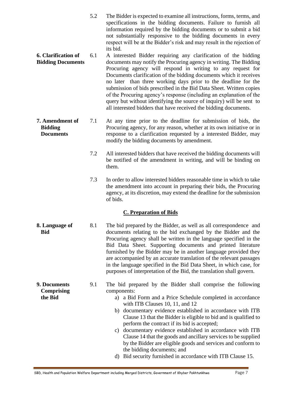- 5.2 The Bidder is expected to examine all instructions, forms, terms, and specifications in the bidding documents. Failure to furnish all information required by the bidding documents or to submit a bid not substantially responsive to the bidding documents in every respect will be at the Bidder's risk and may result in the rejection of its bid.
- **6. Clarification of Bidding Documents** 6.1 A interested Bidder requiring any clarification of the bidding documents may notify the Procuring agency in writing. The Bidding Procuring agency will respond in writing to any request for Documents clarification of the bidding documents which it receives no later than three working days prior to the deadline for the submission of bids prescribed in the Bid Data Sheet. Written copies of the Procuring agency's response (including an explanation of the query but without identifying the source of inquiry) will be sent to all interested bidders that have received the bidding documents.
- **7. Amendment of Bidding Documents** 7.1 At any time prior to the deadline for submission of bids, the Procuring agency, for any reason, whether at its own initiative or in response to a clarification requested by a interested Bidder, may modify the bidding documents by amendment.
	- 7.2 All interested bidders that have received the bidding documents will be notified of the amendment in writing, and will be binding on them.
	- 7.3 In order to allow interested bidders reasonable time in which to take the amendment into account in preparing their bids, the Procuring agency, at its discretion, may extend the deadline for the submission of bids.

#### **C. Preparation of Bids**

- **8. Language of Bid** 8.1 The bid prepared by the Bidder, as well as all correspondence and documents relating to the bid exchanged by the Bidder and the Procuring agency shall be written in the language specified in the Bid Data Sheet. Supporting documents and printed literature furnished by the Bidder may be in another language provided they are accompanied by an accurate translation of the relevant passages in the language specified in the Bid Data Sheet, in which case, for purposes of interpretation of the Bid, the translation shall govern.
	- 9.1 The bid prepared by the Bidder shall comprise the following components:
		- a) a Bid Form and a Price Schedule completed in accordance with ITB Clauses 10, 11, and 12
		- b) documentary evidence established in accordance with ITB Clause 13 that the Bidder is eligible to bid and is qualified to perform the contract if its bid is accepted;
		- c) documentary evidence established in accordance with ITB Clause 14 that the goods and ancillary services to be supplied by the Bidder are eligible goods and services and conform to the bidding documents; and
		- d) Bid security furnished in accordance with ITB Clause 15.
- **9. Documents Comprising the Bid**
- 
-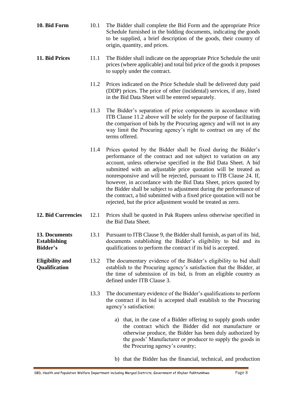| 10. Bid Form                                            | 10.1 | The Bidder shall complete the Bid Form and the appropriate Price<br>Schedule furnished in the bidding documents, indicating the goods<br>to be supplied, a brief description of the goods, their country of<br>origin, quantity, and prices.                                                                                                                                                                                                                                                                                                                                                                                        |
|---------------------------------------------------------|------|-------------------------------------------------------------------------------------------------------------------------------------------------------------------------------------------------------------------------------------------------------------------------------------------------------------------------------------------------------------------------------------------------------------------------------------------------------------------------------------------------------------------------------------------------------------------------------------------------------------------------------------|
| 11. Bid Prices                                          | 11.1 | The Bidder shall indicate on the appropriate Price Schedule the unit<br>prices (where applicable) and total bid price of the goods it proposes<br>to supply under the contract.                                                                                                                                                                                                                                                                                                                                                                                                                                                     |
|                                                         | 11.2 | Prices indicated on the Price Schedule shall be delivered duty paid<br>(DDP) prices. The price of other (incidental) services, if any, listed<br>in the Bid Data Sheet will be entered separately.                                                                                                                                                                                                                                                                                                                                                                                                                                  |
|                                                         | 11.3 | The Bidder's separation of price components in accordance with<br>ITB Clause 11.2 above will be solely for the purpose of facilitating<br>the comparison of bids by the Procuring agency and will not in any<br>way limit the Procuring agency's right to contract on any of the<br>terms offered.                                                                                                                                                                                                                                                                                                                                  |
|                                                         | 11.4 | Prices quoted by the Bidder shall be fixed during the Bidder's<br>performance of the contract and not subject to variation on any<br>account, unless otherwise specified in the Bid Data Sheet. A bid<br>submitted with an adjustable price quotation will be treated as<br>nonresponsive and will be rejected, pursuant to ITB Clause 24. If,<br>however, in accordance with the Bid Data Sheet, prices quoted by<br>the Bidder shall be subject to adjustment during the performance of<br>the contract, a bid submitted with a fixed price quotation will not be<br>rejected, but the price adjustment would be treated as zero. |
| <b>12. Bid Currencies</b>                               | 12.1 | Prices shall be quoted in Pak Rupees unless otherwise specified in<br>the Bid Data Sheet.                                                                                                                                                                                                                                                                                                                                                                                                                                                                                                                                           |
| 13. Documents<br><b>Establishing</b><br><b>Bidder's</b> |      | 13.1 Pursuant to ITB Clause 9, the Bidder shall furnish, as part of its bid,<br>documents establishing the Bidder's eligibility to bid and its<br>qualifications to perform the contract if its bid is accepted.                                                                                                                                                                                                                                                                                                                                                                                                                    |
| <b>Eligibility and</b><br>Qualification                 | 13.2 | The documentary evidence of the Bidder's eligibility to bid shall<br>establish to the Procuring agency's satisfaction that the Bidder, at<br>the time of submission of its bid, is from an eligible country as<br>defined under ITB Clause 3.                                                                                                                                                                                                                                                                                                                                                                                       |
|                                                         | 13.3 | The documentary evidence of the Bidder's qualifications to perform<br>the contract if its bid is accepted shall establish to the Procuring<br>agency's satisfaction:                                                                                                                                                                                                                                                                                                                                                                                                                                                                |
|                                                         |      | a) that, in the case of a Bidder offering to supply goods under<br>the contract which the Bidder did not manufacture or<br>otherwise produce, the Bidder has been duly authorized by<br>the goods' Manufacturer or producer to supply the goods in<br>the Procuring agency's country;                                                                                                                                                                                                                                                                                                                                               |
|                                                         |      | b) that the Bidder has the financial, technical, and production                                                                                                                                                                                                                                                                                                                                                                                                                                                                                                                                                                     |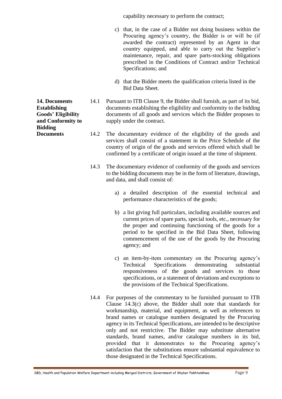capability necessary to perform the contract;

- c) that, in the case of a Bidder not doing business within the Procuring agency's country, the Bidder is or will be (if awarded the contract) represented by an Agent in that country equipped, and able to carry out the Supplier's maintenance, repair, and spare parts-stocking obligations prescribed in the Conditions of Contract and/or Technical Specifications; and
- d) that the Bidder meets the qualification criteria listed in the Bid Data Sheet.

14.1 Pursuant to ITB Clause 9, the Bidder shall furnish, as part of its bid, documents establishing the eligibility and conformity to the bidding documents of all goods and services which the Bidder proposes to supply under the contract.

- 14.2 The documentary evidence of the eligibility of the goods and services shall consist of a statement in the Price Schedule of the country of origin of the goods and services offered which shall be confirmed by a certificate of origin issued at the time of shipment.
- 14.3 The documentary evidence of conformity of the goods and services to the bidding documents may be in the form of literature, drawings, and data, and shall consist of:
	- a) a detailed description of the essential technical and performance characteristics of the goods;
	- b) a list giving full particulars, including available sources and current prices of spare parts, special tools, etc., necessary for the proper and continuing functioning of the goods for a period to be specified in the Bid Data Sheet, following commencement of the use of the goods by the Procuring agency; and
	- c) an item-by-item commentary on the Procuring agency's Technical Specifications demonstrating substantial responsiveness of the goods and services to those specifications, or a statement of deviations and exceptions to the provisions of the Technical Specifications.
- 14.4 For purposes of the commentary to be furnished pursuant to ITB Clause 14.3(c) above, the Bidder shall note that standards for workmanship, material, and equipment, as well as references to brand names or catalogue numbers designated by the Procuring agency in its Technical Specifications, are intended to be descriptive only and not restrictive. The Bidder may substitute alternative standards, brand names, and/or catalogue numbers in its bid, provided that it demonstrates to the Procuring agency's satisfaction that the substitutions ensure substantial equivalence to those designated in the Technical Specifications.

**14. Documents Establishing Goods' Eligibility and Conformity to Bidding Documents**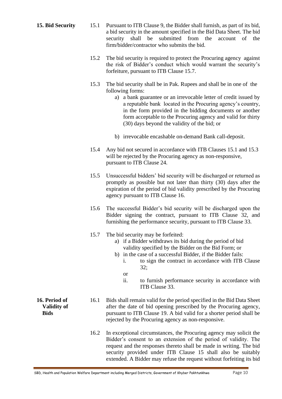- **15. Bid Security** 15.1 Pursuant to ITB Clause 9, the Bidder shall furnish, as part of its bid, a bid security in the amount specified in the Bid Data Sheet. The bid security shall be submitted from the account of the firm/bidder/contractor who submits the bid.
	- 15.2 The bid security is required to protect the Procuring agency against the risk of Bidder's conduct which would warrant the security's forfeiture, pursuant to ITB Clause 15.7.
	- 15.3 The bid security shall be in Pak. Rupees and shall be in one of the following forms:
		- a) a bank guarantee or an irrevocable letter of credit issued by a reputable bank located in the Procuring agency's country, in the form provided in the bidding documents or another form acceptable to the Procuring agency and valid for thirty (30) days beyond the validity of the bid; or
		- b) irrevocable encashable on-demand Bank call-deposit.
	- 15.4 Any bid not secured in accordance with ITB Clauses 15.1 and 15.3 will be rejected by the Procuring agency as non-responsive, pursuant to ITB Clause 24.
	- 15.5 Unsuccessful bidders' bid security will be discharged or returned as promptly as possible but not later than thirty (30) days after the expiration of the period of bid validity prescribed by the Procuring agency pursuant to ITB Clause 16.
	- 15.6 The successful Bidder's bid security will be discharged upon the Bidder signing the contract, pursuant to ITB Clause 32, and furnishing the performance security, pursuant to ITB Clause 33.
	- 15.7 The bid security may be forfeited:
		- a) if a Bidder withdraws its bid during the period of bid validity specified by the Bidder on the Bid Form; or
		- b) in the case of a successful Bidder, if the Bidder fails:
			- i. to sign the contract in accordance with ITB Clause 32;
			- or
			- ii. to furnish performance security in accordance with ITB Clause 33.
	- 16.1 Bids shall remain valid for the period specified in the Bid Data Sheet after the date of bid opening prescribed by the Procuring agency, pursuant to ITB Clause 19. A bid valid for a shorter period shall be rejected by the Procuring agency as non-responsive.
		- 16.2 In exceptional circumstances, the Procuring agency may solicit the Bidder's consent to an extension of the period of validity. The request and the responses thereto shall be made in writing. The bid security provided under ITB Clause 15 shall also be suitably extended. A Bidder may refuse the request without forfeiting its bid

**16. Period of Validity of Bids**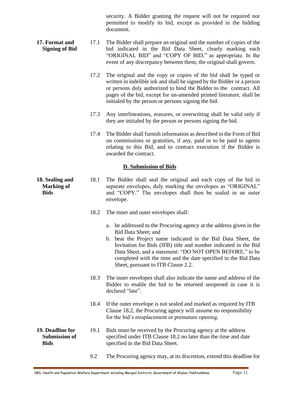security. A Bidder granting the request will not be required nor permitted to modify its bid, except as provided in the bidding document.

- **17. Format and Signing of Bid** 17.1 The Bidder shall prepare an original and the number of copies of the bid indicated in the Bid Data Sheet, clearly marking each "ORIGINAL BID" and "COPY OF BID," as appropriate. In the event of any discrepancy between them, the original shall govern.
	- 17.2 The original and the copy or copies of the bid shall be typed or written in indelible ink and shall be signed by the Bidder or a person or persons duly authorized to bind the Bidder to the contract. All pages of the bid, except for un-amended printed literature, shall be initialed by the person or persons signing the bid.
	- 17.3 Any interlineations, erasures, or overwriting shall be valid only if they are initialed by the person or persons signing the bid.
	- 17.4 The Bidder shall furnish information as described in the Form of Bid on commissions or gratuities, if any, paid or to be paid to agents relating to this Bid, and to contract execution if the Bidder is awarded the contract.

#### **D. Submission of Bids**

- **18. Sealing and Marking of Bids** 18.1 The Bidder shall seal the original and each copy of the bid in separate envelopes, duly marking the envelopes as "ORIGINAL" and "COPY." The envelopes shall then be sealed in an outer envelope.
	- 18.2 The inner and outer envelopes shall:
		- a. be addressed to the Procuring agency at the address given in the Bid Data Sheet; and
		- b. bear the Project name indicated in the Bid Data Sheet, the Invitation for Bids (IFB) title and number indicated in the Bid Data Sheet, and a statement: "DO NOT OPEN BEFORE," to be completed with the time and the date specified in the Bid Data Sheet, pursuant to ITB Clause 2.2.
	- 18.3 The inner envelopes shall also indicate the name and address of the Bidder to enable the bid to be returned unopened in case it is declared "late".
	- 18.4 If the outer envelope is not sealed and marked as required by ITB Clause 18.2, the Procuring agency will assume no responsibility for the bid's misplacement or premature opening.
- **19. Deadline for Submission of Bids** 19.1 Bids must be received by the Procuring agency at the address specified under ITB Clause 18.2 no later than the time and date specified in the Bid Data Sheet.
	- 9.2 The Procuring agency may, at its discretion, extend this deadline for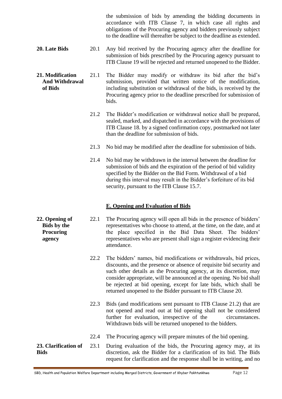the submission of bids by amending the bidding documents in accordance with ITB Clause 7, in which case all rights and obligations of the Procuring agency and bidders previously subject to the deadline will thereafter be subject to the deadline as extended.

- **20. Late Bids** 20.1 Any bid received by the Procuring agency after the deadline for submission of bids prescribed by the Procuring agency pursuant to ITB Clause 19 will be rejected and returned unopened to the Bidder.
- **21. Modification And Withdrawal of Bids** 21.1 The Bidder may modify or withdraw its bid after the bid's submission, provided that written notice of the modification, including substitution or withdrawal of the bids, is received by the Procuring agency prior to the deadline prescribed for submission of bids.
	- 21.2 The Bidder's modification or withdrawal notice shall be prepared, sealed, marked, and dispatched in accordance with the provisions of ITB Clause 18. by a signed confirmation copy, postmarked not later than the deadline for submission of bids.
	- 21.3 No bid may be modified after the deadline for submission of bids.
	- 21.4 No bid may be withdrawn in the interval between the deadline for submission of bids and the expiration of the period of bid validity specified by the Bidder on the Bid Form. Withdrawal of a bid during this interval may result in the Bidder's forfeiture of its bid security, pursuant to the ITB Clause 15.7.

#### **E. Opening and Evaluation of Bids**

- **22. Opening of Bids by the Procuring agency** 22.1 The Procuring agency will open all bids in the presence of bidders' representatives who choose to attend, at the time, on the date, and at the place specified in the Bid Data Sheet. The bidders' representatives who are present shall sign a register evidencing their attendance.
	- 22.2 The bidders' names, bid modifications or withdrawals, bid prices, discounts, and the presence or absence of requisite bid security and such other details as the Procuring agency, at its discretion, may consider appropriate, will be announced at the opening. No bid shall be rejected at bid opening, except for late bids, which shall be returned unopened to the Bidder pursuant to ITB Clause 20.
	- 22.3 Bids (and modifications sent pursuant to ITB Clause 21.2) that are not opened and read out at bid opening shall not be considered further for evaluation, irrespective of the circumstances. Withdrawn bids will be returned unopened to the bidders.
	- 22.4 The Procuring agency will prepare minutes of the bid opening.
- **23. Clarification of Bids** 23.1 During evaluation of the bids, the Procuring agency may, at its discretion, ask the Bidder for a clarification of its bid. The Bids request for clarification and the response shall be in writing, and no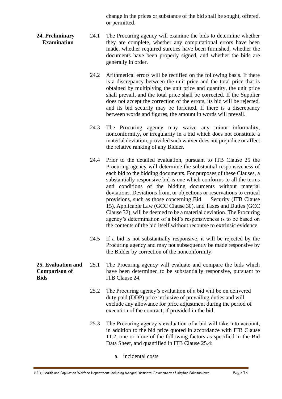change in the prices or substance of the bid shall be sought, offered, or permitted.

- **24. Preliminary Examination** 24.1 The Procuring agency will examine the bids to determine whether they are complete, whether any computational errors have been made, whether required sureties have been furnished, whether the documents have been properly signed, and whether the bids are generally in order.
	- 24.2 Arithmetical errors will be rectified on the following basis. If there is a discrepancy between the unit price and the total price that is obtained by multiplying the unit price and quantity, the unit price shall prevail, and the total price shall be corrected. If the Supplier does not accept the correction of the errors, its bid will be rejected, and its bid security may be forfeited. If there is a discrepancy between words and figures, the amount in words will prevail.
	- 24.3 The Procuring agency may waive any minor informality, nonconformity, or irregularity in a bid which does not constitute a material deviation, provided such waiver does not prejudice or affect the relative ranking of any Bidder.
	- 24.4 Prior to the detailed evaluation, pursuant to ITB Clause 25 the Procuring agency will determine the substantial responsiveness of each bid to the bidding documents. For purposes of these Clauses, a substantially responsive bid is one which conforms to all the terms and conditions of the bidding documents without material deviations. Deviations from, or objections or reservations to critical provisions, such as those concerning Bid Security (ITB Clause 15), Applicable Law (GCC Clause 30), and Taxes and Duties (GCC Clause 32), will be deemed to be a material deviation. The Procuring agency's determination of a bid's responsiveness is to be based on the contents of the bid itself without recourse to extrinsic evidence.
	- 24.5 If a bid is not substantially responsive, it will be rejected by the Procuring agency and may not subsequently be made responsive by the Bidder by correction of the nonconformity.
	- 25.1 The Procuring agency will evaluate and compare the bids which have been determined to be substantially responsive, pursuant to ITB Clause 24.
		- 25.2 The Procuring agency's evaluation of a bid will be on delivered duty paid (DDP) price inclusive of prevailing duties and will exclude any allowance for price adjustment during the period of execution of the contract, if provided in the bid.
		- 25.3 The Procuring agency's evaluation of a bid will take into account, in addition to the bid price quoted in accordance with ITB Clause 11.2, one or more of the following factors as specified in the Bid Data Sheet, and quantified in ITB Clause 25.4:

a. incidental costs

**25. Evaluation and Comparison of Bids**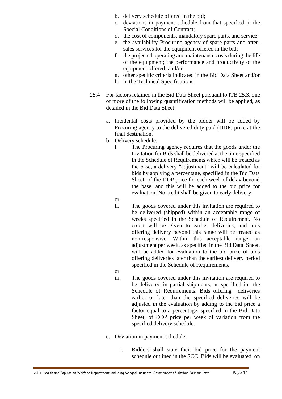- b. delivery schedule offered in the bid;
- c. deviations in payment schedule from that specified in the Special Conditions of Contract;
- d. the cost of components, mandatory spare parts, and service;
- e. the availability Procuring agency of spare parts and aftersales services for the equipment offered in the bid;
- f. the projected operating and maintenance costs during the life of the equipment; the performance and productivity of the equipment offered; and/or
- g. other specific criteria indicated in the Bid Data Sheet and/or
- h. in the Technical Specifications.
- 25.4 For factors retained in the Bid Data Sheet pursuant to ITB 25.3, one or more of the following quantification methods will be applied, as detailed in the Bid Data Sheet:
	- a. Incidental costs provided by the bidder will be added by Procuring agency to the delivered duty paid (DDP) price at the final destination.
	- b. Delivery schedule.
		- i. The Procuring agency requires that the goods under the Invitation for Bids shall be delivered at the time specified in the Schedule of Requirements which will be treated as the base, a delivery "adjustment" will be calculated for bids by applying a percentage, specified in the Bid Data Sheet, of the DDP price for each week of delay beyond the base, and this will be added to the bid price for evaluation. No credit shall be given to early delivery.
		- or
		- ii. The goods covered under this invitation are required to be delivered (shipped) within an acceptable range of weeks specified in the Schedule of Requirement. No credit will be given to earlier deliveries, and bids offering delivery beyond this range will be treated as non-responsive. Within this acceptable range, an adjustment per week, as specified in the Bid Data Sheet, will be added for evaluation to the bid price of bids offering deliveries later than the earliest delivery period specified in the Schedule of Requirements.
		- or
		- iii. The goods covered under this invitation are required to be delivered in partial shipments, as specified in the Schedule of Requirements. Bids offering deliveries earlier or later than the specified deliveries will be adjusted in the evaluation by adding to the bid price a factor equal to a percentage, specified in the Bid Data Sheet, of DDP price per week of variation from the specified delivery schedule.
	- c. Deviation in payment schedule:
		- i. Bidders shall state their bid price for the payment schedule outlined in the SCC. Bids will be evaluated on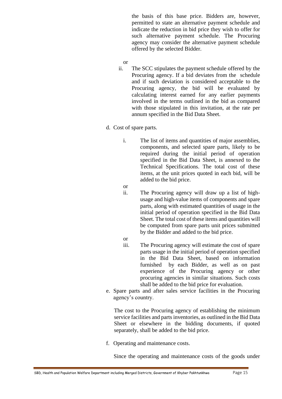the basis of this base price. Bidders are, however, permitted to state an alternative payment schedule and indicate the reduction in bid price they wish to offer for such alternative payment schedule. The Procuring agency may consider the alternative payment schedule offered by the selected Bidder.

- or
- ii. The SCC stipulates the payment schedule offered by the Procuring agency. If a bid deviates from the schedule and if such deviation is considered acceptable to the Procuring agency, the bid will be evaluated by calculating interest earned for any earlier payments involved in the terms outlined in the bid as compared with those stipulated in this invitation, at the rate per annum specified in the Bid Data Sheet.
- d. Cost of spare parts.
	- i. The list of items and quantities of major assemblies, components, and selected spare parts, likely to be required during the initial period of operation specified in the Bid Data Sheet, is annexed to the Technical Specifications. The total cost of these items, at the unit prices quoted in each bid, will be added to the bid price.
	- or
	- ii. The Procuring agency will draw up a list of highusage and high-value items of components and spare parts, along with estimated quantities of usage in the initial period of operation specified in the Bid Data Sheet. The total cost of these items and quantities will be computed from spare parts unit prices submitted by the Bidder and added to the bid price.
	- or
	- iii. The Procuring agency will estimate the cost of spare parts usage in the initial period of operation specified in the Bid Data Sheet, based on information furnished by each Bidder, as well as on past experience of the Procuring agency or other procuring agencies in similar situations. Such costs shall be added to the bid price for evaluation.
- e. Spare parts and after sales service facilities in the Procuring agency's country.

The cost to the Procuring agency of establishing the minimum service facilities and parts inventories, as outlined in the Bid Data Sheet or elsewhere in the bidding documents, if quoted separately, shall be added to the bid price.

f. Operating and maintenance costs.

Since the operating and maintenance costs of the goods under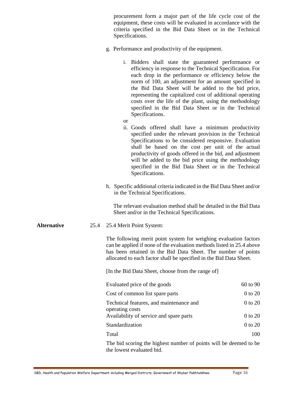procurement form a major part of the life cycle cost of the equipment, these costs will be evaluated in accordance with the criteria specified in the Bid Data Sheet or in the Technical Specifications.

- g. Performance and productivity of the equipment.
	- i. Bidders shall state the guaranteed performance or efficiency in response to the Technical Specification. For each drop in the performance or efficiency below the norm of 100, an adjustment for an amount specified in the Bid Data Sheet will be added to the bid price, representing the capitalized cost of additional operating costs over the life of the plant, using the methodology specified in the Bid Data Sheet or in the Technical Specifications.
	- or
	- ii. Goods offered shall have a minimum productivity specified under the relevant provision in the Technical Specifications to be considered responsive. Evaluation shall be based on the cost per unit of the actual productivity of goods offered in the bid, and adjustment will be added to the bid price using the methodology specified in the Bid Data Sheet or in the Technical Specifications.
- h. Specific additional criteria indicated in the Bid Data Sheet and/or in the Technical Specifications.

The relevant evaluation method shall be detailed in the Bid Data Sheet and/or in the Technical Specifications.

**Alternative** 25.4 25.4 Merit Point System:

The following merit point system for weighing evaluation factors can be applied if none of the evaluation methods listed in 25.4 above has been retained in the Bid Data Sheet. The number of points allocated to each factor shall be specified in the Bid Data Sheet.

[In the Bid Data Sheet, choose from the range of]

| Evaluated price of the goods                               | $60 \text{ to } 90$ |
|------------------------------------------------------------|---------------------|
| Cost of common list spare parts                            | 0 to 20             |
| Technical features, and maintenance and<br>operating costs | 0 to 20             |
| Availability of service and spare parts                    | 0 to 20             |
| Standardization                                            | 0 to 20             |
| Total                                                      |                     |
|                                                            |                     |

The bid scoring the highest number of points will be deemed to be the lowest evaluated bid.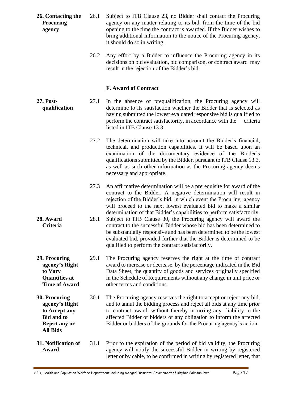- **26. Contacting the Procuring agency** 26.1 Subject to ITB Clause 23, no Bidder shall contact the Procuring agency on any matter relating to its bid, from the time of the bid opening to the time the contract is awarded. If the Bidder wishes to bring additional information to the notice of the Procuring agency, it should do so in writing.
	- 26.2 Any effort by a Bidder to influence the Procuring agency in its decisions on bid evaluation, bid comparison, or contract award may result in the rejection of the Bidder's bid.

#### **F. Award of Contract**

- **27. Post qualification** 27.1 In the absence of prequalification, the Procuring agency will determine to its satisfaction whether the Bidder that is selected as having submitted the lowest evaluated responsive bid is qualified to perform the contract satisfactorily, in accordance with the criteria listed in ITB Clause 13.3.
	- 27.2 The determination will take into account the Bidder's financial, technical, and production capabilities. It will be based upon an examination of the documentary evidence of the Bidder's qualifications submitted by the Bidder, pursuant to ITB Clause 13.3, as well as such other information as the Procuring agency deems necessary and appropriate.
	- 27.3 An affirmative determination will be a prerequisite for award of the contract to the Bidder. A negative determination will result in rejection of the Bidder's bid, in which event the Procuring agency will proceed to the next lowest evaluated bid to make a similar determination of that Bidder's capabilities to perform satisfactorily.
	- 28.1 Subject to ITB Clause 30, the Procuring agency will award the contract to the successful Bidder whose bid has been determined to be substantially responsive and has been determined to be the lowest evaluated bid, provided further that the Bidder is determined to be qualified to perform the contract satisfactorily.
	- 29.1 The Procuring agency reserves the right at the time of contract award to increase or decrease, by the percentage indicated in the Bid Data Sheet, the quantity of goods and services originally specified in the Schedule of Requirements without any change in unit price or other terms and conditions.
	- 30.1 The Procuring agency reserves the right to accept or reject any bid, and to annul the bidding process and reject all bids at any time prior to contract award, without thereby incurring any liability to the affected Bidder or bidders or any obligation to inform the affected Bidder or bidders of the grounds for the Procuring agency's action.
- **31. Notification of Award** 31.1 Prior to the expiration of the period of bid validity, the Procuring agency will notify the successful Bidder in writing by registered letter or by cable, to be confirmed in writing by registered letter, that

**28. Award Criteria**

**29. Procuring agency's Right to Vary Quantities at Time of Award**

**30. Procuring agency's Right to Accept any Bid and to Reject any or All Bids**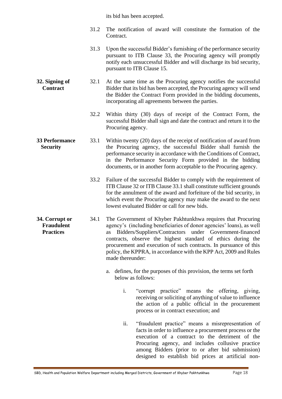its bid has been accepted.

- 31.2 The notification of award will constitute the formation of the Contract.
- 31.3 Upon the successful Bidder's furnishing of the performance security pursuant to ITB Clause 33, the Procuring agency will promptly notify each unsuccessful Bidder and will discharge its bid security, pursuant to ITB Clause 15.
- **32. Signing of Contract** 32.1 At the same time as the Procuring agency notifies the successful Bidder that its bid has been accepted, the Procuring agency will send the Bidder the Contract Form provided in the bidding documents, incorporating all agreements between the parties.
	- 32.2 Within thirty (30) days of receipt of the Contract Form, the successful Bidder shall sign and date the contract and return it to the Procuring agency.
- **33 Performance Security** 33.1 Within twenty (20) days of the receipt of notification of award from the Procuring agency, the successful Bidder shall furnish the performance security in accordance with the Conditions of Contract, in the Performance Security Form provided in the bidding documents, or in another form acceptable to the Procuring agency.
	- 33.2 Failure of the successful Bidder to comply with the requirement of ITB Clause 32 or ITB Clause 33.1 shall constitute sufficient grounds for the annulment of the award and forfeiture of the bid security, in which event the Procuring agency may make the award to the next lowest evaluated Bidder or call for new bids.
- **34. Corrupt or Fraudulent Practices** 34.1 The Government of Khyber Pakhtunkhwa requires that Procuring agency's (including beneficiaries of donor agencies' loans), as well as Bidders/Suppliers/Contractors under Government-financed contracts, observe the highest standard of ethics during the procurement and execution of such contracts. In pursuance of this policy, the KPPRA, in accordance with the KPP Act, 2009 and Rules made thereunder:
	- a. defines, for the purposes of this provision, the terms set forth below as follows:
		- i. "corrupt practice" means the offering, giving, receiving or soliciting of anything of value to influence the action of a public official in the procurement process or in contract execution; and
		- ii. "fraudulent practice" means a misrepresentation of facts in order to influence a procurement process or the execution of a contract to the detriment of the Procuring agency, and includes collusive practice among Bidders (prior to or after bid submission) designed to establish bid prices at artificial non-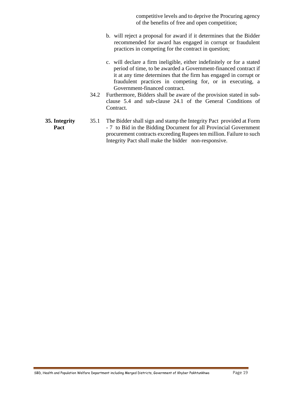competitive levels and to deprive the Procuring agency of the benefits of free and open competition;

- b. will reject a proposal for award if it determines that the Bidder recommended for award has engaged in corrupt or fraudulent practices in competing for the contract in question;
- c. will declare a firm ineligible, either indefinitely or for a stated period of time, to be awarded a Government-financed contract if it at any time determines that the firm has engaged in corrupt or fraudulent practices in competing for, or in executing, a Government-financed contract.
- 34.2 Furthermore, Bidders shall be aware of the provision stated in subclause 5.4 and sub-clause 24.1 of the General Conditions of Contract.
- **35. Integrity**  35.1 The Bidder shall sign and stamp the Integrity Pact provided at Form - 7 to Bid in the Bidding Document for all Provincial Government procurement contracts exceeding Rupees ten million. Failure to such Integrity Pact shall make the bidder non-responsive.

**Pact**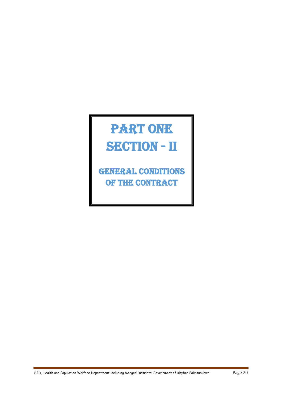# PART ONE SECTION - II

**GENERAL CONDITIONS** of the contract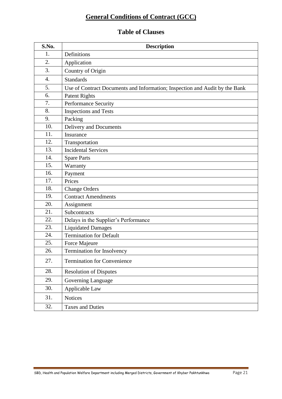## **General Conditions of Contract (GCC)**

### **Table of Clauses**

| S.No. | <b>Description</b>                                                          |
|-------|-----------------------------------------------------------------------------|
| 1.    | Definitions                                                                 |
| 2.    | Application                                                                 |
| 3.    | Country of Origin                                                           |
| 4.    | <b>Standards</b>                                                            |
| 5.    | Use of Contract Documents and Information; Inspection and Audit by the Bank |
| 6.    | <b>Patent Rights</b>                                                        |
| 7.    | Performance Security                                                        |
| 8.    | <b>Inspections and Tests</b>                                                |
| 9.    | Packing                                                                     |
| 10.   | Delivery and Documents                                                      |
| 11.   | Insurance                                                                   |
| 12.   | Transportation                                                              |
| 13.   | <b>Incidental Services</b>                                                  |
| 14.   | <b>Spare Parts</b>                                                          |
| 15.   | Warranty                                                                    |
| 16.   | Payment                                                                     |
| 17.   | Prices                                                                      |
| 18.   | <b>Change Orders</b>                                                        |
| 19.   | <b>Contract Amendments</b>                                                  |
| 20.   | Assignment                                                                  |
| 21.   | Subcontracts                                                                |
| 22.   | Delays in the Supplier's Performance                                        |
| 23.   | <b>Liquidated Damages</b>                                                   |
| 24.   | <b>Termination for Default</b>                                              |
| 25.   | Force Majeure                                                               |
| 26.   | Termination for Insolvency                                                  |
| 27.   | <b>Termination for Convenience</b>                                          |
| 28.   | <b>Resolution of Disputes</b>                                               |
| 29.   | Governing Language                                                          |
| 30.   | Applicable Law                                                              |
| 31.   | <b>Notices</b>                                                              |
| 32.   | <b>Taxes and Duties</b>                                                     |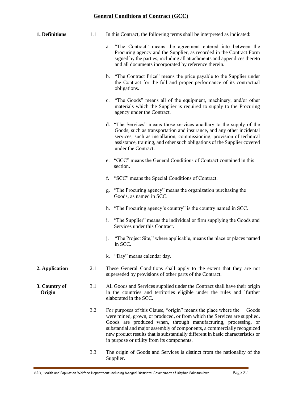#### **General Conditions of Contract (GCC)**

| 1. Definitions          | 1.1 | In this Contract, the following terms shall be interpreted as indicated:                                                                                                                                                                                                                                                                                                                                                           |
|-------------------------|-----|------------------------------------------------------------------------------------------------------------------------------------------------------------------------------------------------------------------------------------------------------------------------------------------------------------------------------------------------------------------------------------------------------------------------------------|
|                         |     | "The Contract" means the agreement entered into between the<br>a.<br>Procuring agency and the Supplier, as recorded in the Contract Form<br>signed by the parties, including all attachments and appendices thereto<br>and all documents incorporated by reference therein.                                                                                                                                                        |
|                         |     | "The Contract Price" means the price payable to the Supplier under<br>b.<br>the Contract for the full and proper performance of its contractual<br>obligations.                                                                                                                                                                                                                                                                    |
|                         |     | "The Goods" means all of the equipment, machinery, and/or other<br>$c_{\cdot}$<br>materials which the Supplier is required to supply to the Procuring<br>agency under the Contract.                                                                                                                                                                                                                                                |
|                         |     | d. "The Services" means those services ancillary to the supply of the<br>Goods, such as transportation and insurance, and any other incidental<br>services, such as installation, commissioning, provision of technical<br>assistance, training, and other such obligations of the Supplier covered<br>under the Contract.                                                                                                         |
|                         |     | e. "GCC" means the General Conditions of Contract contained in this<br>section.                                                                                                                                                                                                                                                                                                                                                    |
|                         |     | "SCC" means the Special Conditions of Contract.<br>f.                                                                                                                                                                                                                                                                                                                                                                              |
|                         |     | g. "The Procuring agency" means the organization purchasing the<br>Goods, as named in SCC.                                                                                                                                                                                                                                                                                                                                         |
|                         |     | h. "The Procuring agency's country" is the country named in SCC.                                                                                                                                                                                                                                                                                                                                                                   |
|                         |     | "The Supplier" means the individual or firm supplying the Goods and<br>1.<br>Services under this Contract.                                                                                                                                                                                                                                                                                                                         |
|                         |     | "The Project Site," where applicable, means the place or places named<br>j.<br>in SCC.                                                                                                                                                                                                                                                                                                                                             |
|                         |     | k. "Day" means calendar day.                                                                                                                                                                                                                                                                                                                                                                                                       |
| 2. Application          | 2.1 | These General Conditions shall apply to the extent that they are not<br>superseded by provisions of other parts of the Contract.                                                                                                                                                                                                                                                                                                   |
| 3. Country of<br>Origin | 3.1 | All Goods and Services supplied under the Contract shall have their origin<br>in the countries and territories eligible under the rules and `further<br>elaborated in the SCC.                                                                                                                                                                                                                                                     |
|                         | 3.2 | For purposes of this Clause, "origin" means the place where the<br>Goods<br>were mined, grown, or produced, or from which the Services are supplied.<br>Goods are produced when, through manufacturing, processing, or<br>substantial and major assembly of components, a commercially recognized<br>new product results that is substantially different in basic characteristics or<br>in purpose or utility from its components. |
|                         | 3.3 | The origin of Goods and Services is distinct from the nationality of the<br>Supplier.                                                                                                                                                                                                                                                                                                                                              |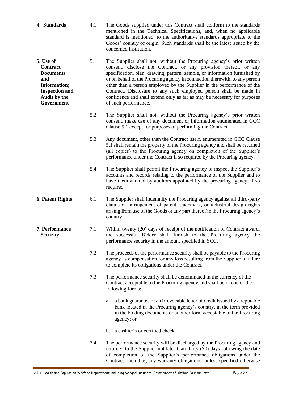- **4. Standards** 4.1 The Goods supplied under this Contract shall conform to the standards mentioned in the Technical Specifications, and, when no applicable standard is mentioned, to the authoritative standards appropriate to the Goods' country of origin. Such standards shall be the latest issued by the concerned institution.
- **5. Use of Contract Documents and Information; Inspection and Audit by the Government** 5.1 The Supplier shall not, without the Procuring agency's prior written consent, disclose the Contract, or any provision thereof, or any specification, plan, drawing, pattern, sample, or information furnished by or on behalf of the Procuring agency in connection therewith, to any person other than a person employed by the Supplier in the performance of the Contract. Disclosure to any such employed person shall be made in confidence and shall extend only as far as may be necessary for purposes of such performance.
	- 5.2 The Supplier shall not, without the Procuring agency's prior written consent, make use of any document or information enumerated in GCC Clause 5.1 except for purposes of performing the Contract.
	- 5.3 Any document, other than the Contract itself, enumerated in GCC Clause 5.1 shall remain the property of the Procuring agency and shall be returned (all copies) to the Procuring agency on completion of the Supplier's performance under the Contract if so required by the Procuring agency.
	- 5.4 The Supplier shall permit the Procuring agency to inspect the Supplier's accounts and records relating to the performance of the Supplier and to have them audited by auditors appointed by the procuring agency, if so required.
- **6. Patent Rights** 6.1 The Supplier shall indemnify the Procuring agency against all third-party claims of infringement of patent, trademark, or industrial design rights arising from use of the Goods or any part thereof in the Procuring agency's country.
- **7. Performance Security** 7.1 Within twenty (20) days of receipt of the notification of Contract award, the successful Bidder shall furnish to the Procuring agency the performance security in the amount specified in SCC.
	- 7.2 The proceeds of the performance security shall be payable to the Procuring agency as compensation for any loss resulting from the Supplier's failure to complete its obligations under the Contract.
	- 7.3 The performance security shall be denominated in the currency of the Contract acceptable to the Procuring agency and shall be in one of the following forms:
		- a. a bank guarantee or an irrevocable letter of credit issued by a reputable bank located in the Procuring agency's country, in the form provided in the bidding documents or another form acceptable to the Procuring agency; or
		- b. a cashier's or certified check.
	- 7.4 The performance security will be discharged by the Procuring agency and returned to the Supplier not later than thirty (30) days following the date of completion of the Supplier's performance obligations under the Contract, including any warranty obligations, unless specified otherwise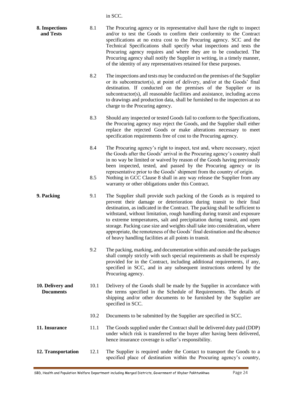in SCC.

| 8. Inspections<br>and Tests          | 8.1        | The Procuring agency or its representative shall have the right to inspect<br>and/or to test the Goods to confirm their conformity to the Contract<br>specifications at no extra cost to the Procuring agency. SCC and the<br>Technical Specifications shall specify what inspections and tests the<br>Procuring agency requires and where they are to be conducted. The<br>Procuring agency shall notify the Supplier in writing, in a timely manner,<br>of the identity of any representatives retained for these purposes.                                                                                   |
|--------------------------------------|------------|-----------------------------------------------------------------------------------------------------------------------------------------------------------------------------------------------------------------------------------------------------------------------------------------------------------------------------------------------------------------------------------------------------------------------------------------------------------------------------------------------------------------------------------------------------------------------------------------------------------------|
|                                      | 8.2        | The inspections and tests may be conducted on the premises of the Supplier<br>or its subcontractor(s), at point of delivery, and/or at the Goods' final<br>destination. If conducted on the premises of the Supplier or its<br>subcontractor(s), all reasonable facilities and assistance, including access<br>to drawings and production data, shall be furnished to the inspectors at no<br>charge to the Procuring agency.                                                                                                                                                                                   |
|                                      | 8.3        | Should any inspected or tested Goods fail to conform to the Specifications,<br>the Procuring agency may reject the Goods, and the Supplier shall either<br>replace the rejected Goods or make alterations necessary to meet<br>specification requirements free of cost to the Procuring agency.                                                                                                                                                                                                                                                                                                                 |
|                                      | 8.4<br>8.5 | The Procuring agency's right to inspect, test and, where necessary, reject<br>the Goods after the Goods' arrival in the Procuring agency's country shall<br>in no way be limited or waived by reason of the Goods having previously<br>been inspected, tested, and passed by the Procuring agency or its<br>representative prior to the Goods' shipment from the country of origin.<br>Nothing in GCC Clause 8 shall in any way release the Supplier from any                                                                                                                                                   |
|                                      |            | warranty or other obligations under this Contract.                                                                                                                                                                                                                                                                                                                                                                                                                                                                                                                                                              |
| 9. Packing                           | 9.1        | The Supplier shall provide such packing of the Goods as is required to<br>prevent their damage or deterioration during transit to their final<br>destination, as indicated in the Contract. The packing shall be sufficient to<br>withstand, without limitation, rough handling during transit and exposure<br>to extreme temperatures, salt and precipitation during transit, and open<br>storage. Packing case size and weights shall take into consideration, where<br>appropriate, the remoteness of the Goods' final destination and the absence<br>of heavy handling facilities at all points in transit. |
|                                      | 9.2        | The packing, marking, and documentation within and outside the packages<br>shall comply strictly with such special requirements as shall be expressly<br>provided for in the Contract, including additional requirements, if any,<br>specified in SCC, and in any subsequent instructions ordered by the<br>Procuring agency.                                                                                                                                                                                                                                                                                   |
| 10. Delivery and<br><b>Documents</b> | 10.1       | Delivery of the Goods shall be made by the Supplier in accordance with<br>the terms specified in the Schedule of Requirements. The details of<br>shipping and/or other documents to be furnished by the Supplier are<br>specified in SCC.                                                                                                                                                                                                                                                                                                                                                                       |
|                                      | 10.2       | Documents to be submitted by the Supplier are specified in SCC.                                                                                                                                                                                                                                                                                                                                                                                                                                                                                                                                                 |
| 11. Insurance                        | 11.1       | The Goods supplied under the Contract shall be delivered duty paid (DDP)<br>under which risk is transferred to the buyer after having been delivered,<br>hence insurance coverage is seller's responsibility.                                                                                                                                                                                                                                                                                                                                                                                                   |
| 12. Transportation                   | 12.1       | The Supplier is required under the Contact to transport the Goods to a<br>specified place of destination within the Procuring agency's country,                                                                                                                                                                                                                                                                                                                                                                                                                                                                 |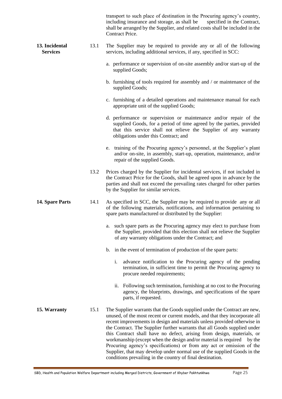|                                   |      | transport to such place of destination in the Procuring agency's country,<br>including insurance and storage, as shall be<br>specified in the Contract,<br>shall be arranged by the Supplier, and related costs shall be included in the<br>Contract Price.                                                                                                                                                                                                                                                                                                                                                                                                                                 |
|-----------------------------------|------|---------------------------------------------------------------------------------------------------------------------------------------------------------------------------------------------------------------------------------------------------------------------------------------------------------------------------------------------------------------------------------------------------------------------------------------------------------------------------------------------------------------------------------------------------------------------------------------------------------------------------------------------------------------------------------------------|
| 13. Incidental<br><b>Services</b> | 13.1 | The Supplier may be required to provide any or all of the following<br>services, including additional services, if any, specified in SCC:                                                                                                                                                                                                                                                                                                                                                                                                                                                                                                                                                   |
|                                   |      | a. performance or supervision of on-site assembly and/or start-up of the<br>supplied Goods;                                                                                                                                                                                                                                                                                                                                                                                                                                                                                                                                                                                                 |
|                                   |      | b. furnishing of tools required for assembly and / or maintenance of the<br>supplied Goods;                                                                                                                                                                                                                                                                                                                                                                                                                                                                                                                                                                                                 |
|                                   |      | c. furnishing of a detailed operations and maintenance manual for each<br>appropriate unit of the supplied Goods;                                                                                                                                                                                                                                                                                                                                                                                                                                                                                                                                                                           |
|                                   |      | d. performance or supervision or maintenance and/or repair of the<br>supplied Goods, for a period of time agreed by the parties, provided<br>that this service shall not relieve the Supplier of any warranty<br>obligations under this Contract; and                                                                                                                                                                                                                                                                                                                                                                                                                                       |
|                                   |      | training of the Procuring agency's personnel, at the Supplier's plant<br>e.<br>and/or on-site, in assembly, start-up, operation, maintenance, and/or<br>repair of the supplied Goods.                                                                                                                                                                                                                                                                                                                                                                                                                                                                                                       |
|                                   | 13.2 | Prices charged by the Supplier for incidental services, if not included in<br>the Contract Price for the Goods, shall be agreed upon in advance by the<br>parties and shall not exceed the prevailing rates charged for other parties<br>by the Supplier for similar services.                                                                                                                                                                                                                                                                                                                                                                                                              |
| 14. Spare Parts                   | 14.1 | As specified in SCC, the Supplier may be required to provide any or all<br>of the following materials, notifications, and information pertaining to<br>spare parts manufactured or distributed by the Supplier:                                                                                                                                                                                                                                                                                                                                                                                                                                                                             |
|                                   |      | a. such spare parts as the Procuring agency may elect to purchase from<br>the Supplier, provided that this election shall not relieve the Supplier<br>of any warranty obligations under the Contract; and                                                                                                                                                                                                                                                                                                                                                                                                                                                                                   |
|                                   |      | b. in the event of termination of production of the spare parts:                                                                                                                                                                                                                                                                                                                                                                                                                                                                                                                                                                                                                            |
|                                   |      | advance notification to the Procuring agency of the pending<br>i.<br>termination, in sufficient time to permit the Procuring agency to<br>procure needed requirements;                                                                                                                                                                                                                                                                                                                                                                                                                                                                                                                      |
|                                   |      | Following such termination, furnishing at no cost to the Procuring<br>ii.<br>agency, the blueprints, drawings, and specifications of the spare<br>parts, if requested.                                                                                                                                                                                                                                                                                                                                                                                                                                                                                                                      |
| 15. Warranty                      | 15.1 | The Supplier warrants that the Goods supplied under the Contract are new,<br>unused, of the most recent or current models, and that they incorporate all<br>recent improvements in design and materials unless provided otherwise in<br>the Contract. The Supplier further warrants that all Goods supplied under<br>this Contract shall have no defect, arising from design, materials, or<br>workmanship (except when the design and/or material is required<br>by the<br>Procuring agency's specifications) or from any act or omission of the<br>Supplier, that may develop under normal use of the supplied Goods in the<br>conditions prevailing in the country of final destination. |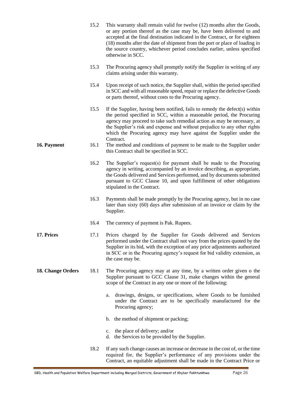|                   | 15.2 | This warranty shall remain valid for twelve (12) months after the Goods,<br>or any portion thereof as the case may be, have been delivered to and<br>accepted at the final destination indicated in the Contract, or for eighteen<br>(18) months after the date of shipment from the port or place of loading in<br>the source country, whichever period concludes earlier, unless specified<br>otherwise in SCC. |
|-------------------|------|-------------------------------------------------------------------------------------------------------------------------------------------------------------------------------------------------------------------------------------------------------------------------------------------------------------------------------------------------------------------------------------------------------------------|
|                   | 15.3 | The Procuring agency shall promptly notify the Supplier in writing of any<br>claims arising under this warranty.                                                                                                                                                                                                                                                                                                  |
|                   | 15.4 | Upon receipt of such notice, the Supplier shall, within the period specified<br>in SCC and with all reasonable speed, repair or replace the defective Goods<br>or parts thereof, without costs to the Procuring agency.                                                                                                                                                                                           |
|                   | 15.5 | If the Supplier, having been notified, fails to remedy the defect(s) within<br>the period specified in SCC, within a reasonable period, the Procuring<br>agency may proceed to take such remedial action as may be necessary, at<br>the Supplier's risk and expense and without prejudice to any other rights<br>which the Procuring agency may have against the Supplier under the<br>Contract.                  |
| 16. Payment       | 16.1 | The method and conditions of payment to be made to the Supplier under<br>this Contract shall be specified in SCC.                                                                                                                                                                                                                                                                                                 |
|                   | 16.2 | The Supplier's request(s) for payment shall be made to the Procuring<br>agency in writing, accompanied by an invoice describing, as appropriate,<br>the Goods delivered and Services performed, and by documents submitted<br>pursuant to GCC Clause 10, and upon fulfillment of other obligations<br>stipulated in the Contract.                                                                                 |
|                   | 16.3 | Payments shall be made promptly by the Procuring agency, but in no case<br>later than sixty (60) days after submission of an invoice or claim by the<br>Supplier.                                                                                                                                                                                                                                                 |
|                   | 16.4 | The currency of payment is Pak. Rupees.                                                                                                                                                                                                                                                                                                                                                                           |
| 17. Prices        | 17.1 | Prices charged by the Supplier for Goods delivered and Services<br>performed under the Contract shall not vary from the prices quoted by the<br>Supplier in its bid, with the exception of any price adjustments authorized<br>in SCC or in the Procuring agency's request for bid validity extension, as<br>the case may be.                                                                                     |
| 18. Change Orders | 18.1 | The Procuring agency may at any time, by a written order given o the<br>Supplier pursuant to GCC Clause 31, make changes within the general<br>scope of the Contract in any one or more of the following:                                                                                                                                                                                                         |
|                   |      | drawings, designs, or specifications, where Goods to be furnished<br>a.<br>under the Contract are to be specifically manufactured for the<br>Procuring agency;                                                                                                                                                                                                                                                    |
|                   |      | b. the method of shipment or packing;                                                                                                                                                                                                                                                                                                                                                                             |
|                   |      | the place of delivery; and/or<br>c.<br>the Services to be provided by the Supplier.<br>d.                                                                                                                                                                                                                                                                                                                         |
|                   | 18.2 | If any such change causes an increase or decrease in the cost of, or the time<br>required for, the Supplier's performance of any provisions under the<br>Contract, an equitable adjustment shall be made in the Contract Price or                                                                                                                                                                                 |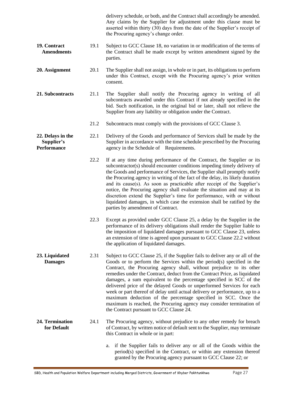|                                                       |      | delivery schedule, or both, and the Contract shall accordingly be amended.<br>Any claims by the Supplier for adjustment under this clause must be<br>asserted within thirty (30) days from the date of the Supplier's receipt of<br>the Procuring agency's change order.                                                                                                                                                                                                                                                                                                                                                                                                                                                         |
|-------------------------------------------------------|------|----------------------------------------------------------------------------------------------------------------------------------------------------------------------------------------------------------------------------------------------------------------------------------------------------------------------------------------------------------------------------------------------------------------------------------------------------------------------------------------------------------------------------------------------------------------------------------------------------------------------------------------------------------------------------------------------------------------------------------|
| 19. Contract<br><b>Amendments</b>                     | 19.1 | Subject to GCC Clause 18, no variation in or modification of the terms of<br>the Contract shall be made except by written amendment signed by the<br>parties.                                                                                                                                                                                                                                                                                                                                                                                                                                                                                                                                                                    |
| 20. Assignment                                        | 20.1 | The Supplier shall not assign, in whole or in part, its obligations to perform<br>under this Contract, except with the Procuring agency's prior written<br>consent.                                                                                                                                                                                                                                                                                                                                                                                                                                                                                                                                                              |
| 21. Subcontracts                                      | 21.1 | The Supplier shall notify the Procuring agency in writing of all<br>subcontracts awarded under this Contract if not already specified in the<br>bid. Such notification, in the original bid or later, shall not relieve the<br>Supplier from any liability or obligation under the Contract.                                                                                                                                                                                                                                                                                                                                                                                                                                     |
|                                                       | 21.2 | Subcontracts must comply with the provisions of GCC Clause 3.                                                                                                                                                                                                                                                                                                                                                                                                                                                                                                                                                                                                                                                                    |
| 22. Delays in the<br>Supplier's<br><b>Performance</b> | 22.1 | Delivery of the Goods and performance of Services shall be made by the<br>Supplier in accordance with the time schedule prescribed by the Procuring<br>agency in the Schedule of Requirements.                                                                                                                                                                                                                                                                                                                                                                                                                                                                                                                                   |
|                                                       | 22.2 | If at any time during performance of the Contract, the Supplier or its<br>subcontractor(s) should encounter conditions impeding timely delivery of<br>the Goods and performance of Services, the Supplier shall promptly notify<br>the Procuring agency in writing of the fact of the delay, its likely duration<br>and its cause(s). As soon as practicable after receipt of the Supplier's<br>notice, the Procuring agency shall evaluate the situation and may at its<br>discretion extend the Supplier's time for performance, with or without<br>liquidated damages, in which case the extension shall be ratified by the<br>parties by amendment of Contract.                                                              |
|                                                       | 22.3 | Except as provided under GCC Clause 25, a delay by the Supplier in the<br>performance of its delivery obligations shall render the Supplier liable to<br>the imposition of liquidated damages pursuant to GCC Clause 23, unless<br>an extension of time is agreed upon pursuant to GCC Clause 22.2 without<br>the application of liquidated damages.                                                                                                                                                                                                                                                                                                                                                                             |
| 23. Liquidated<br><b>Damages</b>                      | 2.31 | Subject to GCC Clause 25, if the Supplier fails to deliver any or all of the<br>Goods or to perform the Services within the period(s) specified in the<br>Contract, the Procuring agency shall, without prejudice to its other<br>remedies under the Contract, deduct from the Contract Price, as liquidated<br>damages, a sum equivalent to the percentage specified in SCC of the<br>delivered price of the delayed Goods or unperformed Services for each<br>week or part thereof of delay until actual delivery or performance, up to a<br>maximum deduction of the percentage specified in SCC. Once the<br>maximum is reached, the Procuring agency may consider termination of<br>the Contract pursuant to GCC Clause 24. |
| 24. Termination<br>for Default                        | 24.1 | The Procuring agency, without prejudice to any other remedy for breach<br>of Contract, by written notice of default sent to the Supplier, may terminate<br>this Contract in whole or in part:                                                                                                                                                                                                                                                                                                                                                                                                                                                                                                                                    |
|                                                       |      | if the Supplier fails to deliver any or all of the Goods within the<br>a.<br>period(s) specified in the Contract, or within any extension thereof<br>granted by the Procuring agency pursuant to GCC Clause 22; or                                                                                                                                                                                                                                                                                                                                                                                                                                                                                                               |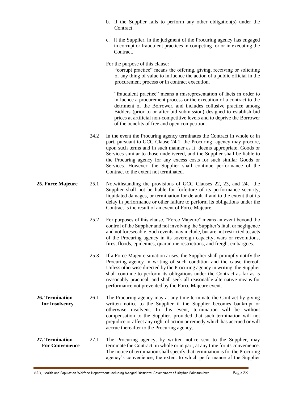- b. if the Supplier fails to perform any other obligation(s) under the Contract.
- c. if the Supplier, in the judgment of the Procuring agency has engaged in corrupt or fraudulent practices in competing for or in executing the Contract.

For the purpose of this clause:

"corrupt practice" means the offering, giving, receiving or soliciting of any thing of value to influence the action of a public official in the procurement process or in contract execution.

"fraudulent practice" means a misrepresentation of facts in order to influence a procurement process or the execution of a contract to the detriment of the Borrower, and includes collusive practice among Bidders (prior to or after bid submission) designed to establish bid prices at artificial non-competitive levels and to deprive the Borrower of the benefits of free and open competition.

- 24.2 In the event the Procuring agency terminates the Contract in whole or in part, pursuant to GCC Clause 24.1, the Procuring agency may procure, upon such terms and in such manner as it deems appropriate, Goods or Services similar to those undelivered, and the Supplier shall be liable to the Procuring agency for any excess costs for such similar Goods or Services. However, the Supplier shall continue performance of the Contract to the extent not terminated.
- **25. Force Majeure** 25.1 Notwithstanding the provisions of GCC Clauses 22, 23, and 24, the Supplier shall not be liable for forfeiture of its performance security, liquidated damages, or termination for default if and to the extent that its delay in performance or other failure to perform its obligations under the Contract is the result of an event of Force Majeure.
	- 25.2 For purposes of this clause, "Force Majeure" means an event beyond the control of the Supplier and not involving the Supplier's fault or negligence and not foreseeable. Such events may include, but are not restricted to, acts of the Procuring agency in its sovereign capacity, wars or revolutions, fires, floods, epidemics, quarantine restrictions, and freight embargoes.
	- 25.3 If a Force Majeure situation arises, the Supplier shall promptly notify the Procuring agency in writing of such condition and the cause thereof. Unless otherwise directed by the Procuring agency in writing, the Supplier shall continue to perform its obligations under the Contract as far as is reasonably practical, and shall seek all reasonable alternative means for performance not prevented by the Force Majeure event.
- **26. Termination for Insolvency** 26.1 The Procuring agency may at any time terminate the Contract by giving written notice to the Supplier if the Supplier becomes bankrupt or otherwise insolvent. In this event, termination will be without compensation to the Supplier, provided that such termination will not prejudice or affect any right of action or remedy which has accrued or will accrue thereafter to the Procuring agency.
- **27. Termination For Convenience** 27.1 The Procuring agency, by written notice sent to the Supplier, may terminate the Contract, in whole or in part, at any time for its convenience. The notice of termination shall specify that termination is for the Procuring agency's convenience, the extent to which performance of the Supplier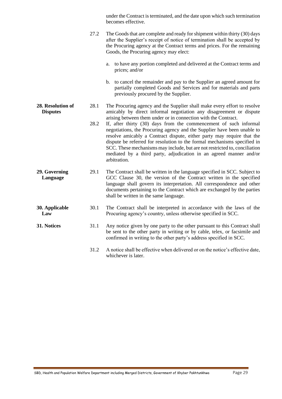|                                      |      | under the Contract is terminated, and the date upon which such termination<br>becomes effective.                                                                                                                                                                                                                                                                                                                                                                       |  |
|--------------------------------------|------|------------------------------------------------------------------------------------------------------------------------------------------------------------------------------------------------------------------------------------------------------------------------------------------------------------------------------------------------------------------------------------------------------------------------------------------------------------------------|--|
|                                      | 27.2 | The Goods that are complete and ready for shipment within thirty (30) days<br>after the Supplier's receipt of notice of termination shall be accepted by<br>the Procuring agency at the Contract terms and prices. For the remaining<br>Goods, the Procuring agency may elect:                                                                                                                                                                                         |  |
|                                      |      | to have any portion completed and delivered at the Contract terms and<br>a.<br>prices; and/or                                                                                                                                                                                                                                                                                                                                                                          |  |
|                                      |      | b. to cancel the remainder and pay to the Supplier an agreed amount for<br>partially completed Goods and Services and for materials and parts<br>previously procured by the Supplier.                                                                                                                                                                                                                                                                                  |  |
| 28. Resolution of<br><b>Disputes</b> | 28.1 | The Procuring agency and the Supplier shall make every effort to resolve<br>amicably by direct informal negotiation any disagreement or dispute<br>arising between them under or in connection with the Contract.                                                                                                                                                                                                                                                      |  |
|                                      | 28.2 | If, after thirty (30) days from the commencement of such informal<br>negotiations, the Procuring agency and the Supplier have been unable to<br>resolve amicably a Contract dispute, either party may require that the<br>dispute be referred for resolution to the formal mechanisms specified in<br>SCC. These mechanisms may include, but are not restricted to, conciliation<br>mediated by a third party, adjudication in an agreed manner and/or<br>arbitration. |  |
| 29. Governing<br>Language            | 29.1 | The Contract shall be written in the language specified in SCC. Subject to<br>GCC Clause 30, the version of the Contract written in the specified<br>language shall govern its interpretation. All correspondence and other<br>documents pertaining to the Contract which are exchanged by the parties<br>shall be written in the same language.                                                                                                                       |  |
| 30. Applicable<br>Law                | 30.1 | The Contract shall be interpreted in accordance with the laws of the<br>Procuring agency's country, unless otherwise specified in SCC.                                                                                                                                                                                                                                                                                                                                 |  |
| 31. Notices                          | 31.1 | Any notice given by one party to the other pursuant to this Contract shall<br>be sent to the other party in writing or by cable, telex, or facsimile and<br>confirmed in writing to the other party's address specified in SCC.                                                                                                                                                                                                                                        |  |
|                                      | 31.2 | A notice shall be effective when delivered or on the notice's effective date,<br>whichever is later.                                                                                                                                                                                                                                                                                                                                                                   |  |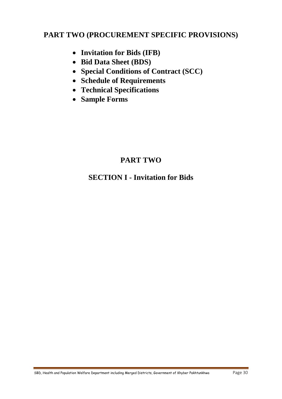## **PART TWO (PROCUREMENT SPECIFIC PROVISIONS)**

- **Invitation for Bids (IFB)**
- **Bid Data Sheet (BDS)**
- **Special Conditions of Contract (SCC)**
- **Schedule of Requirements**
- **Technical Specifications**
- **Sample Forms**

# **PART TWO**

## **SECTION I - Invitation for Bids**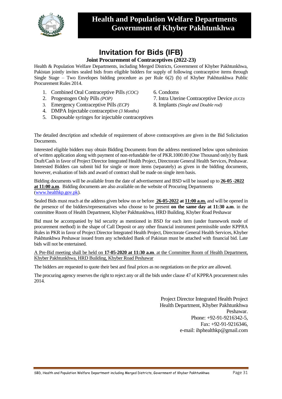

## **Invitation for Bids (IFB)**

#### **Joint Procurement of Contraceptives (2022-23)**

Health & Population Welfare Departments, including Merged Districts, Government of Khyber Pakhtunkhwa, Pakistan jointly invites sealed bids from eligible bidders for supply of following contraceptive items through Single Stage – Two Envelopes bidding procedure as per Rule 6(2) (b) of Khyber Pakhtunkhwa Public Procurement Rules 2014.

- 1. Combined Oral Contraceptive Pills *(COC)* 6. Condoms
- 
- 3. Emergency Contraceptive Pills *(ECP)* 8. Implants *(Single and Double rod)*
- 4. DMPA Injectable contraceptive *(3 Months)*
- 5. Disposable syringes for injectable contraceptives

- 2. Progestogen Only Pills *(POP)* 7. Intra Uterine Contraceptive Device *(IUCD)*
	-

The detailed description and schedule of requirement of above contraceptives are given in the Bid Solicitation Documents.

Interested eligible bidders may obtain Bidding Documents from the address mentioned below upon submission of written application along with payment of non-refundable fee of PKR.1000.00 (One Thousand only) by Bank Draft/Cash in favor of Project Director Integrated Health Project, Directorate General Health Services, Peshawar. Interested Bidders can submit bid for single or more items (separately) as given in the bidding documents, however, evaluation of bids and award of contract shall be made on single item basis.

Bidding documents will be available from the date of advertisement and BSD will be issued up to **26-05 -2022 at 11:00 a.m**. Bidding documents are also available on the website of Procuring Departments [\(www.healthkp.gov.pk\)](http://www.healthkp.gov.pk/).

Sealed Bids must reach at the address given below on or before **26-05-2022 at 11:00 a.m.** and will be opened in the presence of the bidders/representatives who choose to be present **on the same day at 11:30 a.m**. in the committee Room of Health Department, Khyber Pakhtunkhwa, HRD Building, Khyber Road Peshawar

Bid must be accompanied by bid security as mentioned in BSD for each item (under framework mode of procurement method) in the shape of Call Deposit or any other financial instrument permissible under KPPRA Rules in PKR in favor of Project Director Integrated Health Project, Directorate General Health Services, Khyber Pakhtunkhwa Peshawar issued from any scheduled Bank of Pakistan must be attached with financial bid. Late bids will not be entertained.

A Pre-Bid meeting shall be held on **17-05-2020 at 11:30 a.m**. at the Committee Room of Health Department, Khyber Pakhtunkhwa, HRD Building, Khyber Road Peshawar

The bidders are requested to quote their best and final prices as no negotiations on the price are allowed.

The procuring agency reserves the right to reject any or all the bids under clause 47 of KPPRA procurement rules 2014.

> Project Director Integrated Health Project Health Department, Khyber Pakhtunkhwa Peshawar. Phone: +92-91-9216342-5, Fax: +92-91-9216346, e-mail: ihphealthkp@gmail.com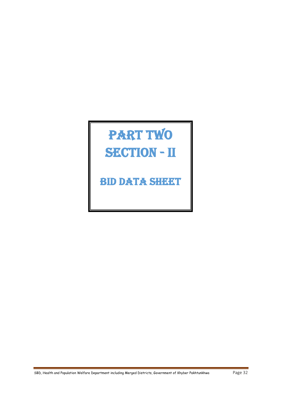# PART TWO SECTION - II

Bid data sheet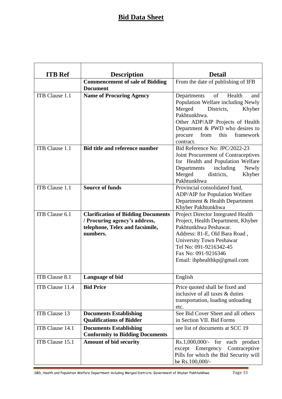### **Bid Data Sheet**

| <b>ITB</b> Ref  | <b>Description</b>                                                      | <b>Detail</b>                                                                                              |
|-----------------|-------------------------------------------------------------------------|------------------------------------------------------------------------------------------------------------|
|                 | <b>Commencement of sale of Bidding</b><br><b>Document</b>               | From the date of publishing of IFB                                                                         |
| ITB Clause 1.1  | <b>Name of Procuring Agency</b>                                         | of<br>Health<br>Departments<br>and<br>Population Welfare including Newly<br>Merged<br>Districts,<br>Khyber |
|                 |                                                                         | Pakhtunkhwa.<br>Other ADP/AIP Projects of Health<br>Department & PWD who desires to                        |
|                 |                                                                         | this<br>from<br>procure<br>framework<br>contract.                                                          |
| ITB Clause 1.1  | <b>Bid title and reference number</b>                                   | Bid Reference No: JPC/2022-23                                                                              |
|                 |                                                                         | Joint Procurement of Contraceptives                                                                        |
|                 |                                                                         | for Health and Population Welfare                                                                          |
|                 |                                                                         | including<br>Departments<br>Newly                                                                          |
|                 |                                                                         | Merged<br>districts.<br>Khyber<br>Pakhtunkhwa                                                              |
| ITB Clause 1.1  | <b>Source of funds</b>                                                  | Provincial consolidated fund,                                                                              |
|                 |                                                                         | <b>ADP/AIP</b> for Population Welfare                                                                      |
|                 |                                                                         | Department & Health Department                                                                             |
|                 |                                                                         | Khyber Pakhtunkhwa                                                                                         |
| ITB Clause 6.1  | <b>Clarification of Bidding Documents</b>                               | Project Director Integrated Health                                                                         |
|                 | / Procuring agency's address,                                           | Project, Health Department, Khyber                                                                         |
|                 | telephone, Telex and facsimile,                                         | Pakhtunkhwa Peshawar.                                                                                      |
|                 | numbers.                                                                | Address: 81-E, Old Bara Road,                                                                              |
|                 |                                                                         | <b>University Town Peshawar</b>                                                                            |
|                 |                                                                         | Tel No: 091-9216342-45                                                                                     |
|                 |                                                                         | Fax No: 091-9216346                                                                                        |
|                 |                                                                         | Email: ihphealthkp@gmail.com                                                                               |
| ITB Clause 8.1  | Language of bid                                                         | English                                                                                                    |
| ITB Clause 11.4 | <b>Bid Price</b>                                                        | Price quoted shall be fixed and                                                                            |
|                 |                                                                         | inclusive of all taxes & duties                                                                            |
|                 |                                                                         | transportation, loading unloading                                                                          |
|                 |                                                                         | etc.                                                                                                       |
| ITB Clause 13   | <b>Documents Establishing</b>                                           | See Bid Cover Sheet and all others                                                                         |
|                 | <b>Qualifications of Bidder</b>                                         | in Section VII. Bid Forms                                                                                  |
| ITB Clause 14.1 | <b>Documents Establishing</b><br><b>Conformity to Bidding Documents</b> | see list of documents at SCC 19                                                                            |
| ITB Clause 15.1 | <b>Amount of bid security</b>                                           | $Rs.1,000,000/$ - for each product                                                                         |
|                 |                                                                         | except Emergency Contraceptive                                                                             |
|                 |                                                                         | Pills for which the Bid Security will                                                                      |
|                 |                                                                         | be Rs.100,000/-                                                                                            |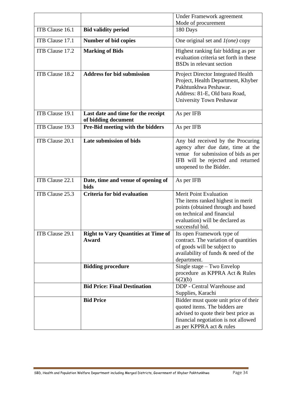|                 |                                                           | <b>Under Framework agreement</b>                                                                                                                                                             |
|-----------------|-----------------------------------------------------------|----------------------------------------------------------------------------------------------------------------------------------------------------------------------------------------------|
|                 |                                                           | Mode of procurement                                                                                                                                                                          |
| ITB Clause 16.1 | <b>Bid validity period</b>                                | 180 Days                                                                                                                                                                                     |
| ITB Clause 17.1 | <b>Number of bid copies</b>                               | One original set and $I(one)$ copy                                                                                                                                                           |
| ITB Clause 17.2 | <b>Marking of Bids</b>                                    | Highest ranking fair bidding as per<br>evaluation criteria set forth in these<br><b>BSDs</b> in relevant section                                                                             |
| ITB Clause 18.2 | <b>Address for bid submission</b>                         | Project Director Integrated Health<br>Project, Health Department, Khyber<br>Pakhtunkhwa Peshawar.<br>Address: 81-E, Old bara Road,<br>University Town Peshawar                               |
| ITB Clause 19.1 | Last date and time for the receipt<br>of bidding document | As per IFB                                                                                                                                                                                   |
| ITB Clause 19.3 | Pre-Bid meeting with the bidders                          | As per IFB                                                                                                                                                                                   |
| ITB Clause 20.1 | Late submission of bids                                   | Any bid received by the Procuring<br>agency after due date, time at the<br>venue for submission of bids as per<br>IFB will be rejected and returned<br>unopened to the Bidder.               |
| ITB Clause 22.1 | Date, time and venue of opening of<br><b>bids</b>         | As per IFB                                                                                                                                                                                   |
| ITB Clause 25.3 | <b>Criteria for bid evaluation</b>                        | <b>Merit Point Evaluation</b><br>The items ranked highest in merit<br>points (obtained through and based<br>on technical and financial<br>evaluation) will be declared as<br>successful bid. |
| ITB Clause 29.1 | <b>Right to Vary Quantities at Time of</b><br>Award       | Its open Framework type of<br>contract. The variation of quantities<br>of goods will be subject to<br>availability of funds & need of the<br>department.                                     |
|                 | <b>Bidding procedure</b>                                  | Single stage – Two Envelop<br>procedure as KPPRA Act & Rules<br>6(2)(b)                                                                                                                      |
|                 | <b>Bid Price: Final Destination</b>                       | DDP - Central Warehouse and<br>Supplies, Karachi                                                                                                                                             |
|                 | <b>Bid Price</b>                                          | Bidder must quote unit price of their<br>quoted items. The bidders are<br>advised to quote their best price as<br>financial negotiation is not allowed<br>as per KPPRA act & rules           |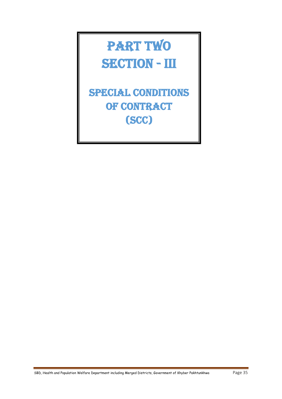# PART TWO SECTION - III

Special Conditions **OF CONTRACT** (SCC)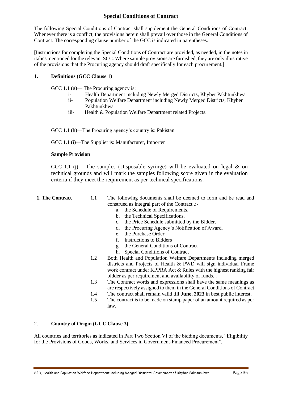# **Special Conditions of Contract**

The following Special Conditions of Contract shall supplement the General Conditions of Contract. Whenever there is a conflict, the provisions herein shall prevail over those in the General Conditions of Contract. The corresponding clause number of the GCC is indicated in parentheses.

[Instructions for completing the Special Conditions of Contract are provided, as needed, in the notes in italics mentioned for the relevant SCC. Where sample provisions are furnished, they are only illustrative of the provisions that the Procuring agency should draft specifically for each procurement.]

## **1. Definitions (GCC Clause 1)**

GCC 1.1 (g)— The Procuring agency is:

- i- Health Department including Newly Merged Districts, Khyber Pakhtunkhwa
- ii- Population Welfare Department including Newly Merged Districts, Khyber Pakhtunkhwa
- iii- Health & Population Welfare Department related Projects.

GCC 1.1 (h)—The Procuring agency's country is: Pakistan

GCC 1.1 (i)—The Supplier is: Manufacturer, Importer

### **Sample Provision**

GCC 1.1 (j) —The samples (Disposable syringe) will be evaluated on legal  $\&$  on technical grounds and will mark the samples following score given in the evaluation criteria if they meet the requirement as per technical specifications.

- **1. The Contract** 1.1 The following documents shall be deemed to form and be read and construed as integral part of the Contract ,:
	- a. the Schedule of Requirements.
	- b. the Technical Specifications.
	- c. the Price Schedule submitted by the Bidder.
	- d. the Procuring Agency's Notification of Award.
	- e. the Purchase Order
	- f. Instructions to Bidders
	- g. the General Conditions of Contract
	- h. Special Conditions of Contract
	- 1.2 Both Health and Population Welfare Departments including merged districts and Projects of Health & PWD will sign individual Frame work contract under KPPRA Act & Rules with the highest ranking fair bidder as per requirement and availability of funds. .
	- 1.3 The Contract words and expressions shall have the same meanings as are respectively assigned to them in the General Conditions of Contract
	- 1.4 The contract shall remain valid till **June, 2023** in best public interest.
	- 1.5 The contract is to be made on stamp paper of an amount required as per law.

## 2. **Country of Origin (GCC Clause 3)**

All countries and territories as indicated in Part Two Section VI of the bidding documents, "Eligibility for the Provisions of Goods, Works, and Services in Government-Financed Procurement".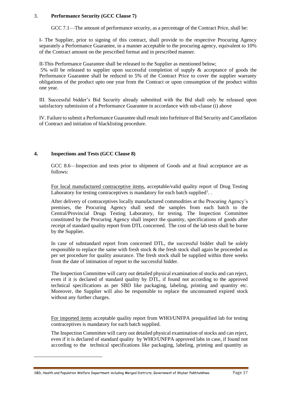## 3. **Performance Security (GCC Clause 7)**

GCC 7.1—The amount of performance security, as a percentage of the Contract Price, shall be:

I- The Supplier, prior to signing of this contract, shall provide to the respective Procuring Agency separately a Performance Guarantee, in a manner acceptable to the procuring agency, equivalent to 10% of the Contract amount on the prescribed format and in prescribed manner.

II-This Performance Guarantee shall be released to the Supplier as mentioned below;

5% will be released to supplier upon successful completion of supply & acceptance of goods the Performance Guarantee shall be reduced to 5% of the Contract Price to cover the supplier warranty obligations of the product upto one year from the Contract or upon consumption of the product within one year.

III. Successful bidder's Bid Security already submitted with the Bid shall only be released upon satisfactory submission of a Performance Guarantee in accordance with sub-clause (i) above

IV. Failure to submit a Performance Guarantee shall result into forfeiture of Bid Security and Cancellation of Contract and initiation of blacklisting procedure.

## **4. Inspections and Tests (GCC Clause 8)**

GCC 8.6—Inspection and tests prior to shipment of Goods and at final acceptance are as follows:

For local manufactured contraceptive items, acceptable/valid quality report of Drug Testing Laboratory for testing contraceptives is mandatory for each batch supplied<sup>1</sup>.

After delivery of contraceptives locally manufactured commodities at the Procuring Agency's premises, the Procuring Agency shall send the samples from each batch to the Central/Provincial Drugs Testing Laboratory, for testing. The Inspection Committee constituted by the Procuring Agency shall inspect the quantity, specifications of goods after receipt of standard quality report from DTL concerned. The cost of the lab tests shall be borne by the Supplier.

In case of substandard report from concerned DTL, the successful bidder shall be solely responsible to replace the same with fresh stock & the fresh stock shall again be proceeded as per set procedure for quality assurance. The fresh stock shall be supplied within three weeks from the date of intimation of report to the successful bidder.

The Inspection Committee will carry out detailed physical examination of stocks and can reject, even if it is declared of standard quality by DTL, if found not according to the approved technical specifications as per SBD like packaging, labeling, printing and quantity etc. Moreover, the Supplier will also be responsible to replace the unconsumed expired stock without any further charges.

For imported items acceptable quality report from WHO/UNFPA prequalified lab for testing contraceptives is mandatory for each batch supplied.

The Inspection Committee will carry out detailed physical examination of stocks and can reject, even if it is declared of standard quality by WHO/UNFPA approved labs in case, if found not according to the technical specifications like packaging, labeling, printing and quantity as

SBD, Health and Population Welfare Department including Merged Districts, Government of Khyber Pakhtunkhwa Page 37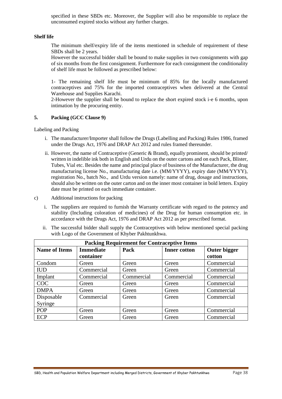specified in these SBDs etc. Moreover, the Supplier will also be responsible to replace the unconsumed expired stocks without any further charges.

#### **Shelf life**

The minimum shelf/expiry life of the items mentioned in schedule of requirement of these SBDs shall be 2 years.

However the successful bidder shall be bound to make supplies in two consignments with gap of six months from the first consignment. Furthermore for each consignment the conditionality of shelf life must be followed as prescribed below:

1- The remaining shelf life must be minimum of 85% for the locally manufactured contraceptives and 75% for the imported contraceptives when delivered at the Central Warehouse and Supplies Karachi.

2-However the supplier shall be bound to replace the short expired stock i-e 6 months, upon intimation by the procuring entity.

#### **5. Packing (GCC Clause 9)**

Labeling and Packing

- i. The manufacturer/Importer shall follow the Drugs (Labelling and Packing) Rules 1986, framed under the Drugs Act, 1976 and DRAP Act 2012 and rules framed thereunder.
- ii. However, the name of Contraceptive (Generic & Brand), equally prominent, should be printed/ written in indelible ink both in English and Urdu on the outer cartons and on each Pack, Blister, Tubes, Vial etc. Besides the name and principal place of business of the Manufacturer, the drug manufacturing license No., manufacturing date i.e. (MM/YYYY), expiry date (MM/YYYY), registration No., batch No., and Urdu version namely: name of drug, dosage and instructions, should also be written on the outer carton and on the inner most container in bold letters. Expiry date must be printed on each immediate container.
- c) Additional instructions for packing
	- i. The suppliers are required to furnish the Warranty certificate with regard to the potency and stability (Including coloration of medicines) of the Drug for human consumption etc. in accordance with the Drugs Act, 1976 and DRAP Act 2012 as per prescribed format.
	- ii. The successful bidder shall supply the Contraceptives with below mentioned special packing with Logo of the Government of Khyber Pakhtunkhwa.

| <b>Packing Requirement for Contraceptive Items</b> |                               |            |                     |                        |  |
|----------------------------------------------------|-------------------------------|------------|---------------------|------------------------|--|
| <b>Name of Items</b>                               | <b>Immediate</b><br>container | Pack       | <b>Inner cotton</b> | Outer bigger<br>cotton |  |
| Condom                                             | Green                         | Green      | Green               | Commercial             |  |
| <b>IUD</b>                                         | Commercial                    | Green      | Green               | Commercial             |  |
| Implant                                            | Commercial                    | Commercial | Commercial          | Commercial             |  |
| COC                                                | Green                         | Green      | Green               | Commercial             |  |
| <b>DMPA</b>                                        | Green                         | Green      | Green               | Commercial             |  |
| Disposable<br>Syringe                              | Commercial                    | Green      | Green               | Commercial             |  |
| <b>POP</b>                                         | Green                         | Green      | Green               | Commercial             |  |
| <b>ECP</b>                                         | Green                         | Green      | Green               | Commercial             |  |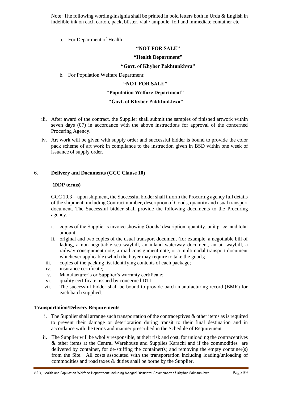Note: The following wording/insignia shall be printed in bold letters both in Urdu & English in indelible ink on each carton, pack, blister, vial / ampoule, foil and immediate container etc

a. For Department of Health:

#### **"NOT FOR SALE"**

#### **"Health Department"**

#### **"Govt. of Khyber Pakhtunkhwa"**

b. For Population Welfare Department:

#### **"NOT FOR SALE"**

#### **"Population Welfare Department"**

#### **"Govt. of Khyber Pakhtunkhwa"**

- iii. After award of the contract, the Supplier shall submit the samples of finished artwork within seven days (07) in accordance with the above instructions for approval of the concerned Procuring Agency.
- iv. Art work will be given with supply order and successful bidder is bound to provide the color pack scheme of art work in compliance to the instruction given in BSD within one week of issuance of supply order.

#### 6. **Delivery and Documents (GCC Clause 10)**

#### **(DDP terms)**

GCC 10.3—upon shipment, the Successful bidder shall inform the Procuring agency full details of the shipment, including Contract number, description of Goods, quantity and usual transport document. The Successful bidder shall provide the following documents to the Procuring agency. :

- i. copies of the Supplier's invoice showing Goods' description, quantity, unit price, and total amount;
- ii. original and two copies of the usual transport document (for example, a negotiable bill of lading, a non-negotiable sea waybill, an inland waterway document, an air waybill, a railway consignment note, a road consignment note, or a multimodal transport document whichever applicable) which the buyer may require to take the goods;
- iii. copies of the packing list identifying contents of each package;
- iv. insurance certificate;
- v. Manufacturer's or Supplier's warranty certificate;
- vi. quality certificate, issued by concerned DTL
- vii. The successful bidder shall be bound to provide batch manufacturing record (BMR) for each batch supplied. .

#### **Transportation/Delivery Requirements**

- i. The Supplier shall arrange such transportation of the contraceptives  $\&$  other items as is required to prevent their damage or deterioration during transit to their final destination and in accordance with the terms and manner prescribed in the Schedule of Requirement
- ii. The Supplier will be wholly responsible, at their risk and cost, for unloading the contraceptives & other items at the Central Warehouse and Supplies Karachi and if the commodities are delivered by container, for de-stuffing the container(s) and removing the empty container(s) from the Site. All costs associated with the transportation including loading/unloading of commodities and road taxes & duties shall be borne by the Supplier.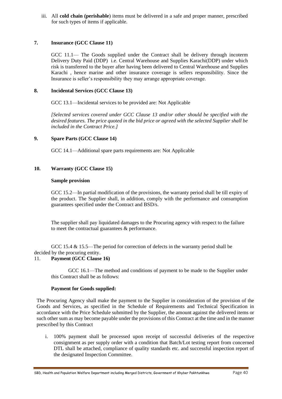iii. All **cold chain (perishable**) items must be delivered in a safe and proper manner, prescribed for such types of items if applicable.

## **7. Insurance (GCC Clause 11)**

GCC 11.1— The Goods supplied under the Contract shall be delivery through incoterm Delivery Duty Paid (DDP) i.e. Central Warehouse and Supplies Karachi(DDP) under which risk is transferred to the buyer after having been delivered to Central Warehouse and Supplies Karachi , hence marine and other insurance coverage is sellers responsibility. Since the Insurance is seller's responsibility they may arrange appropriate coverage.

## **8. Incidental Services (GCC Clause 13)**

GCC 13.1—Incidental services to be provided are: Not Applicable

*[Selected services covered under GCC Clause 13 and/or other should be specified with the desired features. The price quoted in the bid price or agreed with the selected Supplier shall be included in the Contract Price.]*

### **9. Spare Parts (GCC Clause 14)**

GCC 14.1—Additional spare parts requirements are: Not Applicable

### **10. Warranty (GCC Clause 15)**

#### **Sample provision**

GCC 15.2—In partial modification of the provisions, the warranty period shall be till expiry of the product. The Supplier shall, in addition, comply with the performance and consumption guarantees specified under the Contract and BSD/s.

The supplier shall pay liquidated damages to the Procuring agency with respect to the failure to meet the contractual guarantees & performance.

GCC 15.4 & 15.5—The period for correction of defects in the warranty period shall be decided by the procuring entity.

### 11. **Payment (GCC Clause 16)**

GCC 16.1—The method and conditions of payment to be made to the Supplier under this Contract shall be as follows:

#### **Payment for Goods supplied:**

The Procuring Agency shall make the payment to the Supplier in consideration of the provision of the Goods and Services, as specified in the Schedule of Requirements and Technical Specification in accordance with the Price Schedule submitted by the Supplier, the amount against the delivered items or such other sum as may become payable under the provisions of this Contract at the time and in the manner prescribed by this Contract

i. 100% payment shall be processed upon receipt of successful deliveries of the respective consignment as per supply order with a condition that Batch/Lot testing report from concerned DTL shall be attached, compliance of quality standards etc. and successful inspection report of the designated Inspection Committee.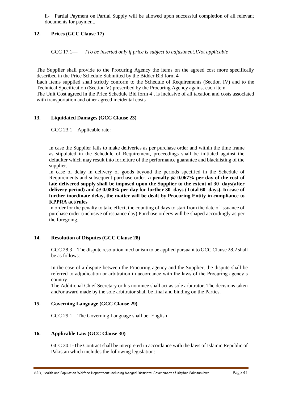ii- Partial Payment on Partial Supply will be allowed upon successful completion of all relevant documents for payment.

## **12. Prices (GCC Clause 17)**

GCC 17.1— *[To be inserted only if price is subject to adjustment.]Not applicable*

The Supplier shall provide to the Procuring Agency the items on the agreed cost more specifically described in the Price Schedule Submitted by the Bidder Bid form 4

Each Items supplied shall strictly conform to the Schedule of Requirements (Section IV) and to the Technical Specification (Section V) prescribed by the Procuring Agency against each item

The Unit Cost agreed in the Price Schedule Bid form 4 , is inclusive of all taxation and costs associated with transportation and other agreed incidental costs

#### **13. Liquidated Damages (GCC Clause 23)**

GCC 23.1—Applicable rate:

In case the Supplier fails to make deliveries as per purchase order and within the time frame as stipulated in the Schedule of Requirement, proceedings shall be initiated against the defaulter which may result into forfeiture of the performance guarantee and blacklisting of the supplier.

In case of delay in delivery of goods beyond the periods specified in the Schedule of Requirements and subsequent purchase order, **a penalty @ 0.067% per day of the cost of late delivered supply shall be imposed upon the Supplier to the extent of 30 days(after delivery period) and @ 0.080% per day for further 30 days (Total 60 days). In case of further inordinate delay, the matter will be dealt by Procuring Entity in compliance to KPPRA act/rules**

In order for the penalty to take effect, the counting of days to start from the date of issuance of purchase order (inclusive of issuance day).Purchase order/s will be shaped accordingly as per the foregoing.

## **14. Resolution of Disputes (GCC Clause 28)**

GCC 28.3—The dispute resolution mechanism to be applied pursuant to GCC Clause 28.2 shall be as follows:

In the case of a dispute between the Procuring agency and the Supplier, the dispute shall be referred to adjudication or arbitration in accordance with the laws of the Procuring agency's country.

The Additional Chief Secretary or his nominee shall act as sole arbitrator. The decisions taken and/or award made by the sole arbitrator shall be final and binding on the Parties.

#### **15. Governing Language (GCC Clause 29)**

GCC 29.1—The Governing Language shall be: English

#### **16. Applicable Law (GCC Clause 30)**

GCC 30.1-The Contract shall be interpreted in accordance with the laws of Islamic Republic of Pakistan which includes the following legislation: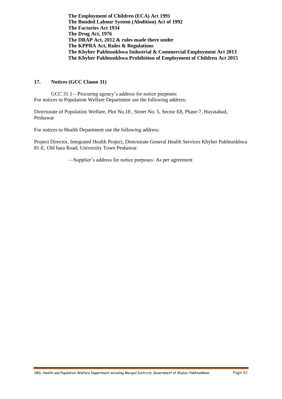**The Employment of Children (ECA) Act 1991 The Bonded Labour System (Abolition) Act of 1992 The Factories Act 1934 The Drug Act, 1976 The DRAP Act, 2012 & rules made there under The KPPRA Act, Rules & Regulations The Khyber Pakhtunkhwa Industrial & Commercial Employment Act 2013 The Khyber Pakhtunkhwa Prohibition of Employment of Children Act 2015**

#### **17. Notices (GCC Clause 31)**

GCC 31.1—Procuring agency's address for notice purposes: For notices to Population Welfare Department use the following address:

Directorate of Population Welfare, Plot No.18 , Street No. 5, Sector E8, Phase-7, Hayatabad, Peshawar

For notices to Health Department use the following address:

Project Director, Integrated Health Project, Directorate General Health Services Khyber Pakhtunkhwa 81-E, Old bara Road, University Town Peshawar.

—Supplier's address for notice purposes: As per agreement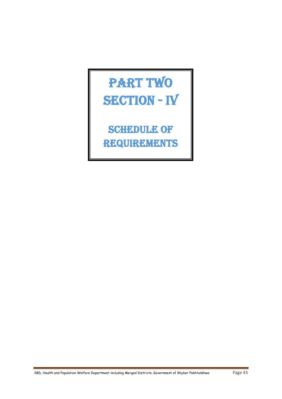# PART TWO SECTION - IV

**SCHEDULE OF** Requirements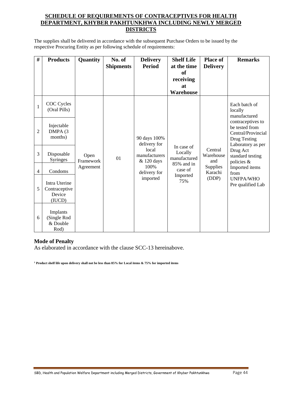## **SCHEDULE OF REQUIREMENTS OF CONTRACEPTIVES FOR HEALTH DEPARTMENT, KHYBER PAKHTUNKHWA INCLUDING NEWLY MERGED DISTRICTS**

The supplies shall be delivered in accordance with the subsequent Purchase Orders to be issued by the respective Procuring Entity as per following schedule of requirements:

| #              | <b>Products</b>                                    | Quantity          | No. of<br><b>Shipments</b> | <b>Delivery</b><br><b>Period</b>     | <b>Shelf Life</b><br>at the time<br>of              | <b>Place of</b><br><b>Delivery</b> | <b>Remarks</b>                                                                                 |
|----------------|----------------------------------------------------|-------------------|----------------------------|--------------------------------------|-----------------------------------------------------|------------------------------------|------------------------------------------------------------------------------------------------|
|                |                                                    |                   |                            |                                      | receiving                                           |                                    |                                                                                                |
|                |                                                    |                   |                            |                                      | <b>at</b>                                           |                                    |                                                                                                |
|                |                                                    |                   |                            |                                      | Warehouse                                           |                                    |                                                                                                |
| $\mathbf{1}$   | COC Cycles<br>(Oral Pills)                         |                   |                            |                                      |                                                     |                                    | Each batch of<br>locally<br>manufactured                                                       |
| $\overline{2}$ | Injectable<br>DMPA (3<br>months)                   |                   |                            | 90 days 100%<br>delivery for         |                                                     |                                    | contraceptives to<br>be tested from<br>Central/Provincial<br>Drug Testing<br>Laboratory as per |
| 3              | Disposable<br><b>Syringes</b>                      | Open<br>Framework | 01                         | local<br>manufacturers<br>& 120 days | In case of<br>Locally<br>manufactured<br>85% and in | Central<br>Warehouse<br>and        | Drug Act<br>standard testing<br>policies &                                                     |
| 4              | Condoms                                            | Agreement         |                            | 100%<br>delivery for                 | case of<br>Imported                                 | Supplies<br>Karachi                | Imported items<br>from                                                                         |
| 5              | Intra Uterine<br>Contraceptive<br>Device<br>(IUCD) |                   |                            | imported                             | 75%                                                 | (DDP)                              | <b>UNFPA/WHO</b><br>Pre qualified Lab                                                          |
| 6              | Implants<br>(Single Rod<br>& Double<br>Rod)        |                   |                            |                                      |                                                     |                                    |                                                                                                |

# **Mode of Penalty**

As elaborated in accordance with the clause SCC-13 hereinabove.

**<sup>1</sup> Product shelf life upon delivery shall not be less than 85% for Local items & 75% for imported items**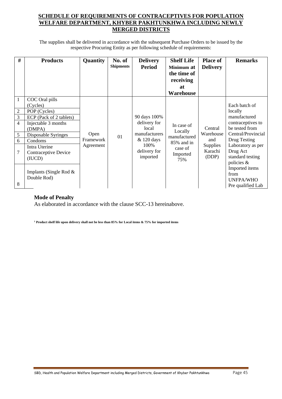# **SCHEDULE OF REQUIREMENTS OF CONTRACEPTIVES FOR POPULATION WELFARE DEPARTMENT, KHYBER PAKHTUNKHWA INCLUDING NEWLY MERGED DISTRICTS**

The supplies shall be delivered in accordance with the subsequent Purchase Orders to be issued by the respective Procuring Entity as per following schedule of requirements:

| #                                                              | <b>Products</b>                                                                                                                                                                                                                        | Quantity                       | No. of<br><b>Shipments</b> | <b>Delivery</b><br><b>Period</b>                                                                            | <b>Shelf Life</b><br>Minimum at<br>the time of<br>receiving<br>at<br>Warehouse    | <b>Place of</b><br><b>Delivery</b>                                 | <b>Remarks</b>                                                                                                                                                                                                                                              |
|----------------------------------------------------------------|----------------------------------------------------------------------------------------------------------------------------------------------------------------------------------------------------------------------------------------|--------------------------------|----------------------------|-------------------------------------------------------------------------------------------------------------|-----------------------------------------------------------------------------------|--------------------------------------------------------------------|-------------------------------------------------------------------------------------------------------------------------------------------------------------------------------------------------------------------------------------------------------------|
| 1<br>$\mathfrak{2}$<br>3<br>$\overline{4}$<br>5<br>6<br>7<br>8 | COC Oral pills<br>(Cycles)<br>POP (Cycles)<br>ECP (Pack of 2 tablets)<br>Injectable 3 months<br>(DMPA)<br>Disposable Syringes<br>Condoms<br>Intra Uterine<br>Contraceptive Device<br>(IUCD)<br>Implants (Single Rod $&$<br>Double Rod) | Open<br>Framework<br>Agreement | 01                         | 90 days 100%<br>delivery for<br>local<br>manufacturers<br>$&$ 120 days<br>100\%<br>delivery for<br>imported | In case of<br>Locally<br>manufactured<br>85% and in<br>case of<br>Imported<br>75% | Central<br>Warehouse<br>and<br><b>Supplies</b><br>Karachi<br>(DDP) | Each batch of<br>locally<br>manufactured<br>contraceptives to<br>be tested from<br>Central/Provincial<br>Drug Testing<br>Laboratory as per<br>Drug Act<br>standard testing<br>policies &<br>Imported items<br>from<br><b>UNFPA/WHO</b><br>Pre qualified Lab |

# **Mode of Penalty**

As elaborated in accordance with the clause SCC-13 hereinabove.

**<sup>1</sup> Product shelf life upon delivery shall not be less than 85% for Local items & 75% for imported items**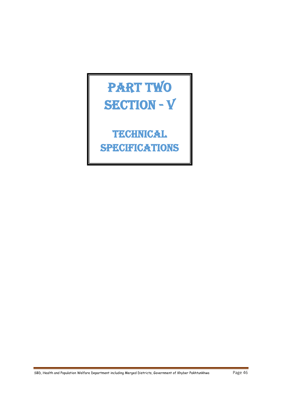# PART TWO SECTION - V

Technical **SPECIFICATIONS**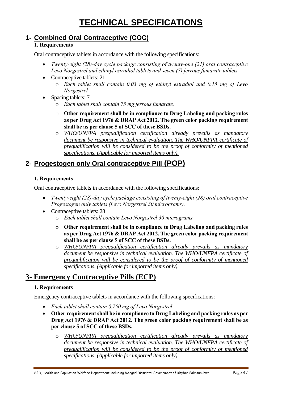# **TECHNICAL SPECIFICATIONS**

# **1- Combined Oral Contraceptive (COC)**

# **1. Requirements**

Oral contraceptive tablets in accordance with the following specifications:

- *Twenty-eight (28)-day cycle package consisting of twenty-one (21) oral contraceptive Levo Norgestrel and ethinyl estradiol tablets and seven (7) ferrous fumarate tablets.*
- Contraceptive tablets: 21
	- o *Each tablet shall contain 0.03 mg of ethinyl estradiol and 0.15 mg of Levo Norgestrel.*
- Spacing tablets: 7
	- o *Each tablet shall contain 75 mg ferrous fumarate.*
	- o **Other requirement shall be in compliance to Drug Labeling and packing rules as per Drug Act 1976 & DRAP Act 2012. The green color packing requirement shall be as per clause 5 of SCC of these BSDs.**
	- o *WHO/UNFPA prequalification certification already prevails as mandatory document be responsive in technical evaluation. The WHO/UNFPA certificate of prequalification will be considered to be the proof of conformity of mentioned specifications. (Applicable for imported items only).*

# **2- Progestogen only Oral contraceptive Pill (POP)**

# **1. Requirements**

Oral contraceptive tablets in accordance with the following specifications:

- *Twenty-eight (28)-day cycle package consisting of twenty-eight (28) oral contraceptive Progestogen only tablets (Levo Norgestrel 30 micrograms).*
- Contraceptive tablets: 28
	- o *Each tablet shall contain Levo Norgestrel 30 micrograms.*
	- o **Other requirement shall be in compliance to Drug Labeling and packing rules as per Drug Act 1976 & DRAP Act 2012. The green color packing requirement shall be as per clause 5 of SCC of these BSDs.**
	- o *WHO/UNFPA prequalification certification already prevails as mandatory document be responsive in technical evaluation. The WHO/UNFPA certificate of prequalification will be considered to be the proof of conformity of mentioned specifications. (Applicable for imported items only).*

# **3- Emergency Contraceptive Pills (ECP)**

# **1. Requirements**

Emergency contraceptive tablets in accordance with the following specifications:

- *Each tablet shall contain 0.750 mg of Levo Norgestrel*
- **Other requirement shall be in compliance to Drug Labeling and packing rules as per Drug Act 1976 & DRAP Act 2012. The green color packing requirement shall be as per clause 5 of SCC of these BSDs.**
	- o *WHO/UNFPA prequalification certification already prevails as mandatory document be responsive in technical evaluation. The WHO/UNFPA certificate of prequalification will be considered to be the proof of conformity of mentioned specifications. (Applicable for imported items only).*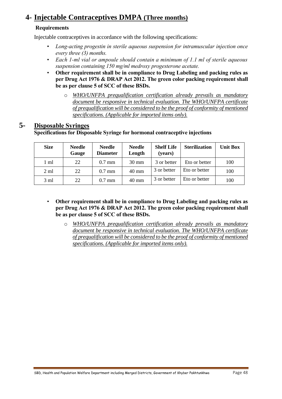# **4- Injectable Contraceptives DMPA (Three months)**

# **Requirements**

Injectable contraceptives in accordance with the following specifications:

- *Long-acting progestin in sterile aqueous suspension for intramuscular injection once every three (3) months.*
- *Each 1-ml vial or ampoule should contain a minimum of 1.1 ml of sterile aqueous suspension containing 150 mg/ml medroxy progesterone acetate.*
- **Other requirement shall be in compliance to Drug Labeling and packing rules as per Drug Act 1976 & DRAP Act 2012. The green color packing requirement shall be as per clause 5 of SCC of these BSDs.**
	- o *WHO/UNFPA prequalification certification already prevails as mandatory document be responsive in technical evaluation. The WHO/UNFPA certificate of prequalification will be considered to be the proof of conformity of mentioned specifications. (Applicable for imported items only).*

# **5- Disposable Syringes**

# **Specifications for Disposable Syringe for hormonal contraceptive injections**

| <b>Size</b>    | <b>Needle</b><br>Gauge | <b>Needle</b><br><b>Diameter</b> | <b>Needle</b><br>Length | <b>Shelf Life</b><br>(years) | <b>Sterilization</b> | <b>Unit Box</b> |
|----------------|------------------------|----------------------------------|-------------------------|------------------------------|----------------------|-----------------|
| 1 ml           | 22                     | $0.7$ mm                         | $30 \text{ mm}$         | 3 or better                  | Eto or better        | 100             |
| $2 \text{ ml}$ | 22                     | $0.7$ mm                         | 40 mm                   | 3 or better                  | Eto or better        | 100             |
| $3 \text{ ml}$ | 22                     | $0.7$ mm                         | $40 \text{ mm}$         | 3 or better                  | Eto or better        | 100             |

- **Other requirement shall be in compliance to Drug Labeling and packing rules as per Drug Act 1976 & DRAP Act 2012. The green color packing requirement shall be as per clause 5 of SCC of these BSDs.**
	- o *WHO/UNFPA prequalification certification already prevails as mandatory document be responsive in technical evaluation. The WHO/UNFPA certificate of prequalification will be considered to be the proof of conformity of mentioned specifications. (Applicable for imported items only).*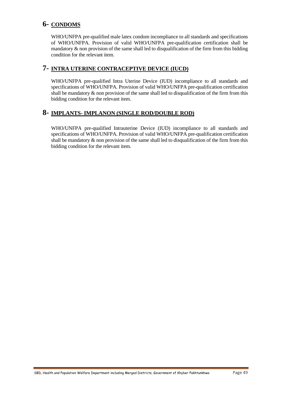# **6- CONDOMS**

WHO/UNFPA pre-qualified male latex condom incompliance to all standards and specifications of WHO/UNFPA. Provision of valid WHO/UNFPA pre-qualification certification shall be mandatory & non provision of the same shall led to disqualification of the firm from this bidding condition for the relevant item.

# **7- INTRA UTERINE CONTRACEPTIVE DEVICE (IUCD)**

WHO/UNFPA pre-qualified Intra Uterine Device (IUD) incompliance to all standards and specifications of WHO/UNFPA. Provision of valid WHO/UNFPA pre-qualification certification shall be mandatory  $\&$  non provision of the same shall led to disqualification of the firm from this bidding condition for the relevant item.

# **8- IMPLANTS- IMPLANON (SINGLE ROD/DOUBLE ROD)**

WHO/UNFPA pre-qualified Intrauterine Device (IUD) incompliance to all standards and specifications of WHO/UNFPA. Provision of valid WHO/UNFPA pre-qualification certification shall be mandatory & non provision of the same shall led to disqualification of the firm from this bidding condition for the relevant item.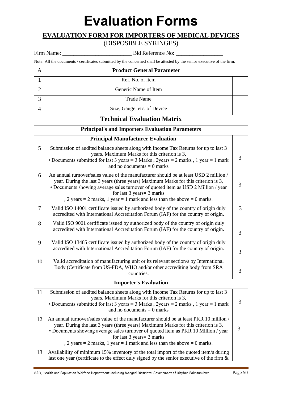# **Evaluation Forms**

# **EVALUATION FORM FOR IMPORTERS OF MEDICAL DEVICES**  (DISPOSIBLE SYRINGES)

Firm Name: \_\_\_\_\_\_\_\_\_\_\_\_\_\_\_\_\_\_\_\_\_\_\_\_\_ Bid Reference No: \_\_\_\_\_\_\_\_\_\_\_\_\_\_\_\_\_

Note: All the documents / certificates submitted by the concerned shall be attested by the senior executive of the firm.

| A              | <b>Product General Parameter</b>                                                                                                                                                                                                                                                                                                                                                                                                        |   |
|----------------|-----------------------------------------------------------------------------------------------------------------------------------------------------------------------------------------------------------------------------------------------------------------------------------------------------------------------------------------------------------------------------------------------------------------------------------------|---|
| 1              | Ref. No. of item                                                                                                                                                                                                                                                                                                                                                                                                                        |   |
| $\overline{2}$ | Generic Name of Item                                                                                                                                                                                                                                                                                                                                                                                                                    |   |
| 3              | <b>Trade Name</b>                                                                                                                                                                                                                                                                                                                                                                                                                       |   |
| $\overline{4}$ | Size, Gauge, etc. of Device                                                                                                                                                                                                                                                                                                                                                                                                             |   |
|                | <b>Technical Evaluation Matrix</b>                                                                                                                                                                                                                                                                                                                                                                                                      |   |
|                | <b>Principal's and Importers Evaluation Parameters</b>                                                                                                                                                                                                                                                                                                                                                                                  |   |
|                | <b>Principal Manufacturer Evaluation</b>                                                                                                                                                                                                                                                                                                                                                                                                |   |
| 5              | Submission of audited balance sheets along with Income Tax Returns for up to last 3<br>years. Maximum Marks for this criterion is 3,<br>• Documents submitted for last 3 years = $3$ Marks, 2years = $2$ marks, 1 year = $1$ mark<br>and no documents $= 0$ marks                                                                                                                                                                       | 3 |
| 6              | An annual turnover/sales value of the manufacturer should be at least USD 2 million /<br>year. During the last 3 years (three years) Maximum Marks for this criterion is 3,<br>• Documents showing average sales turnover of quoted item as USD 2 Million / year<br>for last $3 \text{ years} = 3 \text{ marks}$<br>$, 2 \text{ years} = 2 \text{ marks}, 1 \text{ year} = 1 \text{ mark}$ and less than the above $= 0 \text{ marks}.$ | 3 |
| 7              | Valid ISO 14001 certificate issued by authorized body of the country of origin duly<br>accredited with International Accreditation Forum (IAF) for the country of origin.                                                                                                                                                                                                                                                               | 3 |
| 8              | Valid ISO 9001 certificate issued by authorized body of the country of origin duly<br>accredited with International Accreditation Forum (IAF) for the country of origin.                                                                                                                                                                                                                                                                | 3 |
| 9              | Valid ISO 13485 certificate issued by authorized body of the country of origin duly<br>accredited with International Accreditation Forum (IAF) for the country of origin.                                                                                                                                                                                                                                                               | 3 |
| 10             | Valid accreditation of manufacturing unit or its relevant section/s by International<br>Body (Certificate from US-FDA, WHO and/or other accrediting body from SRA<br>countries.                                                                                                                                                                                                                                                         | 3 |
|                | <b>Importer's Evaluation</b>                                                                                                                                                                                                                                                                                                                                                                                                            |   |
| 11             | Submission of audited balance sheets along with Income Tax Returns for up to last 3<br>years. Maximum Marks for this criterion is 3,<br>• Documents submitted for last 3 years = $3$ Marks, 2years = $2$ marks, 1 year = $1$ mark<br>and no documents $= 0$ marks                                                                                                                                                                       | 3 |
| 12             | An annual turnover/sales value of the manufacturer should be at least PKR 10 million /<br>year. During the last 3 years (three years) Maximum Marks for this criterion is 3,<br>• Documents showing average sales turnover of quoted item as PKR 10 Million / year<br>for last 3 years = 3 marks<br>, 2 years = 2 marks, 1 year = 1 mark and less than the above = 0 marks.                                                             | 3 |
| 13             | Availability of minimum 15% inventory of the total import of the quoted item/s during<br>last one year (certificate to the effect duly signed by the senior executive of the firm $\&$                                                                                                                                                                                                                                                  |   |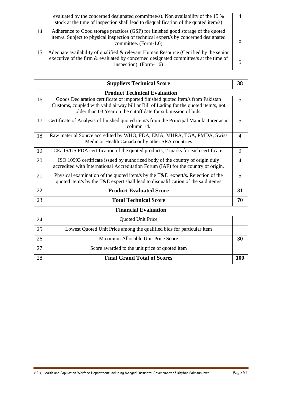|    | evaluated by the concerned designated committee/s). Non availability of the 15 %<br>stock at the time of inspection shall lead to disqualification of the quoted item/s)                                                                | 4              |
|----|-----------------------------------------------------------------------------------------------------------------------------------------------------------------------------------------------------------------------------------------|----------------|
| 14 | Adherence to Good storage practices (GSP) for finished good storage of the quoted<br>item/s. Subject to physical inspection of technical expert/s by concerned designated<br>committee. (Form-1.6)                                      | 5              |
| 15 | Adequate availability of qualified & relevant Human Resource (Certified by the senior<br>executive of the firm & evaluated by concerned designated committee/s at the time of<br>inspection). (Form-1.6)                                | 5              |
|    | <b>Suppliers Technical Score</b>                                                                                                                                                                                                        | 38             |
|    | <b>Product Technical Evaluation</b>                                                                                                                                                                                                     |                |
| 16 | Goods Declaration certificate of imported finished quoted item/s from Pakistan<br>Customs, coupled with valid airway bill or Bill of Lading for the quoted item/s, not<br>older than 03 Year on the cutoff date for submission of bids. | 5              |
| 17 | Certificate of Analysis of finished quoted item/s from the Principal Manufacturer as in<br>column 14.                                                                                                                                   | 5              |
| 18 | Raw material Source accredited by WHO, FDA, EMA, MHRA, TGA, PMDA, Swiss<br>Medic or Health Canada or by other SRA countries                                                                                                             | $\overline{4}$ |
| 19 | CE/JIS/US FDA certification of the quoted products, 2 marks for each certificate.                                                                                                                                                       | 9              |
| 20 | ISO 10993 certificate issued by authorized body of the country of origin duly<br>accredited with International Accreditation Forum (IAF) for the country of origin.                                                                     | $\overline{4}$ |
| 21 | Physical examination of the quoted item/s by the T&E expert/s. Rejection of the<br>quoted item/s by the T&E expert shall lead to disqualification of the said item/s                                                                    | 5              |
| 22 | <b>Product Evaluated Score</b>                                                                                                                                                                                                          | 31             |
| 23 | <b>Total Technical Score</b>                                                                                                                                                                                                            | 70             |
|    | <b>Financial Evaluation</b>                                                                                                                                                                                                             |                |
| 24 | Quoted Unit Price                                                                                                                                                                                                                       |                |
| 25 | Lowest Quoted Unit Price among the qualified bids for particular item                                                                                                                                                                   |                |
| 26 | Maximum Allocable Unit Price Score                                                                                                                                                                                                      | 30             |
| 27 | Score awarded to the unit price of quoted item                                                                                                                                                                                          |                |
| 28 | <b>Final Grand Total of Scores</b>                                                                                                                                                                                                      | <b>100</b>     |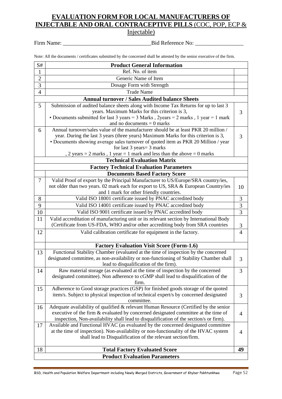# **EVALUATION FORM FOR LOCAL MANUFACTURERS OF INJECTABLE AND ORAL CONTRACEPTIVE PILLS** (COC, POP, ECP & Injectable)

Firm Name: \_\_\_\_\_\_\_\_\_\_\_\_\_\_\_\_\_\_\_\_\_\_\_\_\_\_\_\_\_\_\_Bid Reference No: \_\_\_\_\_\_\_\_\_\_\_\_\_\_\_\_\_

Note: All the documents / certificates submitted by the concerned shall be attested by the senior executive of the firm.

| S#             | <b>Product General Information</b>                                                        |                |
|----------------|-------------------------------------------------------------------------------------------|----------------|
| $\mathbf{1}$   | Ref. No. of item                                                                          |                |
| $\overline{c}$ | Generic Name of Item                                                                      |                |
| $\overline{3}$ | Dosage Form with Strength                                                                 |                |
| $\overline{4}$ | <b>Trade Name</b>                                                                         |                |
|                | <b>Annual turnover / Sales Audited balance Sheets</b>                                     |                |
| 5              | Submission of audited balance sheets along with Income Tax Returns for up to last 3       |                |
|                | years. Maximum Marks for this criterion is 3,                                             | 3              |
|                | • Documents submitted for last 3 years = $3$ Marks, 2years = $2$ marks, 1 year = $1$ mark |                |
|                | and no documents $= 0$ marks                                                              |                |
| 6              | Annual turnover/sales value of the manufacturer should be at least PKR 20 million /       |                |
|                | year. During the last 3 years (three years) Maximum Marks for this criterion is 3,        | 3              |
|                | • Documents showing average sales turnover of quoted item as PKR 20 Million / year        |                |
|                | for last 3 years = 3 marks                                                                |                |
|                | , 2 years = 2 marks, 1 year = 1 mark and less than the above = 0 marks                    |                |
|                | <b>Technical Evaluation Matrix</b>                                                        |                |
|                | <b>Factory Technical Evaluation Parameters</b>                                            |                |
|                | <b>Documents Based Factory Score</b>                                                      |                |
| $\overline{7}$ | Valid Proof of export by the Principal Manufacturer to US/Europe/SRA country/ies,         |                |
|                | not older than two years. 02 mark each for export to US, SRA & European Country/ies       | 10             |
|                | and 1 mark for other friendly countries.                                                  |                |
| 8              | Valid ISO 18001 certificate issued by PNAC accredited body                                | 3              |
| 9              | Valid ISO 14001 certificate issued by PNAC accredited body                                | 3              |
| 10             | Valid ISO 9001 certificate issued by PNAC accredited body                                 | $\overline{3}$ |
| 11             | Valid accreditation of manufacturing unit or its relevant section by International Body   |                |
|                | (Certificate from US-FDA, WHO and/or other accrediting body from SRA countries            | $\mathfrak{Z}$ |
| 12             | Valid calibration certificate for equipment in the factory.                               | $\overline{4}$ |
|                |                                                                                           |                |
|                | <b>Factory Evaluation Visit Score (Form-1.6)</b>                                          |                |
| 13             | Functional Stability Chamber (evaluated at the time of inspection by the concerned        |                |
|                | designated committee, as non-availability or non-functioning of Stability Chamber shall   | 3              |
|                | lead to disqualification of the firm).                                                    |                |
| 14             | Raw material storage (as evaluated at the time of inspection by the concerned             | 3              |
|                | designated committee). Non adherence to cGMP shall lead to disqualification of the        |                |
|                | firm.                                                                                     |                |
| 15             | Adherence to Good storage practices (GSP) for finished goods storage of the quoted        |                |
|                | item/s. Subject to physical inspection of technical expert/s by concerned designated      | 3              |
|                | committee.                                                                                |                |
| 16             | Adequate availability of qualified & relevant Human Resource (Certified by the senior     |                |
|                | executive of the firm & evaluated by concerned designated committee at the time of        | $\overline{4}$ |
|                | inspection, Non-availability shall lead to disqualification of the section/s or firm).    |                |
| 17             | Available and Functional HVAC (as evaluated by the concerned designated committee         |                |
|                | at the time of inspection). Non-availability or non-functionality of the HVAC system      | 4              |
|                | shall lead to Disqualification of the relevant section/firm.                              |                |
|                |                                                                                           |                |
| 18             | <b>Total Factory Evaluated Score</b>                                                      | 49             |
|                | <b>Product Evaluation Parameters</b>                                                      |                |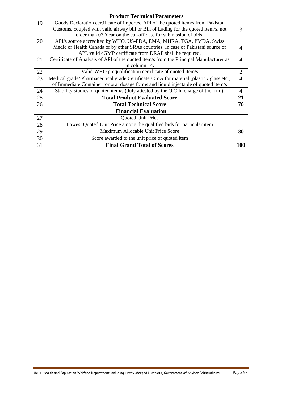|    | <b>Product Technical Parameters</b>                                                      |                |
|----|------------------------------------------------------------------------------------------|----------------|
| 19 | Goods Declaration certificate of imported API of the quoted item/s from Pakistan         |                |
|    | Customs, coupled with valid airway bill or Bill of Lading for the quoted item/s, not     | 3              |
|    | older than 03 Year on the cut-off date for submission of bids.                           |                |
| 20 | API/s source accredited by WHO, US-FDA, EMA, MHRA, TGA, PMDA, Swiss                      |                |
|    | Medic or Health Canada or by other SRAs countries. In case of Pakistani source of        |                |
|    | API, valid cGMP certificate from DRAP shall be required.                                 |                |
| 21 | Certificate of Analysis of API of the quoted item/s from the Principal Manufacturer as   | 4              |
|    | in column 14.                                                                            |                |
| 22 | Valid WHO prequalification certificate of quoted item/s                                  | $\overline{2}$ |
| 23 | Medical grade/Pharmaceutical grade Certificate / CoA for material (plastic / glass etc.) | $\overline{4}$ |
|    | of Immediate Container for oral dosage forms and liquid injectable of quoted item/s      |                |
| 24 | Stability studies of quoted item/s (duly attested by the Q.C In charge of the firm).     | $\overline{A}$ |
| 25 | <b>Total Product Evaluated Score</b>                                                     | 21             |
| 26 | <b>Total Technical Score</b>                                                             | 70             |
|    | <b>Financial Evaluation</b>                                                              |                |
| 27 | Quoted Unit Price                                                                        |                |
| 28 | Lowest Quoted Unit Price among the qualified bids for particular item                    |                |
| 29 | Maximum Allocable Unit Price Score                                                       | 30             |
| 30 | Score awarded to the unit price of quoted item                                           |                |
| 31 | <b>Final Grand Total of Scores</b>                                                       | 100            |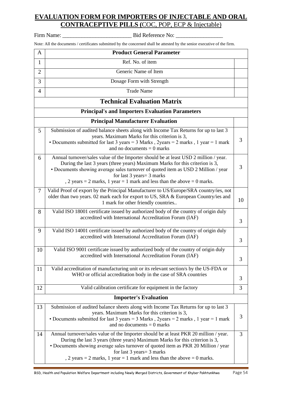# **EVALUATION FORM FOR IMPORTERS OF INJECTABLE AND ORAL CONTRACEPTIVE PILLS (**COC, POP, ECP & Injectable)

Firm Name: \_\_\_\_\_\_\_\_\_\_\_\_\_\_\_\_\_\_\_\_\_\_\_\_\_ Bid Reference No: \_\_\_\_\_\_\_\_\_\_\_\_\_\_\_\_\_

|                | Note: All the documents / certificates submitted by the concerned shall be attested by the senior executive of the firm.                                                                                                                                                                                                                                                               |    |
|----------------|----------------------------------------------------------------------------------------------------------------------------------------------------------------------------------------------------------------------------------------------------------------------------------------------------------------------------------------------------------------------------------------|----|
| $\mathbf{A}$   | <b>Product General Parameter</b>                                                                                                                                                                                                                                                                                                                                                       |    |
| $\mathbf{1}$   | Ref. No. of item                                                                                                                                                                                                                                                                                                                                                                       |    |
| $\overline{2}$ | Generic Name of Item                                                                                                                                                                                                                                                                                                                                                                   |    |
| 3              | Dosage Form with Strength                                                                                                                                                                                                                                                                                                                                                              |    |
| 4              | <b>Trade Name</b>                                                                                                                                                                                                                                                                                                                                                                      |    |
|                | <b>Technical Evaluation Matrix</b>                                                                                                                                                                                                                                                                                                                                                     |    |
|                | <b>Principal's and Importers Evaluation Parameters</b>                                                                                                                                                                                                                                                                                                                                 |    |
|                | <b>Principal Manufacturer Evaluation</b>                                                                                                                                                                                                                                                                                                                                               |    |
| 5              | Submission of audited balance sheets along with Income Tax Returns for up to last 3<br>years. Maximum Marks for this criterion is 3,<br>• Documents submitted for last 3 years = $3$ Marks, 2years = $2$ marks, 1 year = $1$ mark<br>and no documents $= 0$ marks                                                                                                                      | 3  |
| 6              | Annual turnover/sales value of the Importer should be at least USD 2 million / year.<br>During the last 3 years (three years) Maximum Marks for this criterion is 3,<br>• Documents showing average sales turnover of quoted item as USD 2 Million / year<br>for last $3 \text{ years} = 3 \text{ marks}$<br>, 2 years = 2 marks, 1 year = 1 mark and less than the above = 0 marks.   | 3  |
| 7              | Valid Proof of export by the Principal Manufacturer to US/Europe/SRA country/ies, not<br>older than two years. 02 mark each for export to US, SRA & European Country/ies and<br>1 mark for other friendly countries                                                                                                                                                                    | 10 |
| 8              | Valid ISO 18001 certificate issued by authorized body of the country of origin duly<br>accredited with International Accreditation Forum (IAF)                                                                                                                                                                                                                                         | 3  |
| 9              | Valid ISO 14001 certificate issued by authorized body of the country of origin duly<br>accredited with International Accreditation Forum (IAF)                                                                                                                                                                                                                                         | 3  |
| 10             | Valid ISO 9001 certificate issued by authorized body of the country of origin duly<br>accredited with International Accreditation Forum (IAF)                                                                                                                                                                                                                                          | 3  |
| 11             | Valid accreditation of manufacturing unit or its relevant section/s by the US-FDA or<br>WHO or official accreditation body in the case of SRA countries                                                                                                                                                                                                                                | 3  |
| 12             | Valid calibration certificate for equipment in the factory                                                                                                                                                                                                                                                                                                                             | 3  |
|                | <b>Importer's Evaluation</b>                                                                                                                                                                                                                                                                                                                                                           |    |
| 13             | Submission of audited balance sheets along with Income Tax Returns for up to last 3<br>years. Maximum Marks for this criterion is 3,<br>• Documents submitted for last 3 years = $3$ Marks, 2years = $2$ marks, 1 year = $1$ mark<br>and no documents $= 0$ marks                                                                                                                      | 3  |
| 14             | Annual turnover/sales value of the Importer should be at least PKR 20 million / year.<br>During the last 3 years (three years) Maximum Marks for this criterion is 3,<br>• Documents showing average sales turnover of quoted item as PKR 20 Million / year<br>for last $3 \text{ years} = 3 \text{ marks}$<br>, 2 years = 2 marks, 1 year = 1 mark and less than the above = 0 marks. | 3  |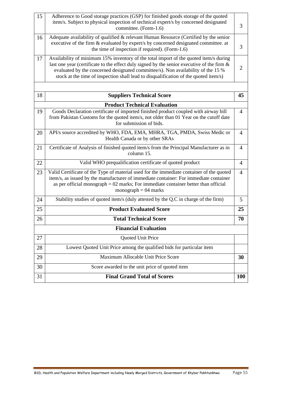| 15 | Adherence to Good storage practices (GSP) for finished goods storage of the quoted<br>item/s. Subject to physical inspection of technical expert/s by concerned designated<br>committee. (Form-1.6)                                                                                                                                                                | 3              |
|----|--------------------------------------------------------------------------------------------------------------------------------------------------------------------------------------------------------------------------------------------------------------------------------------------------------------------------------------------------------------------|----------------|
| 16 | Adequate availability of qualified & relevant Human Resource (Certified by the senior<br>executive of the firm & evaluated by expert/s by concerned designated committee. at<br>the time of inspection if required). (Form-1.6)                                                                                                                                    | 3              |
| 17 | Availability of minimum 15% inventory of the total import of the quoted item/s during<br>last one year (certificate to the effect duly signed by the senior executive of the firm $\&$<br>evaluated by the concerned designated committee/s). Non availability of the 15 %<br>stock at the time of inspection shall lead to disqualification of the quoted item/s) | $\overline{2}$ |
|    |                                                                                                                                                                                                                                                                                                                                                                    |                |
| 18 | <b>Suppliers Technical Score</b>                                                                                                                                                                                                                                                                                                                                   | 45             |
|    | <b>Product Technical Evaluation</b>                                                                                                                                                                                                                                                                                                                                |                |
| 19 | Goods Declaration certificate of imported finished product coupled with airway bill<br>from Pakistan Customs for the quoted item/s, not older than 01 Year on the cutoff date<br>for submission of bids.                                                                                                                                                           | $\overline{4}$ |
| 20 | API/s source accredited by WHO, FDA, EMA, MHRA, TGA, PMDA, Swiss Medic or<br>Health Canada or by other SRAs                                                                                                                                                                                                                                                        | $\overline{4}$ |
| 21 | Certificate of Analysis of finished quoted item/s from the Principal Manufacturer as in<br>column 15.                                                                                                                                                                                                                                                              | $\overline{4}$ |
| 22 | Valid WHO prequalification certificate of quoted product                                                                                                                                                                                                                                                                                                           | $\overline{4}$ |
| 23 | Valid Certificate of the Type of material used for the immediate container of the quoted<br>item/s, as issued by the manufacturer of immediate container: For immediate container<br>as per official monograph $= 02$ marks; For immediate container better than official<br>monograph $= 04$ marks                                                                | $\overline{4}$ |
| 24 | Stability studies of quoted item/s (duly attested by the Q.C in charge of the firm)                                                                                                                                                                                                                                                                                | 5              |
| 25 | <b>Product Evaluated Score</b>                                                                                                                                                                                                                                                                                                                                     | 25             |
| 26 | <b>Total Technical Score</b>                                                                                                                                                                                                                                                                                                                                       | 70             |
|    | <b>Financial Evaluation</b>                                                                                                                                                                                                                                                                                                                                        |                |
| 27 | Quoted Unit Price                                                                                                                                                                                                                                                                                                                                                  |                |
| 28 | Lowest Quoted Unit Price among the qualified bids for particular item                                                                                                                                                                                                                                                                                              |                |
| 29 | Maximum Allocable Unit Price Score                                                                                                                                                                                                                                                                                                                                 | 30             |
| 30 | Score awarded to the unit price of quoted item                                                                                                                                                                                                                                                                                                                     |                |
| 31 | <b>Final Grand Total of Scores</b>                                                                                                                                                                                                                                                                                                                                 | <b>100</b>     |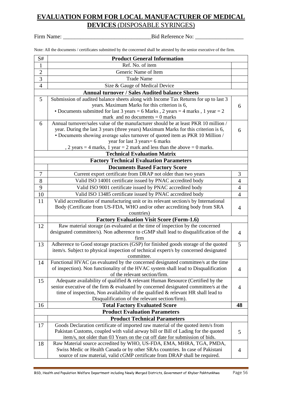# **EVALUATION FORM FOR LOCAL MANUFACTURER OF MEDICAL DEVICES** (DISPOSABLE SYRINGES)

Firm Name: \_\_\_\_\_\_\_\_\_\_\_\_\_\_\_\_\_\_\_\_\_\_\_\_\_\_\_\_\_\_\_Bid Reference No: \_\_\_\_\_\_\_\_\_\_\_\_\_\_\_\_\_

Note: All the documents / certificates submitted by the concerned shall be attested by the senior executive of the firm.

| S#             | <b>Product General Information</b>                                                                                                                                       |                |
|----------------|--------------------------------------------------------------------------------------------------------------------------------------------------------------------------|----------------|
| $\mathbf{1}$   | Ref. No. of item                                                                                                                                                         |                |
| $\overline{2}$ | Generic Name of Item                                                                                                                                                     |                |
| $\overline{3}$ | <b>Trade Name</b>                                                                                                                                                        |                |
| $\overline{4}$ | Size & Gauge of Medical Device                                                                                                                                           |                |
|                | <b>Annual turnover / Sales Audited balance Sheets</b>                                                                                                                    |                |
| 5              | Submission of audited balance sheets along with Income Tax Returns for up to last 3                                                                                      |                |
|                | years. Maximum Marks for this criterion is 6,                                                                                                                            | 6              |
|                | • Documents submitted for last 3 years = 6 Marks, 2 years = 4 marks, 1 year = 2                                                                                          |                |
|                | mark and no documents $= 0$ marks                                                                                                                                        |                |
| 6              | Annual turnover/sales value of the manufacturer should be at least PKR 10 million /                                                                                      |                |
|                | year. During the last 3 years (three years) Maximum Marks for this criterion is 6,<br>• Documents showing average sales turnover of quoted item as PKR 10 Million /      | 6              |
|                | year for last 3 years = 6 marks                                                                                                                                          |                |
|                | , 2 years = 4 marks, 1 year = 2 mark and less than the above = 0 marks.                                                                                                  |                |
|                | <b>Technical Evaluation Matrix</b>                                                                                                                                       |                |
|                | <b>Factory Technical Evaluation Parameters</b>                                                                                                                           |                |
|                | <b>Documents Based Factory Score</b>                                                                                                                                     |                |
| 7              | Current export certificate from DRAP not older than two years                                                                                                            | 3              |
| 8              | Valid ISO 14001 certificate issued by PNAC accredited body                                                                                                               | $\overline{4}$ |
| 9              | Valid ISO 9001 certificate issued by PNAC accredited body                                                                                                                | $\overline{4}$ |
| 10             | Valid ISO 13485 certificate issued by PNAC accredited body                                                                                                               | $\overline{4}$ |
| 11             | Valid accreditation of manufacturing unit or its relevant section/s by International                                                                                     |                |
|                | Body (Certificate from US-FDA, WHO and/or other accrediting body from SRA                                                                                                | $\overline{4}$ |
|                | countries)                                                                                                                                                               |                |
|                | <b>Factory Evaluation Visit Score (Form-1.6)</b>                                                                                                                         |                |
| 12             | Raw material storage (as evaluated at the time of inspection by the concerned                                                                                            |                |
|                | designated committee/s). Non adherence to cGMP shall lead to disqualification of the                                                                                     | $\overline{4}$ |
|                | firm                                                                                                                                                                     |                |
| 13             | Adherence to Good storage practices (GSP) for finished goods storage of the quoted                                                                                       | 5              |
|                | item/s. Subject to physical inspection of technical expert/s by concerned designated                                                                                     |                |
|                | committee.                                                                                                                                                               |                |
| 14             | Functional HVAC (as evaluated by the concerned designated committee/s at the time<br>of inspection). Non functionality of the HVAC system shall lead to Disqualification |                |
|                | of the relevant section/firm.                                                                                                                                            | 4              |
| 15             | Adequate availability of qualified & relevant Human Resource (Certified by the                                                                                           |                |
|                | senior executive of the firm & evaluated by concerned designated committee/s at the                                                                                      | 4              |
|                | time of inspection, Non availability of the qualified & relevant HR shall lead to                                                                                        |                |
|                | Disqualification of the relevant section/firm).                                                                                                                          |                |
| 16             | <b>Total Factory Evaluated Score</b>                                                                                                                                     | 48             |
|                | <b>Product Evaluation Parameters</b>                                                                                                                                     |                |
|                | <b>Product Technical Parameters</b>                                                                                                                                      |                |
| 17             | Goods Declaration certificate of imported raw material of the quoted item/s from                                                                                         |                |
|                | Pakistan Customs, coupled with valid airway bill or Bill of Lading for the quoted                                                                                        | 5              |
|                | item/s, not older than 03 Years on the cut off date for submission of bids.                                                                                              |                |
| 18             | Raw Material source accredited by WHO, US-FDA, EMA, MHRA, TGA, PMDA,                                                                                                     |                |
|                | Swiss Medic or Health Canada or by other SRAs countries. In case of Pakistani                                                                                            | 4              |
|                | source of raw material, valid cGMP certificate from DRAP shall be required.                                                                                              |                |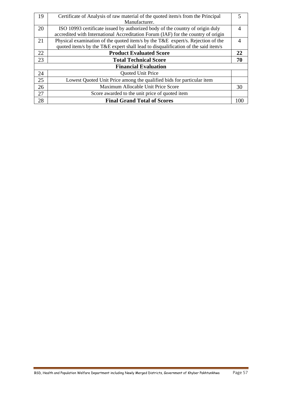| 19 | Certificate of Analysis of raw material of the quoted item/s from the Principal   |     |
|----|-----------------------------------------------------------------------------------|-----|
|    | Manufacturer.                                                                     |     |
| 20 | ISO 10993 certificate issued by authorized body of the country of origin duly     | 4   |
|    | accredited with International Accreditation Forum (IAF) for the country of origin |     |
| 21 | Physical examination of the quoted item/s by the T&E expert/s. Rejection of the   |     |
|    | quoted item/s by the T&E expert shall lead to disqualification of the said item/s |     |
| 22 | <b>Product Evaluated Score</b>                                                    | 22  |
| 23 | <b>Total Technical Score</b>                                                      | 70  |
|    | <b>Financial Evaluation</b>                                                       |     |
| 24 | <b>Quoted Unit Price</b>                                                          |     |
| 25 | Lowest Quoted Unit Price among the qualified bids for particular item             |     |
| 26 | Maximum Allocable Unit Price Score                                                | 30  |
| 27 | Score awarded to the unit price of quoted item                                    |     |
| 28 | <b>Final Grand Total of Scores</b>                                                | 100 |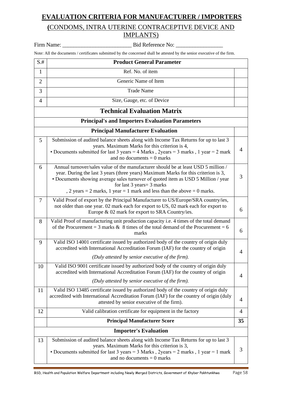# **EVALUATION CRITERIA FOR MANUFACTURER / IMPORTERS**

# **(**CONDOMS, INTRA UTERINE CONTRACEPTIVE DEVICE AND IMPLANTS)

|                | Firm Name:<br>Bid Reference No:                                                                                                                                                                                                                                                                                                                                                          |    |
|----------------|------------------------------------------------------------------------------------------------------------------------------------------------------------------------------------------------------------------------------------------------------------------------------------------------------------------------------------------------------------------------------------------|----|
|                | Note: All the documents / certificates submitted by the concerned shall be attested by the senior executive of the firm.                                                                                                                                                                                                                                                                 |    |
| $S.+$          | <b>Product General Parameter</b>                                                                                                                                                                                                                                                                                                                                                         |    |
| $\mathbf{1}$   | Ref. No. of item                                                                                                                                                                                                                                                                                                                                                                         |    |
| $\overline{2}$ | Generic Name of Item                                                                                                                                                                                                                                                                                                                                                                     |    |
| 3              | <b>Trade Name</b>                                                                                                                                                                                                                                                                                                                                                                        |    |
| 4              | Size, Gauge, etc. of Device                                                                                                                                                                                                                                                                                                                                                              |    |
|                | <b>Technical Evaluation Matrix</b>                                                                                                                                                                                                                                                                                                                                                       |    |
|                | <b>Principal's and Importers Evaluation Parameters</b>                                                                                                                                                                                                                                                                                                                                   |    |
|                | <b>Principal Manufacturer Evaluation</b>                                                                                                                                                                                                                                                                                                                                                 |    |
| 5              | Submission of audited balance sheets along with Income Tax Returns for up to last 3<br>years. Maximum Marks for this criterion is 4,<br>• Documents submitted for last 3 years = 4 Marks, 2years = 3 marks, 1 year = 2 mark<br>and no documents $= 0$ marks                                                                                                                              | 4  |
| 6              | Annual turnover/sales value of the manufacturer should be at least USD 5 million /<br>year. During the last 3 years (three years) Maximum Marks for this criterion is 3,<br>• Documents showing average sales turnover of quoted item as USD 5 Million / year<br>for last $3 \text{ years} = 3 \text{ marks}$<br>, 2 years = 2 marks, 1 year = 1 mark and less than the above = 0 marks. | 3  |
| $\tau$         | Valid Proof of export by the Principal Manufacturer to US/Europe/SRA country/ies,<br>not older than one year. 02 mark each for export to US, 02 mark each for export to<br>Europe & 02 mark for export to SRA Country/ies.                                                                                                                                                               | 6  |
| 8              | Valid Proof of manufacturing unit production capacity i.e. 4 times of the total demand<br>of the Procurement = 3 marks & 8 times of the total demand of the Procurement = $6$<br>marks                                                                                                                                                                                                   | 6  |
| 9              | Valid ISO 14001 certificate issued by authorized body of the country of origin duly<br>accredited with International Accreditation Forum (IAF) for the country of origin<br>(Duly attested by senior executive of the firm).                                                                                                                                                             | 4  |
| 10             | Valid ISO 9001 certificate issued by authorized body of the country of origin duly<br>accredited with International Accreditation Forum (IAF) for the country of origin<br>(Duly attested by senior executive of the firm).                                                                                                                                                              | 4  |
| 11             | Valid ISO 13485 certificate issued by authorized body of the country of origin duly<br>accredited with International Accreditation Forum (IAF) for the country of origin (duly<br>attested by senior executive of the firm).                                                                                                                                                             | 4  |
| 12             | Valid calibration certificate for equipment in the factory                                                                                                                                                                                                                                                                                                                               | 4  |
|                | <b>Principal Manufacturer Score</b>                                                                                                                                                                                                                                                                                                                                                      | 35 |
|                | <b>Importer's Evaluation</b>                                                                                                                                                                                                                                                                                                                                                             |    |
| 13             | Submission of audited balance sheets along with Income Tax Returns for up to last 3<br>years. Maximum Marks for this criterion is 3,<br>• Documents submitted for last 3 years = $3$ Marks, 2years = $2$ marks, 1 year = $1$ mark<br>and no documents $= 0$ marks                                                                                                                        | 3  |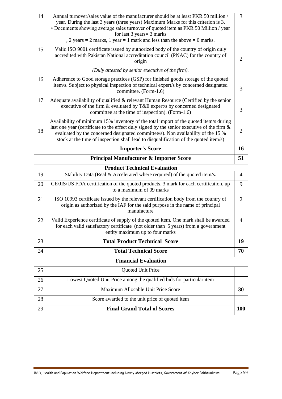| 14 |                                                                                                                                                                                                                                                                                                                                                                                            |                |
|----|--------------------------------------------------------------------------------------------------------------------------------------------------------------------------------------------------------------------------------------------------------------------------------------------------------------------------------------------------------------------------------------------|----------------|
|    | Annual turnover/sales value of the manufacturer should be at least PKR 50 million /<br>year. During the last 3 years (three years) Maximum Marks for this criterion is 3,<br>• Documents showing average sales turnover of quoted item as PKR 50 Million / year<br>for last $3 \text{ years} = 3 \text{ marks}$<br>, 2 years = 2 marks, 1 year = 1 mark and less than the above = 0 marks. | 3              |
| 15 | Valid ISO 9001 certificate issued by authorized body of the country of origin duly<br>accredited with Pakistan National accreditation council (PNAC) for the country of<br>origin                                                                                                                                                                                                          | 2              |
|    | (Duly attested by senior executive of the firm).                                                                                                                                                                                                                                                                                                                                           |                |
| 16 | Adherence to Good storage practices (GSP) for finished goods storage of the quoted<br>item/s. Subject to physical inspection of technical expert/s by concerned designated<br>committee. (Form-1.6)                                                                                                                                                                                        | 3              |
| 17 | Adequate availability of qualified & relevant Human Resource (Certified by the senior<br>executive of the firm & evaluated by T&E expert/s by concerned designated<br>committee at the time of inspection). (Form-1.6)                                                                                                                                                                     | 3              |
| 18 | Availability of minimum 15% inventory of the total import of the quoted item/s during<br>last one year (certificate to the effect duly signed by the senior executive of the firm $\&$<br>evaluated by the concerned designated committee/s). Non availability of the 15 %<br>stock at the time of inspection shall lead to disqualification of the quoted item/s)                         | $\overline{2}$ |
|    | <b>Importer's Score</b>                                                                                                                                                                                                                                                                                                                                                                    | 16             |
|    | <b>Principal Manufacturer &amp; Importer Score</b>                                                                                                                                                                                                                                                                                                                                         | 51             |
|    | <b>Product Technical Evaluation</b>                                                                                                                                                                                                                                                                                                                                                        |                |
| 19 | Stability Data (Real & Accelerated where required) of the quoted item/s.                                                                                                                                                                                                                                                                                                                   | 4              |
|    |                                                                                                                                                                                                                                                                                                                                                                                            |                |
| 20 | CE/JIS/US FDA certification of the quoted products, 3 mark for each certification, up<br>to a maximum of 09 marks                                                                                                                                                                                                                                                                          | 9              |
| 21 | ISO 10993 certificate issued by the relevant certification body from the country of<br>origin as authorized by the IAF for the said purpose in the name of principal<br>manufacture                                                                                                                                                                                                        | $\overline{2}$ |
| 22 | Valid Experience certificate of supply of the quoted item. One mark shall be awarded<br>for each valid satisfactory certificate (not older than 5 years) from a government<br>entity maximum up to four marks                                                                                                                                                                              | $\overline{4}$ |
| 23 | <b>Total Product Technical Score</b>                                                                                                                                                                                                                                                                                                                                                       | 19             |
| 24 | <b>Total Technical Score</b>                                                                                                                                                                                                                                                                                                                                                               | 70             |
|    | <b>Financial Evaluation</b>                                                                                                                                                                                                                                                                                                                                                                |                |
| 25 | Quoted Unit Price                                                                                                                                                                                                                                                                                                                                                                          |                |
| 26 | Lowest Quoted Unit Price among the qualified bids for particular item                                                                                                                                                                                                                                                                                                                      |                |
| 27 | Maximum Allocable Unit Price Score                                                                                                                                                                                                                                                                                                                                                         | 30             |
| 28 | Score awarded to the unit price of quoted item                                                                                                                                                                                                                                                                                                                                             |                |
| 29 | <b>Final Grand Total of Scores</b>                                                                                                                                                                                                                                                                                                                                                         | <b>100</b>     |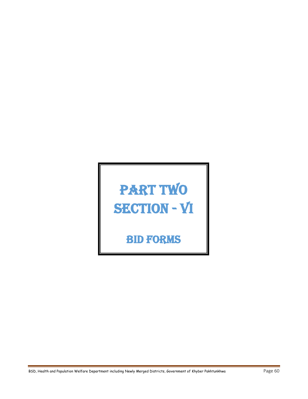# PART TWO SECTION - VI

Bid Forms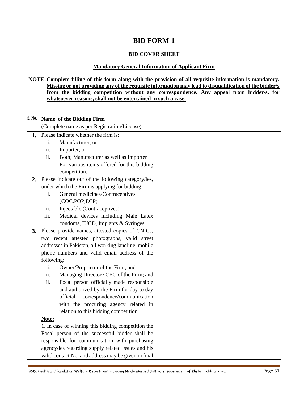# **BID FORM-1**

# **BID COVER SHEET**

#### **Mandatory General Information of Applicant Firm**

#### **NOTE:Complete filling of this form along with the provision of all requisite information is mandatory. Missing or not providing any of the requisite information may lead to disqualification of the bidder/s from the bidding competition without any correspondence. Any appeal from bidder/s, for whatsoever reasons, shall not be entertained in such a case.**

| S. No. | Name of the Bidding Firm                            |  |
|--------|-----------------------------------------------------|--|
|        | (Complete name as per Registration/License)         |  |
| 1.     | Please indicate whether the firm is:                |  |
|        | Manufacturer, or<br>i.                              |  |
|        | ii.<br>Importer, or                                 |  |
|        | Both; Manufacturer as well as Importer<br>iii.      |  |
|        | For various items offered for this bidding          |  |
|        | competition.                                        |  |
| 2.     | Please indicate out of the following category/ies,  |  |
|        | under which the Firm is applying for bidding:       |  |
|        | General medicines/Contraceptives<br>i.              |  |
|        | (COC,POP,ECP)                                       |  |
|        | Injectable (Contraceptives)<br>ii.                  |  |
|        | iii.<br>Medical devices including Male Latex        |  |
|        | condoms, IUCD, Implants & Syringes                  |  |
| 3.     | Please provide names, attested copies of CNICs,     |  |
|        | two recent attested photographs, valid street       |  |
|        | addresses in Pakistan, all working landline, mobile |  |
|        | phone numbers and valid email address of the        |  |
|        | following:                                          |  |
|        | i.<br>Owner/Proprietor of the Firm; and             |  |
|        | ii.<br>Managing Director / CEO of the Firm; and     |  |
|        | Focal person officially made responsible<br>iii.    |  |
|        | and authorized by the Firm for day to day           |  |
|        | official<br>correspondence/communication            |  |
|        | with the procuring agency related in                |  |
|        | relation to this bidding competition.               |  |
|        | Note:                                               |  |
|        | 1. In case of winning this bidding competition the  |  |
|        | Focal person of the successful bidder shall be      |  |
|        | responsible for communication with purchasing       |  |
|        | agency/ies regarding supply related issues and his  |  |
|        | valid contact No. and address may be given in final |  |

BSD, Health and Population Welfare Department including Newly Merged Districts, Government of Khyber Pakhtunkhwa Page 61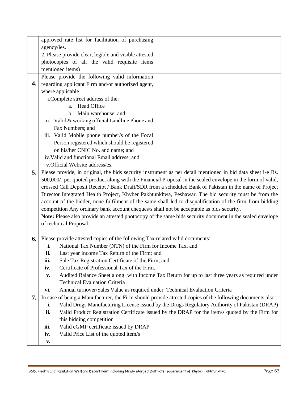|     |                                                                                                                                                                                                                  | approved rate list for facilitation of purchasing                            |                                                                                                           |
|-----|------------------------------------------------------------------------------------------------------------------------------------------------------------------------------------------------------------------|------------------------------------------------------------------------------|-----------------------------------------------------------------------------------------------------------|
|     | agency/ies.                                                                                                                                                                                                      |                                                                              |                                                                                                           |
|     |                                                                                                                                                                                                                  | 2. Please provide clear, legible and visible attested                        |                                                                                                           |
|     |                                                                                                                                                                                                                  | photocopies of all the valid requisite items                                 |                                                                                                           |
|     |                                                                                                                                                                                                                  | mentioned items)                                                             |                                                                                                           |
|     |                                                                                                                                                                                                                  | Please provide the following valid information                               |                                                                                                           |
| 4.  |                                                                                                                                                                                                                  | regarding applicant Firm and/or authorized agent,                            |                                                                                                           |
|     |                                                                                                                                                                                                                  |                                                                              |                                                                                                           |
|     |                                                                                                                                                                                                                  | where applicable                                                             |                                                                                                           |
|     |                                                                                                                                                                                                                  | i.Complete street address of the:                                            |                                                                                                           |
|     |                                                                                                                                                                                                                  | a. Head Office                                                               |                                                                                                           |
|     |                                                                                                                                                                                                                  | b. Main warehouse; and                                                       |                                                                                                           |
|     |                                                                                                                                                                                                                  | ii. Valid & working official Landline Phone and                              |                                                                                                           |
|     |                                                                                                                                                                                                                  | Fax Numbers; and                                                             |                                                                                                           |
|     |                                                                                                                                                                                                                  | iii. Valid Mobile phone number/s of the Focal                                |                                                                                                           |
|     |                                                                                                                                                                                                                  | Person registered which should be registered                                 |                                                                                                           |
|     |                                                                                                                                                                                                                  | on his/her CNIC No. and name; and                                            |                                                                                                           |
|     |                                                                                                                                                                                                                  | iv. Valid and functional Email address; and                                  |                                                                                                           |
|     |                                                                                                                                                                                                                  | v.Official Website address/es.                                               |                                                                                                           |
| 5.1 | Please provide, in original, the bids security instrument as per detail mentioned in bid data sheet i-e Rs.                                                                                                      |                                                                              |                                                                                                           |
|     | 500,000/- per quoted product along with the Financial Proposal in the sealed envelope in the form of valid,                                                                                                      |                                                                              |                                                                                                           |
|     | crossed Call Deposit Receipt / Bank Draft/SDR from a scheduled Bank of Pakistan in the name of Project                                                                                                           |                                                                              |                                                                                                           |
|     | Director Integrated Health Project, Khyber Pakhtunkhwa, Peshawar. The bid security must be from the<br>account of the bidder, none fulfilment of the same shall led to disqualification of the firm from bidding |                                                                              |                                                                                                           |
|     | competition Any ordinary bank account cheques/s shall not be acceptable as bids security.                                                                                                                        |                                                                              |                                                                                                           |
|     | Note: Please also provide an attested photocopy of the same bids security document in the sealed envelope                                                                                                        |                                                                              |                                                                                                           |
|     | of technical Proposal.                                                                                                                                                                                           |                                                                              |                                                                                                           |
|     |                                                                                                                                                                                                                  |                                                                              |                                                                                                           |
| 6.  |                                                                                                                                                                                                                  | Please provide attested copies of the following Tax related valid documents: |                                                                                                           |
|     | i.                                                                                                                                                                                                               | National Tax Number (NTN) of the Firm for Income Tax, and                    |                                                                                                           |
|     | ii.                                                                                                                                                                                                              | Last year Income Tax Return of the Firm; and                                 |                                                                                                           |
|     | iii.                                                                                                                                                                                                             | Sale Tax Registration Certificate of the Firm; and                           |                                                                                                           |
|     | iv.                                                                                                                                                                                                              | Certificate of Professional Tax of the Firm.                                 |                                                                                                           |
|     | $\mathbf{v}$ .                                                                                                                                                                                                   |                                                                              | Audited Balance Sheet along with Income Tax Return for up to last three years as required under           |
|     |                                                                                                                                                                                                                  | <b>Technical Evaluation Criteria</b>                                         |                                                                                                           |
|     | vi.                                                                                                                                                                                                              | Annual turnover/Sales Value as required under Technical Evaluation Criteria  |                                                                                                           |
| 7.  |                                                                                                                                                                                                                  |                                                                              | In case of being a Manufacturer, the Firm should provide attested copies of the following documents also: |
|     | i.                                                                                                                                                                                                               |                                                                              | Valid Drugs Manufacturing License issued by the Drugs Regulatory Authority of Pakistan (DRAP)             |
|     | ii.                                                                                                                                                                                                              |                                                                              | Valid Product Registration Certificate issued by the DRAP for the item/s quoted by the Firm for           |
|     |                                                                                                                                                                                                                  | this bidding competition                                                     |                                                                                                           |
|     | iii.                                                                                                                                                                                                             | Valid cGMP certificate issued by DRAP                                        |                                                                                                           |
|     | iv.                                                                                                                                                                                                              | Valid Price List of the quoted item/s                                        |                                                                                                           |
|     |                                                                                                                                                                                                                  |                                                                              |                                                                                                           |
|     | v.                                                                                                                                                                                                               |                                                                              |                                                                                                           |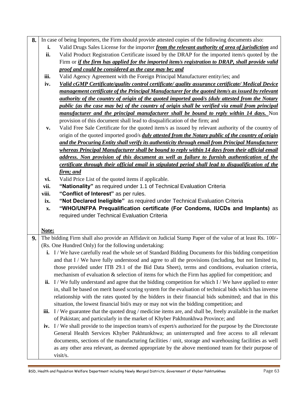- **8.** In case of being Importers, the Firm should provide attested copies of the following documents also:
	- **i.** Valid Drugs Sales License for the importer *from the relevant authority of area of jurisdiction* and
	- **ii.** Valid Product Registration Certificate issued by the DRAP for the imported item/s quoted by the Firm or *if the firm has applied for the imported item/s registration to DRAP, shall provide valid proof and could be considered as the case may be; and*
	- **iii.** Valid Agency Agreement with the Foreign Principal Manufacturer entity/ies; and
	- **iv.** *Valid cGMP Certificate/quality control certificate/ quality assurance certificate/ Medical Device management certificate of the Principal Manufacturer for the quoted item/s as issued by relevant authority of the country of origin of the quoted imported good/s (duly attested from the Notary public (as the case may be) of the country of origin shall be verified via email from principal manufacturer and the principal manufacturer shall be bound to reply within 14 days.* Non provision of this document shall lead to disqualification of the firm; and
	- **v.** Valid Free Sale Certificate for the quoted item/s as issued by relevant authority of the country of origin of the quoted imported good/s *duly attested from the Notary public of the country of origin and the Procuring Entity shall verify its authenticity through email from Principal Manufacturer whereas Principal Manufacturer shall be bound to reply within 14 days from their official email address. Non provision of this document as well as failure to furnish authentication of the certificate through their official email in stipulated period shall lead to disqualification of the firm; and*
	- **vi.** Valid Price List of the quoted items if applicable.
	- **vii. "Nationality"** as required under 1.1 of Technical Evaluation Criteria
	- **viii. "Conflict of Interest"** as per rules.
	- **ix. "Not Declared Ineligible"** as required under Technical Evaluation Criteria
	- **x. "WHO/UNFPA Prequalification certificate (For Condoms, IUCDs and Implants)** as required under Technical Evaluation Criteria

## **Note:**

- **9.** The bidding Firm shall also provide an Affidavit on Judicial Stamp Paper of the value of at least Rs. 100/-(Rs. One Hundred Only) for the following undertaking:
	- **i.** I/We have carefully read the whole set of Standard Bidding Documents for this bidding competition and that I / We have fully understood and agree to all the provisions (including, but not limited to, those provided under ITB 29.1 of the Bid Data Sheet), terms and conditions, evaluation criteria, mechanism of evaluation & selection of items for which the Firm has applied for competition; and
	- **ii.** I / We fully understand and agree that the bidding competition for which I / We have applied to enter in, shall be based on merit based scoring system for the evaluation of technical bids which has inverse relationship with the rates quoted by the bidders in their financial bids submitted; and that in this situation, the lowest financial bid/s may or may not win the bidding competition; and
	- **iii.** I/We guarantee that the quoted drug/medicine items are, and shall be, freely available in the market of Pakistan; and particularly in the market of Khyber Pakhtunkhwa Province; and
	- **iv.** I / We shall provide to the inspection team/s of expert/s authorized for the purpose by the Directorate General Health Services Khyber Pakhtunkhwa; an uninterrupted and free access to all relevant documents, sections of the manufacturing facilities / unit, storage and warehousing facilities as well as any other area relevant, as deemed appropriate by the above mentioned team for their purpose of visit/s.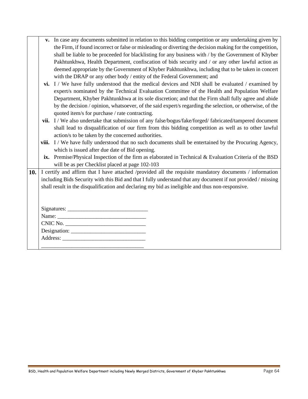| v. In case any documents submitted in relation to this bidding competition or any undertaking given by    |
|-----------------------------------------------------------------------------------------------------------|
| the Firm, if found incorrect or false or misleading or diverting the decision making for the competition, |
| shall be liable to be proceeded for blacklisting for any business with / by the Government of Khyber      |
| Pakhtunkhwa, Health Department, confiscation of bids security and / or any other lawful action as         |
| deemed appropriate by the Government of Khyber Pakhtunkhwa, including that to be taken in concert         |
| with the DRAP or any other body / entity of the Federal Government; and                                   |

| <b>vi.</b> I / We have fully understood that the medical devices and NDI shall be evaluated / examined by |
|-----------------------------------------------------------------------------------------------------------|
| expert/s nominated by the Technical Evaluation Committee of the Health and Population Welfare             |
| Department, Khyber Pakhtunkhwa at its sole discretion; and that the Firm shall fully agree and abide      |
| by the decision / opinion, whatsoever, of the said expert/s regarding the selection, or otherwise, of the |
| quoted item/s for purchase / rate contracting.                                                            |

- **vii.** I / We also undertake that submission of any false/bogus/fake/forged/ fabricated/tampered document shall lead to disqualification of our firm from this bidding competition as well as to other lawful action/s to be taken by the concerned authorities.
- **viii.** I / We have fully understood that no such documents shall be entertained by the Procuring Agency, which is issued after due date of Bid opening.
- **ix.** Premise/Physical Inspection of the firm as elaborated in Technical & Evaluation Criteria of the BSD will be as per Checklist placed at page 102-103
- **10.** I certify and affirm that I have attached /provided all the requisite mandatory documents / information including Bids Security with this Bid and that I fully understand that any document if not provided / missing shall result in the disqualification and declaring my bid as ineligible and thus non-responsive.

| Name: $\frac{1}{\sqrt{1-\frac{1}{2}}\cdot\frac{1}{\sqrt{1-\frac{1}{2}}}}$ |  |
|---------------------------------------------------------------------------|--|
| CNIC No.                                                                  |  |
|                                                                           |  |
|                                                                           |  |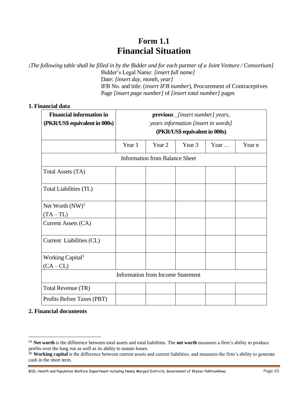# **Form 1.1 Financial Situation**

*[The following table shall be filled in by the Bidder and for each partner of a Joint Venture / Consortium]* Bidder's Legal Name: *[insert full name]* Date: *[insert day, month, year]* IFB No. and title: (*insert IFB number*), Procurement of Contraceptives Page *[insert page number]* of *[insert total number]* pages

## **1. Financial data**

| <b>Financial information in</b> | <b>previous</b> _ <i>[insert number]</i> years, |                                       |                               |              |        |
|---------------------------------|-------------------------------------------------|---------------------------------------|-------------------------------|--------------|--------|
| (PKR/US\$ equivalent in 000s)   | years information [insert in words]             |                                       |                               |              |        |
|                                 |                                                 |                                       | (PKR/US\$ equivalent in 000s) |              |        |
|                                 | Year 1                                          | Year 2                                | Year 3                        | Year $\dots$ | Year n |
|                                 |                                                 | <b>Information from Balance Sheet</b> |                               |              |        |
| Total Assets (TA)               |                                                 |                                       |                               |              |        |
| Total Liabilities (TL)          |                                                 |                                       |                               |              |        |
| Net Worth $(NW)^2$              |                                                 |                                       |                               |              |        |
| $(TA-TL)$                       |                                                 |                                       |                               |              |        |
| Current Assets (CA)             |                                                 |                                       |                               |              |        |
| Current Liabilities (CL)        |                                                 |                                       |                               |              |        |
| Working Capital <sup>3</sup>    |                                                 |                                       |                               |              |        |
| $(CA-CL)$                       |                                                 |                                       |                               |              |        |
|                                 | <b>Information from Income Statement</b>        |                                       |                               |              |        |
| Total Revenue (TR)              |                                                 |                                       |                               |              |        |
| Profits Before Taxes (PBT)      |                                                 |                                       |                               |              |        |

### **2. Financial documents**

<sup>24</sup> **Net worth** is the difference between total assets and total liabilities. The **net worth** measures a firm's ability to produce profits over the long run as well as its ability to sustain losses.

<sup>&</sup>lt;sup>35</sup> Working capital is the difference between current assets and current liabilities, and measures the firm's ability to generate cash in the short term.

BSD, Health and Population Welfare Department including Newly Merged Districts, Government of Khyber Pakhtunkhwa Page 65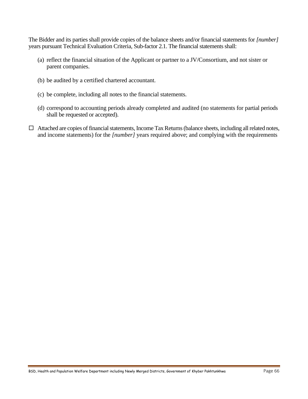The Bidder and its parties shall provide copies of the balance sheets and/or financial statements for *[number]*  years pursuant Technical Evaluation Criteria, Sub-factor 2.1. The financial statements shall:

- (a) reflect the financial situation of the Applicant or partner to a JV/Consortium, and not sister or parent companies.
- (b) be audited by a certified chartered accountant.
- (c) be complete, including all notes to the financial statements.
- (d) correspond to accounting periods already completed and audited (no statements for partial periods shall be requested or accepted).
- Attached are copies of financial statements, Income Tax Returns (balance sheets, including all related notes, and income statements) for the *[number]* years required above; and complying with the requirements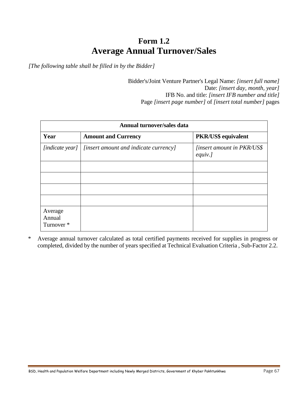# **Form 1.2 Average Annual Turnover/Sales**

*[The following table shall be filled in by the Bidder]*

Bidder's/Joint Venture Partner's Legal Name: *[insert full name]* Date: *[insert day, month, year]* IFB No. and title: *[insert IFB number and title]* Page *[insert page number]* of *[insert total number]* pages

| Annual turnover/sales data      |                                       |                                              |  |
|---------------------------------|---------------------------------------|----------------------------------------------|--|
| Year                            | <b>Amount and Currency</b>            | PKR/US\$ equivalent                          |  |
| [indicate year]                 | [insert amount and indicate currency] | <i>linsert amount in PKR/US\$</i><br>equiv.] |  |
|                                 |                                       |                                              |  |
|                                 |                                       |                                              |  |
|                                 |                                       |                                              |  |
|                                 |                                       |                                              |  |
| Average<br>Annual<br>Turnover * |                                       |                                              |  |

\* Average annual turnover calculated as total certified payments received for supplies in progress or completed, divided by the number of years specified at Technical Evaluation Criteria , Sub-Factor 2.2.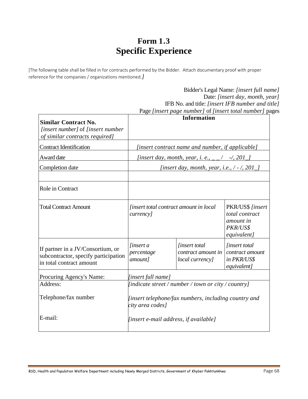# **Form 1.3 Specific Experience**

[The following table shall be filled in for contracts performed by the Bidder. Attach documentary proof with proper reference for the companies / organizations mentioned.*]*

|                                                                                                       |                                                                                                                              |                                                               | Bidder's Legal Name: [insert full name]<br>Date: [insert day, month, year]<br>IFB No. and title: [insert IFB number and title]<br>Page [insert page number] of [insert total number] pages |
|-------------------------------------------------------------------------------------------------------|------------------------------------------------------------------------------------------------------------------------------|---------------------------------------------------------------|--------------------------------------------------------------------------------------------------------------------------------------------------------------------------------------------|
| <b>Similar Contract No.</b><br>[insert number] of [insert number<br>of similar contracts required]    |                                                                                                                              | <b>Information</b>                                            |                                                                                                                                                                                            |
| <b>Contract Identification</b>                                                                        | [insert contract name and number, if applicable]                                                                             |                                                               |                                                                                                                                                                                            |
| Award date                                                                                            |                                                                                                                              | [insert day, month, year, i. e., $_{--}/$ -/, 201 $_{-}$ ]    |                                                                                                                                                                                            |
| Completion date                                                                                       | [insert day, month, year, i.e., $/ - /$ , 201_]                                                                              |                                                               |                                                                                                                                                                                            |
| Role in Contract                                                                                      |                                                                                                                              |                                                               |                                                                                                                                                                                            |
| <b>Total Contract Amount</b>                                                                          | <i>finsert total contract amount in local</i><br>total contract<br><i>currency</i> ]<br>amount in<br>PKR/US\$<br>equivalent] |                                                               | PKR/US\$ [insert                                                                                                                                                                           |
| If partner in a JV/Consortium, or<br>subcontractor, specify participation<br>in total contract amount | <i>linsert a</i><br>percentage<br>amount]                                                                                    | <i>linsert total</i><br>contract amount in<br>local currency] | <i>linsert total</i><br>contract amount<br>in PKR/US\$<br>equivalent]                                                                                                                      |
| Procuring Agency's Name:                                                                              | [insert full name]                                                                                                           |                                                               |                                                                                                                                                                                            |
| Address:                                                                                              |                                                                                                                              | [indicate street / number / town or city / country]           |                                                                                                                                                                                            |
| Telephone/fax number                                                                                  | [insert telephone/fax numbers, including country and<br>city area codes]                                                     |                                                               |                                                                                                                                                                                            |
| E-mail:                                                                                               |                                                                                                                              | [insert e-mail address, if available]                         |                                                                                                                                                                                            |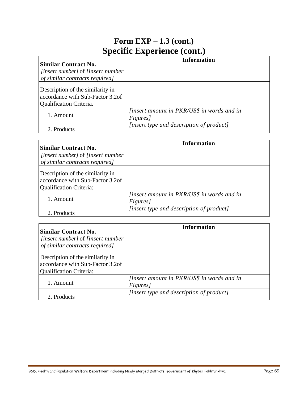# **Form EXP – 1.3 (cont.) Specific Experience (cont.)**

| Similar Contract No.                            | Information                                       |
|-------------------------------------------------|---------------------------------------------------|
| <i>linsert number]</i> of <i>linsert number</i> |                                                   |
| of similar contracts required]                  |                                                   |
| Description of the similarity in                |                                                   |
| accordance with Sub-Factor 3.2of                |                                                   |
| <b>Qualification Criteria.</b>                  |                                                   |
|                                                 | <i>linsert amount in PKR/US\$ in words and in</i> |
| 1. Amount                                       | Figures]                                          |
| 2. Products                                     | [insert type and description of product]          |
|                                                 |                                                   |

| <b>Similar Contract No.</b>                                                                            | <b>Information</b>                                            |
|--------------------------------------------------------------------------------------------------------|---------------------------------------------------------------|
| <i>[insert number]</i> of <i>[insert number</i> ]<br>of similar contracts required]                    |                                                               |
| Description of the similarity in<br>accordance with Sub-Factor 3.2of<br><b>Qualification Criteria:</b> |                                                               |
| 1. Amount                                                                                              | <i>linsert amount in PKR/US\$ in words and in</i><br>Figures] |
| 2. Products                                                                                            | [insert type and description of product]                      |

| <b>Similar Contract No.</b><br><i>finsert number]</i> of <i>finsert number</i><br>of similar contracts required] | Information                                                           |
|------------------------------------------------------------------------------------------------------------------|-----------------------------------------------------------------------|
| Description of the similarity in<br>accordance with Sub-Factor 3.2of<br><b>Qualification Criteria:</b>           |                                                                       |
| 1. Amount                                                                                                        | <i>finsert amount in PKR/US\$ in words and in</i><br><i>Figures</i> ] |
| 2. Products                                                                                                      | <i>linsert type and description of product]</i>                       |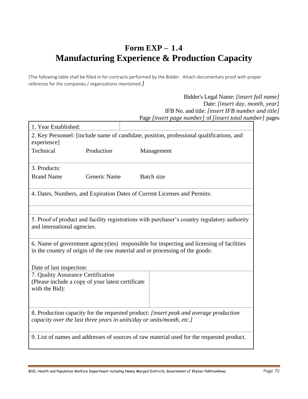# **Form EXP – 1.4 Manufacturing Experience & Production Capacity**

[The following table shall be filled in for contracts performed by the Bidder. Attach documentary proof with proper reference for the companies / organizations mentioned.*]*

> Bidder's Legal Name: *[insert full name]* Date: *[insert day, month, year]* IFB No. and title: *[insert IFB number and title]* Page *[insert page number]* of *[insert total number]* pages

|                                                                                                                                                                           |                                                   | C paser page namoer por paser romana                                                     |
|---------------------------------------------------------------------------------------------------------------------------------------------------------------------------|---------------------------------------------------|------------------------------------------------------------------------------------------|
| 1. Year Established:                                                                                                                                                      |                                                   |                                                                                          |
| experience]                                                                                                                                                               |                                                   | 2. Key Personnel: [include name of candidate, position, professional qualifications, and |
| Technical                                                                                                                                                                 | Production                                        | Management                                                                               |
| 3. Products:                                                                                                                                                              |                                                   |                                                                                          |
| <b>Brand Name</b>                                                                                                                                                         | Generic Name                                      | Batch size                                                                               |
| 4. Dates, Numbers, and Expiration Dates of Current Licenses and Permits:                                                                                                  |                                                   |                                                                                          |
|                                                                                                                                                                           |                                                   |                                                                                          |
| 5. Proof of product and facility registrations with purchaser's country regulatory authority<br>and international agencies.                                               |                                                   |                                                                                          |
| 6. Name of government agency (ies) responsible for inspecting and licensing of facilities<br>in the country of origin of the raw material and or processing of the goods: |                                                   |                                                                                          |
| Date of last inspection:                                                                                                                                                  |                                                   |                                                                                          |
| 7. Quality Assurance Certification                                                                                                                                        |                                                   |                                                                                          |
| with the Bid):                                                                                                                                                            | (Please include a copy of your latest certificate |                                                                                          |
| 8. Production capacity for the requested product: [insert peak and average production<br>capacity over the last three years in units/day or units/month, etc.]            |                                                   |                                                                                          |
| 9. List of names and addresses of sources of raw material used for the requested product.                                                                                 |                                                   |                                                                                          |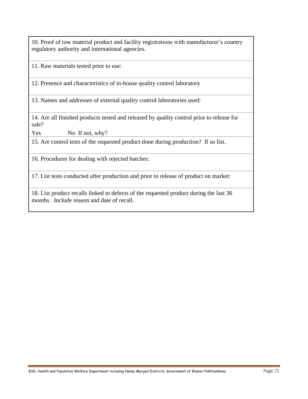10. Proof of raw material product and facility registrations with manufacturer's country regulatory authority and international agencies.

11. Raw materials tested prior to use:

12. Presence and characteristics of in-house quality control laboratory

13. Names and addresses of external quality control laboratories used:

14. Are all finished products tested and released by quality control prior to release for sale?

Yes No If not, why?

15. Are control tests of the requested product done during production? If so list.

16. Procedures for dealing with rejected batches:

17. List tests conducted after production and prior to release of product on market:

18. List product recalls linked to defects of the requested product during the last 36 months. Include reason and date of recall.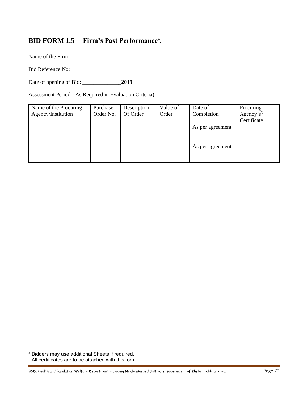# **BID FORM 1.5 Firm's Past Performance<sup>4</sup> .**

Name of the Firm:

Bid Reference No:

Date of opening of Bid: 2019

Assessment Period: (As Required in Evaluation Criteria)

| Name of the Procuring | Purchase  | Description | Value of | Date of          | Procuring             |
|-----------------------|-----------|-------------|----------|------------------|-----------------------|
| Agency/Institution    | Order No. | Of Order    | Order    | Completion       | Agency's <sup>5</sup> |
|                       |           |             |          |                  | Certificate           |
|                       |           |             |          | As per agreement |                       |
|                       |           |             |          |                  |                       |
|                       |           |             |          |                  |                       |
|                       |           |             |          | As per agreement |                       |
|                       |           |             |          |                  |                       |
|                       |           |             |          |                  |                       |

<sup>4</sup> Bidders may use additional Sheets if required.

<sup>5</sup> All certificates are to be attached with this form.

BSD, Health and Population Welfare Department including Newly Merged Districts, Government of Khyber Pakhtunkhwa Page 72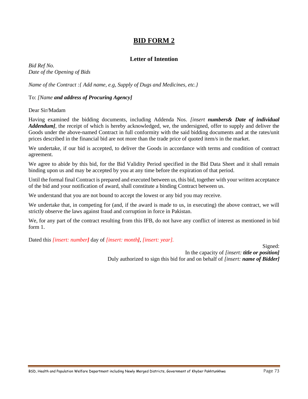# **BID FORM 2**

# **Letter of Intention**

*Bid Ref No. Date of the Opening of Bids*

*Name of the Contract :{ Add name, e.g, Supply of Dugs and Medicines, etc.}*

#### To: *[Name and address of Procuring Agency]*

Dear Sir/Madam

Having examined the bidding documents, including Addenda Nos. *[insert numbers& Date of individual Addendum]*, the receipt of which is hereby acknowledged, we, the undersigned, offer to supply and deliver the Goods under the above-named Contract in full conformity with the said bidding documents and at the rates/unit prices described in the financial bid are not more than the trade price of quoted item/s in the market.

We undertake, if our bid is accepted, to deliver the Goods in accordance with terms and condition of contract agreement.

We agree to abide by this bid, for the Bid Validity Period specified in the Bid Data Sheet and it shall remain binding upon us and may be accepted by you at any time before the expiration of that period.

Until the formal final Contract is prepared and executed between us, this bid, together with your written acceptance of the bid and your notification of award, shall constitute a binding Contract between us.

We understand that you are not bound to accept the lowest or any bid you may receive.

We undertake that, in competing for (and, if the award is made to us, in executing) the above contract, we will strictly observe the laws against fraud and corruption in force in Pakistan.

We, for any part of the contract resulting from this IFB, do not have any conflict of interest as mentioned in bid form 1.

Dated thi*s [insert: number]* day of *[insert: month]*, *[insert: year].*

Signed: In the capacity of *[insert: title or position]* Duly authorized to sign this bid for and on behalf of *[insert: name of Bidder]*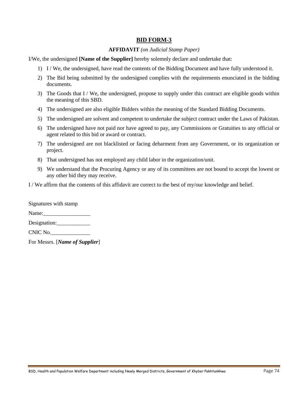# **BID FORM-3**

#### **AFFIDAVIT** *(on Judicial Stamp Paper)*

I/We, the undersigned **[Name of the Supplier]** hereby solemnly declare and undertake that:

- 1) I / We, the undersigned, have read the contents of the Bidding Document and have fully understood it.
- 2) The Bid being submitted by the undersigned complies with the requirements enunciated in the bidding documents.
- 3) The Goods that I / We, the undersigned, propose to supply under this contract are eligible goods within the meaning of this SBD.
- 4) The undersigned are also eligible Bidders within the meaning of the Standard Bidding Documents.
- 5) The undersigned are solvent and competent to undertake the subject contract under the Laws of Pakistan.
- 6) The undersigned have not paid nor have agreed to pay, any Commissions or Gratuities to any official or agent related to this bid or award or contract.
- 7) The undersigned are not blacklisted or facing debarment from any Government, or its organization or project.
- 8) That undersigned has not employed any child labor in the organization/unit.
- 9) We understand that the Procuring Agency or any of its committees are not bound to accept the lowest or any other bid they may receive.

I / We affirm that the contents of this affidavit are correct to the best of my/our knowledge and belief.

| Signatures with stamp |  |
|-----------------------|--|
| Name:                 |  |
| Designation:          |  |
| CNIC No.              |  |

For Messrs. [*Name of Supplier*]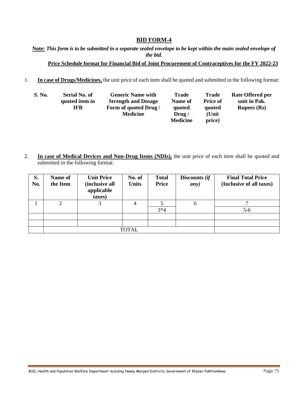# **BID FORM-4**

**Note:** *This form is to be submitted in a separate sealed envelope to be kept within the main sealed envelope of the bid.*

## **Price Schedule format for Financial Bid of Joint Procurement of Contraceptives for the FY 2022-23**

1. **In case of Drugs/Medicines,** the unit price of each item shall be quoted and submitted in the following format:

| <b>S. No.</b> | Serial No. of  | <b>Generic Name with</b>   | <b>Trade</b>    | Trade           | <b>Rate Offered per</b> |
|---------------|----------------|----------------------------|-----------------|-----------------|-------------------------|
|               | quoted item in | <b>Strength and Dosage</b> | Name of         | <b>Price of</b> | unit in Pak.            |
|               | IFB            | Form of quoted Drug /      | quoted          | quoted          | <b>Rupees</b> (Rs)      |
|               |                | <b>Medicine</b>            | Drug/           | (Unit           |                         |
|               |                |                            | <b>Medicine</b> | price)          |                         |

2. **In case of Medical Devices and Non-Drug Items (NDIs),** the unit price of each item shall be quoted and submitted in the following format:

| S.<br>No. | Name of<br>the Item | <b>Unit Price</b><br>(inclusive all<br>applicable<br>taxes) | No. of<br><b>Units</b> | <b>Total</b><br><b>Price</b> | Discounts (if<br>any) | <b>Final Total Price</b><br>(Inclusive of all taxes) |
|-----------|---------------------|-------------------------------------------------------------|------------------------|------------------------------|-----------------------|------------------------------------------------------|
|           | ◠                   | 3                                                           | 4                      |                              | 6                     |                                                      |
|           |                     |                                                             |                        | $3*4$                        |                       | $5-6$                                                |
|           |                     |                                                             |                        |                              |                       |                                                      |
|           |                     |                                                             |                        |                              |                       |                                                      |
|           |                     |                                                             | <b>TOTAL</b>           |                              |                       |                                                      |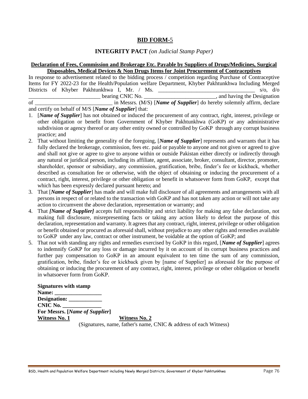# **BID FORM-**5

# **INTEGRITY PACT** *(on Judicial Stamp Paper)*

## **Declaration of Fees, Commission and Brokerage Etc. Payable by Suppliers of Drugs/Medicines, Surgical Disposables, Medical Devices & Non Drugs Items for Joint Procurement of Contraceptives**

In response to advertisement related to the bidding process / competition regarding Purchase of Contraceptive Items for FY 2022-23 for the Health/Population welfare Department, Khyber Pakhtunkhwa Including Merged Districts of Khyber Pakhtunkhwa I, Mr. / Ms. \_\_\_\_\_\_\_\_\_\_\_\_\_\_\_\_\_\_\_\_\_\_\_\_\_\_\_\_\_\_\_\_\_\_\_ s/o, d/o bearing CNIC No.  $\blacksquare$  and having the Designation of **and the all in Messis.** (M/S) [*Name of Supplier*] do hereby solemnly affirm, declare

and certify on behalf of M/S [*Name of Supplier*] that:

- 1. [*Name of Supplier*] has not obtained or induced the procurement of any contract, right, interest, privilege or other obligation or benefit from Government of Khyber Pakhtunkhwa (GoKP) or any administrative subdivision or agency thereof or any other entity owned or controlled by GoKP through any corrupt business practice; and
- 2. That without limiting the generality of the foregoing, [*Name of Supplier*] represents and warrants that it has fully declared the brokerage, commission, fees etc. paid or payable to anyone and not given or agreed to give and shall not give or agree to give to anyone within or outside Pakistan either directly or indirectly through any natural or juridical person, including its affiliate, agent, associate, broker, consultant, director, promoter, shareholder, sponsor or subsidiary, any commission, gratification, bribe, finder's fee or kickback, whether described as consultation fee or otherwise, with the object of obtaining or inducing the procurement of a contract, right, interest, privilege or other obligation or benefit in whatsoever form from GoKP, except that which has been expressly declared pursuant hereto; and
- 3. That [*Name of Supplier*] has made and will make full disclosure of all agreements and arrangements with all persons in respect of or related to the transaction with GoKP and has not taken any action or will not take any action to circumvent the above declaration, representation or warranty; and
- 4. That *[Name of Supplier]* accepts full responsibility and strict liability for making any false declaration, not making full disclosure, misrepresenting facts or taking any action likely to defeat the purpose of this declaration, representation and warranty. It agrees that any contract, right, interest, privilege or other obligation or benefit obtained or procured as aforesaid shall, without prejudice to any other rights and remedies available to GoKP under any law, contract or other instrument, be voidable at the option of GoKP; and
- 5. That not with standing any rights and remedies exercised by GoKP in this regard, [*Name of Supplier*] agrees to indemnify GoKP for any loss or damage incurred by it on account of its corrupt business practices and further pay compensation to GoKP in an amount equivalent to ten time the sum of any commission, gratification, bribe, finder's fee or kickback given by [name of Supplier] as aforesaid for the purpose of obtaining or inducing the procurement of any contract, right, interest, privilege or other obligation or benefit in whatsoever form from GoKP.

| <b>Signatures with stamp</b>                   |                                                                      |
|------------------------------------------------|----------------------------------------------------------------------|
|                                                |                                                                      |
|                                                |                                                                      |
| CNIC No.                                       |                                                                      |
| <b>For Messrs.</b> [ <i>Name of Supplier</i> ] |                                                                      |
| Witness No. 1                                  | Witness No. 2                                                        |
|                                                | (Signatures, name, father's name, CNIC $\&$ address of each Witness) |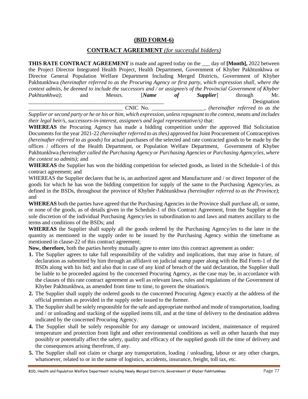# **(BID FORM-6)**

# **CONTRACT AGREEMENT** *(for successful bidders)*

**THIS RATE CONTRACT AGREEMENT** is made and agreed today on the \_\_\_ day of **[Month],** 2022 between the Project Director Integrated Health Project, Health Department, Government of Khyber Pakhtunkhwa or Director General Population Welfare Department Including Merged Districts, Government of Khyber Pakhtunkhwa *(hereinafter referred to as the Procuring Agency or first party, which expression shall, where the context admits, be deemed to include the successors and / or assignee/s of the Provincial Government of Khyber Pakhtunkhwa)*; and Messrs. [*Name of Supplier*] through Mr. \_\_\_\_\_\_\_\_\_\_\_\_\_\_\_\_\_\_\_\_\_\_\_\_\_\_\_\_\_\_\_\_\_\_\_\_\_\_\_\_\_\_\_\_\_\_\_\_\_ Designation \_\_\_\_\_\_\_\_\_\_\_\_\_\_\_\_\_\_\_\_\_\_\_\_\_\_\_\_\_\_\_\_\_\_ CNIC No. \_\_\_\_\_\_\_\_\_\_\_\_\_\_\_\_\_\_\_, *(hereinafter referred to as the* 

*Supplier or second party or he or his or him, which expression, unless repugnant to the context, means and includes their legal heir/s, successors-in-interest, assignee/s and legal representative/s)* that:

**WHEREAS** the Procuring Agency has made a bidding competition under the approved Bid Solicitation Documents for the year 2021-22 *(hereinafter referred to as thes)* approved for Joint Procurement of Contraceptives *(hereinafter referred to as goods)* for actual purchases of the selected and rate contracted goods to be made by the offices / officers of the Health Department, or Population Welfare Department, Government of Khyber Pakhtunkhwa *(hereinafter called the Purchasing Agency or Purchasing Agencies or Purchasing Agency/ies, where the context so admits);* and

**WHEREAS** the Supplier has won the bidding competition for selected goods, as listed in the Schedule-1 of this contract agreement; and

WHEREAS the Supplier declares that he is, an authorized agent and Manufacturer and / or direct Importer of the goods for which he has won the bidding competition for supply of the same to the Purchasing Agency/ies, as defined in the BSDs, throughout the province of Khyber Pakhtunkhwa *(hereinafter referred to as the Province)*; and

**WHEREAS** both the parties have agreed that the Purchasing Agencies in the Province shall purchase all, or some, or none of the goods, as of details given in the Schedule-1 of this Contract Agreement, from the Supplier at the sole discretion of the individual Purchasing Agency/ies in subordination to and laws and matters ancillary to the terms and conditions of the BSDs; and

**WHEREAS** the Supplier shall supply all the goods ordered by the Purchasing Agency/ies to the later in the quantity as mentioned in the supply order to be issued by the Purchasing Agency within the timeframe as mentioned in clause-22 of this contract agreement;

**Now, therefore,** both the parties hereby mutually agree to enter into this contract agreement as under:

- **1.** The Supplier agrees to take full responsibility of the validity and implications, that may arise in future, of declaration as submitted by him through an affidavit on judicial stamp paper along with the Bid Form-1 of the BSDs along with his bid; and also that in case of any kind of breach of the said declaration, the Supplier shall be liable to be proceeded against by the concerned Procuring Agency, as the case may be, in accordance with the clauses of this rate contract agreement as well as relevant laws, rules and regulations of the Government of Khyber Pakhtunkhwa, as amended from time to time, to govern the situation/s.
- **2.** The Supplier shall supply the ordered goods to the concerned Procuring Agency exactly at the address of the official premises as provided in the supply order issued to the former.
- **3.** The Supplier shall be solely responsible for the safe and appropriate method and mode of transportation, loading and / or unloading and stacking of the supplied items till, and at the time of delivery to the destination address indicated by the concerned Procuring Agency.
- **4.** The Supplier shall be solely responsible for any damage or untoward incident, maintenance of required temperature and protection from light and other environmental conditions as well as other hazards that may possibly or potentially affect the safety, quality and efficacy of the supplied goods till the time of delivery and the consequences arising therefrom, if any.
- **5.** The Supplier shall not claim or charge any transportation, loading / unloading, labour or any other charges, whatsoever, related to or in the name of logistics, accidents, insurance, freight, toll tax, etc.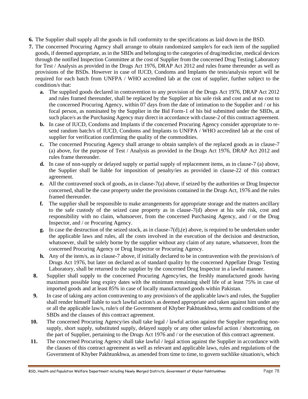- **6.** The Supplier shall supply all the goods in full conformity to the specifications as laid down in the BSD.
- **7.** The concerned Procuring Agency shall arrange to obtain randomized sample/s for each item of the supplied goods, if deemed appropriate, as in the SBDs and belonging to the categories of drug/medicine, medical devices through the notified Inspection Committee at the cost of Supplier from the concerned Drug Testing Laboratory for Test / Analysis as provided in the Drugs Act 1976, DRAP Act 2012 and rules frame thereunder as well as provisions of the BSDs. However in case of IUCD, Condoms and Implants the tests/analysis report will be required for each batch from UNFPA / WHO accredited lab at the cost of supplier, further subject to the condition/s that:
	- **a.** The supplied goods declared in contravention to any provision of the Drugs Act 1976, DRAP Act 2012 and rules framed thereunder, shall be replaced by the Supplier at his sole risk and cost and at no cost to the concerned Procuring Agency, within 07 days from the date of intimation to the Supplier and / or his focal person, as nominated by the Supplier in the Bid Form-1 of his bid submitted under the SBDs, at such place/s as the Purchasing Agency may direct in accordance with clause-2 of this contract agreement.
	- **b.** In case of IUCD, Condoms and Implants if the concerned Procuring Agency consider appropriate to resend random batch/s of IUCD, Condoms and Implants to UNFPA / WHO accredited lab at the cost of supplier for verification confirming the quality of the commodities.
	- **c.** The concerned Procuring Agency shall arrange to obtain sample/s of the replaced goods as in clause-7 (a) above, for the purpose of Test / Analysis as provided in the Drugs Act 1976, DRAP Act 2012 and rules frame thereunder.
	- **d.** In case of non-supply or delayed supply or partial supply of replacement items, as in clause-7 (a) above, the Supplier shall be liable for imposition of penalty/ies as provided in clause-22 of this contract agreement.
	- **e.** All the contravened stock of goods, as in clause-7(a) above, if seized by the authorities or Drug Inspector concerned, shall be the case property under the provisions contained in the Drugs Act, 1976 and the rules framed thereunder.
	- **f.** The supplier shall be responsible to make arrangements for appropriate storage and the matters ancillary to the safe custody of the seized case property as in clause-7(d) above at his sole risk, cost and responsibility with no claim, whatsoever, from the concerned Purchasing Agency, and / or the Drug Inspector, and / or Procuring Agency.
	- **g.** In case the destruction of the seized stock, as in clause-7(d),(e) above, is required to be undertaken under the applicable laws and rules, all the costs involved in the execution of the decision and destruction, whatsoever, shall be solely borne by the supplier without any claim of any nature, whatsoever, from the concerned Procuring Agency or Drug Inspector or Procuring Agency.
	- **h.** Any of the item/s, as in clause-7 above, if initially declared to be in contravention with the provision/s of Drugs Act 1976, but later on declared as of standard quality by the concerned Appellate Drugs Testing Laboratory, shall be returned to the supplier by the concerned Drug Inspector in a lawful manner.
	- **8.** Supplier shall supply to the concerned Procuring Agency/ies, the freshly manufactured goods having maximum possible long expiry dates with the minimum remaining shelf life of at least 75% in case of imported goods and at least 85% in case of locally manufactured goods within Pakistan.
	- **9.** In case of taking any action contravening to any provision/s of the applicable law/s and rules, the Supplier shall render himself liable to such lawful action/s as deemed appropriate and taken against him under any or all the applicable law/s, rule/s of the Government of Khyber Pakhtunkhwa, terms and conditions of the SBDs and the clauses of this contract agreement.
- **10.** The concerned Procuring Agency/ies shall take legal / lawful action against the Supplier regarding nonsupply, short supply, substituted supply, delayed supply or any other unlawful action / shortcoming, on the part of Supplier, pertaining to the Drugs Act 1976 and / or the execution of this contract agreement.
- **11.** The concerned Procuring Agency shall take lawful / legal action against the Supplier in accordance with the clauses of this contract agreement as well as relevant and applicable laws, rules and regulations of the Government of Khyber Pakhtunkhwa, as amended from time to time, to govern suchlike situation/s, which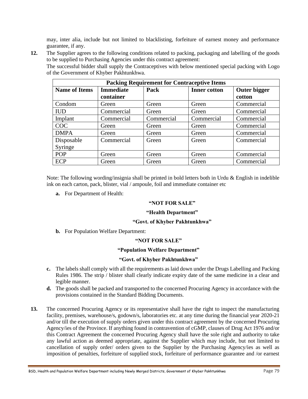may, inter alia, include but not limited to blacklisting, forfeiture of earnest money and performance guarantee, if any.

**12.** The Supplier agrees to the following conditions related to packing, packaging and labelling of the goods to be supplied to Purchasing Agencies under this contract agreement:

The successful bidder shall supply the Contraceptives with below mentioned special packing with Logo of the Government of Khyber Pakhtunkhwa.

| <b>Packing Requirement for Contraceptive Items</b>                                      |            |            |            |            |  |
|-----------------------------------------------------------------------------------------|------------|------------|------------|------------|--|
| <b>Immediate</b><br>Outer bigger<br>Pack<br><b>Name of Items</b><br><b>Inner cotton</b> |            |            |            |            |  |
|                                                                                         | container  |            |            | cotton     |  |
| Condom                                                                                  | Green      | Green      | Green      | Commercial |  |
| <b>IUD</b>                                                                              | Commercial | Green      | Green      | Commercial |  |
| Implant                                                                                 | Commercial | Commercial | Commercial | Commercial |  |
| <b>COC</b>                                                                              | Green      | Green      | Green      | Commercial |  |
| <b>DMPA</b>                                                                             | Green      | Green      | Green      | Commercial |  |
| Disposable                                                                              | Commercial | Green      | Green      | Commercial |  |
| Syringe                                                                                 |            |            |            |            |  |
| <b>POP</b>                                                                              | Green      | Green      | Green      | Commercial |  |
| <b>ECP</b>                                                                              | Green      | Green      | Green      | Commercial |  |

Note: The following wording/insignia shall be printed in bold letters both in Urdu & English in indelible ink on each carton, pack, blister, vial / ampoule, foil and immediate container etc

**a.** For Department of Health:

## **"NOT FOR SALE"**

#### **"Health Department"**

#### **"Govt. of Khyber Pakhtunkhwa"**

**b.** For Population Welfare Department:

## **"NOT FOR SALE"**

## **"Population Welfare Department"**

# **"Govt. of Khyber Pakhtunkhwa"**

- **c.** The labels shall comply with all the requirements as laid down under the Drugs Labelling and Packing Rules 1986. The strip / blister shall clearly indicate expiry date of the same medicine in a clear and legible manner.
- **d.** The goods shall be packed and transported to the concerned Procuring Agency in accordance with the provisions contained in the Standard Bidding Documents.
- **13.** The concerned Procuring Agency or its representative shall have the right to inspect the manufacturing facility, premises, warehouse/s, godown/s, laboratories etc. at any time during the financial year 2020-21 and/or till the execution of supply orders given under this contract agreement by the concerned Procuring Agency/ies of the Province. If anything found in contravention of cGMP, clauses of Drug Act 1976 and/or this Contract Agreement the concerned Procuring Agency shall have the sole right and authority to take any lawful action as deemed appropriate, against the Supplier which may include, but not limited to cancellation of supply order/ orders given to the Supplier by the Purchasing Agency/ies as well as imposition of penalties, forfeiture of supplied stock, forfeiture of performance guarantee and /or earnest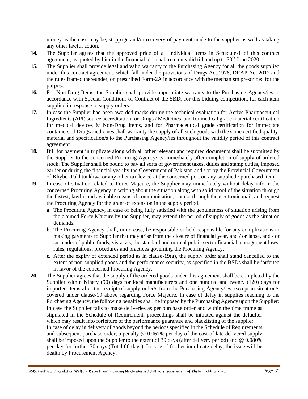money as the case may be, stoppage and/or recovery of payment made to the supplier as well as taking any other lawful action.

- **14.** The Supplier agrees that the approved price of all individual items in Schedule-1 of this contract agreement, as quoted by him in the financial bid, shall remain valid till and up to 30<sup>th</sup> June 2020.
- **15.** The Supplier shall provide legal and valid warranty to the Purchasing Agency for all the goods supplied under this contract agreement, which fall under the provisions of Drugs Act 1976, DRAP Act 2012 and the rules framed thereunder, on prescribed Form-2A in accordance with the mechanism prescribed for the purpose.
- 16. For Non-Drug Items, the Supplier shall provide appropriate warranty to the Purchasing Agency/ies in accordance with Special Conditions of Contract of the SBDs for this bidding competition, for each item supplied in response to supply orders.
- **17.** In case the Supplier had been awarded marks during the technical evaluation for Active Pharmaceutical Ingredients (API) source accreditation for Drugs / Medicines, and for medical grade material certification for medical devices & Non-Drug Items, and for Pharmaceutical grade certification for immediate containers of Drugs/medicines shall warranty the supply of all such goods with the same certified quality, material and specification/s to the Purchasing Agency/ies throughout the validity period of this contract agreement.
- **18.** Bill for payment in triplicate along with all other relevant and required documents shall be submitted by the Supplier to the concerned Procuring Agency/ies immediately after completion of supply of ordered stock. The Supplier shall be bound to pay all sorts of government taxes, duties and stamp duties, imposed earlier or during the financial year by the Government of Pakistan and / or by the Provincial Government of Khyber Pakhtunkhwa or any other tax levied at the concerned port on any supplied / purchased item.
- **19.** In case of situation related to Force Majeure, the Supplier may immediately without delay inform the concerned Procuring Agency in writing about the situation along with solid proof of the situation through the fastest, lawful and available means of communication, but not through the electronic mail, and request the Procuring Agency for the grant of extension in the supply period.
	- **a.** The Procuring Agency, in case of being fully satisfied with the genuineness of situation arising from the claimed Force Majeure by the Supplier, may extend the period of supply of goods as the situation demands.
	- **b.** The Procuring Agency shall, in no case, be responsible or held responsible for any complications in making payments to Supplier that may arise from the closure of financial year, and / or lapse, and / or surrender of public funds, vis-à-vis, the standard and normal public sector financial management laws, rules, regulations, procedures and practices governing the Procuring Agency.
	- **c.** After the expiry of extended period as in clause-19(a), the supply order shall stand cancelled to the extent of non-supplied goods and the performance security, as specified in the BSDs shall be forfeited in favor of the concerned Procuring Agency.
- **20.** The Supplier agrees that the supply of the ordered goods under this agreement shall be completed by the Supplier within Ninety (90) days for local manufacturers and one hundred and twenty (120) days for imported items after the receipt of supply order/s from the Purchasing Agency/ies, except in situation/s covered under clause-19 above regarding Force Majeure. In case of delay in supplies reaching to the Purchasing Agency, the following penalties shall be imposed by the Purchasing Agency upon the Supplier: In case the Supplier fails to make deliveries as per purchase order and within the time frame as stipulated in the Schedule of Requirement, proceedings shall be initiated against the defaulter which may result into forfeiture of the performance guarantee and blacklisting of the supplier. In case of delay in delivery of goods beyond the periods specified in the Schedule of Requirements and subsequent purchase order, a penalty  $@$  0.067% per day of the cost of late delivered supply shall be imposed upon the Supplier to the extent of 30 days (after delivery period) and @ 0.080% per day for further 30 days (Total 60 days). In case of further inordinate delay, the issue will be dealth by Procurement Agency.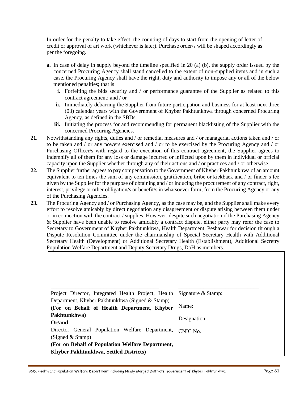In order for the penalty to take effect, the counting of days to start from the opening of letter of credit or approval of art work (whichever is later). Purchase order/s will be shaped accordingly as per the foregoing.

- **a.** In case of delay in supply beyond the timeline specified in 20 (a) (b), the supply order issued by the concerned Procuring Agency shall stand cancelled to the extent of non-supplied items and in such a case, the Procuring Agency shall have the right, duty and authority to impose any or all of the below mentioned penalties; that is
	- **i.** Forfeiting the bids security and / or performance guarantee of the Supplier as related to this contract agreement; and / or
	- **ii.** Immediately debarring the Supplier from future participation and business for at least next three (03) calendar years with the Government of Khyber Pakhtunkhwa through concerned Procuring Agency, as defined in the SBDs.
	- **iii.** Initiating the process for and recommending for permanent blacklisting of the Supplier with the concerned Procuring Agencies.
- **21.** Notwithstanding any rights, duties and / or remedial measures and / or managerial actions taken and / or to be taken and / or any powers exercised and / or to be exercised by the Procuring Agency and / or Purchasing Officer/s with regard to the execution of this contract agreement, the Supplier agrees to indemnify all of them for any loss or damage incurred or inflicted upon by them in individual or official capacity upon the Supplier whether through any of their actions and / or practices and / or otherwise.
- **22.** The Supplier further agrees to pay compensation to the Government of Khyber Pakhtunkhwa of an amount equivalent to ten times the sum of any commission, gratification, bribe or kickback and / or finder's fee given by the Supplier for the purpose of obtaining and / or inducing the procurement of any contract, right, interest, privilege or other obligation/s or benefit/s in whatsoever form, from the Procuring Agency or any of the Purchasing Agencies.
- **23.** The Procuring Agency and / or Purchasing Agency, as the case may be, and the Supplier shall make every effort to resolve amicably by direct negotiation any disagreement or dispute arising between them under or in connection with the contract / supplies. However, despite such negotiation if the Purchasing Agency & Supplier have been unable to resolve amicably a contract dispute, either party may refer the case to Secretary to Government of Khyber Pakhtunkhwa, Health Department, Peshawar for decision through a Dispute Resolution Committee under the chairmanship of Special Secretary Health with Additional Secretary Health (Development) or Additional Secretary Health (Establishment), Additional Secretry Population Welfare Department and Deputy Secretary Drugs, DoH as members.

| Project Director, Integrated Health Project, Health                                            | Signature & Stamp: |
|------------------------------------------------------------------------------------------------|--------------------|
| Department, Khyber Pakhtunkhwa (Signed & Stamp)<br>(For on Behalf of Health Department, Khyber | Name:              |
| Pakhtunkhwa)<br>Or/and                                                                         | Designation        |
| Director General Population Welfare Department,<br>(Signed $&$ Stamp)                          | CNIC No.           |
| (For on Behalf of Population Welfare Department,                                               |                    |
| Khyber Pakhtunkhwa, Settled Districts)                                                         |                    |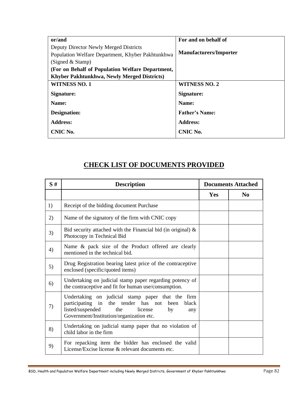| or/and                                            | For and on behalf of          |
|---------------------------------------------------|-------------------------------|
| Deputy Director Newly Merged Districts            |                               |
| Population Welfare Department, Khyber Pakhtunkhwa | <b>Manufacturers/Importer</b> |
| (Signed & Stamp)                                  |                               |
| (For on Behalf of Population Welfare Department,  |                               |
| Khyber Pakhtunkhwa, Newly Merged Districts)       |                               |
| <b>WITNESS NO. 1</b>                              | <b>WITNESS NO. 2</b>          |
| Signature:                                        | Signature:                    |
| Name:                                             | Name:                         |
| Designation:                                      | <b>Father's Name:</b>         |
| <b>Address:</b>                                   | <b>Address:</b>               |
| CNIC No.                                          | CNIC No.                      |

# **CHECK LIST OF DOCUMENTS PROVIDED**

| S# | <b>Description</b>                                                                                                                                                                                          |     | <b>Documents Attached</b> |
|----|-------------------------------------------------------------------------------------------------------------------------------------------------------------------------------------------------------------|-----|---------------------------|
|    |                                                                                                                                                                                                             | Yes | $\bf No$                  |
| 1) | Receipt of the bidding document Purchase                                                                                                                                                                    |     |                           |
| 2) | Name of the signatory of the firm with CNIC copy                                                                                                                                                            |     |                           |
| 3) | Bid security attached with the Financial bid (in original) $\&$<br>Photocopy in Technical Bid                                                                                                               |     |                           |
| 4) | Name & pack size of the Product offered are clearly<br>mentioned in the technical bid.                                                                                                                      |     |                           |
| 5) | Drug Registration bearing latest price of the contraceptive<br>enclosed (specific/quoted items)                                                                                                             |     |                           |
| 6) | Undertaking on judicial stamp paper regarding potency of<br>the contraceptive and fit for human use/consumption.                                                                                            |     |                           |
| 7) | Undertaking on judicial stamp paper that the<br>firm<br>participating in the tender has not<br>black<br>been<br>listed/suspended<br>the<br>license<br>by<br>any<br>Government/Institution/organization etc. |     |                           |
| 8) | Undertaking on judicial stamp paper that no violation of<br>child labor in the firm                                                                                                                         |     |                           |
| 9) | For repacking item the bidder has enclosed the valid<br>License/Excise license & relevant documents etc.                                                                                                    |     |                           |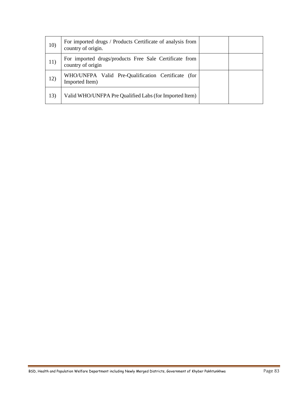| 10) | For imported drugs / Products Certificate of analysis from<br>country of origin. |  |
|-----|----------------------------------------------------------------------------------|--|
| 11) | For imported drugs/products Free Sale Certificate from<br>country of origin      |  |
| 12) | WHO/UNFPA Valid Pre-Qualification Certificate (for<br>Imported Item)             |  |
| 13) | Valid WHO/UNFPA Pre Qualified Labs (for Imported Item)                           |  |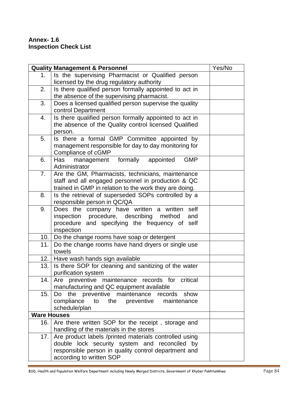# **Annex- 1.6 Inspection Check List**

|                    | <b>Quality Management &amp; Personnel</b>                                      | Yes/No |
|--------------------|--------------------------------------------------------------------------------|--------|
| 1.                 | Is the supervising Pharmacist or Qualified person                              |        |
|                    | licensed by the drug regulatory authority                                      |        |
| 2.                 | Is there qualified person formally appointed to act in                         |        |
|                    | the absence of the supervising pharmacist.                                     |        |
| 3.                 | Does a licensed qualified person supervise the quality                         |        |
|                    | control Department                                                             |        |
| 4.                 | Is there qualified person formally appointed to act in                         |        |
|                    | the absence of the Quality control licensed Qualified                          |        |
|                    | person.                                                                        |        |
| 5.                 | Is there a formal GMP Committee appointed by                                   |        |
|                    | management responsible for day to day monitoring for                           |        |
|                    | Compliance of cGMP                                                             |        |
| 6.                 | formally appointed<br><b>GMP</b><br>management<br>Has                          |        |
|                    | Administrator                                                                  |        |
| 7.                 | Are the GM, Pharmacists, technicians, maintenance                              |        |
|                    | staff and all engaged personnel in production & QC                             |        |
|                    | trained in GMP in relation to the work they are doing.                         |        |
| 8.                 | Is the retrieval of superseded SOPs controlled by a                            |        |
| 9.                 | responsible person in QC/QA<br>Does the company have written a written<br>self |        |
|                    | inspection procedure, describing method<br>and                                 |        |
|                    | procedure and specifying the frequency of self                                 |        |
|                    | inspection                                                                     |        |
| 10.                | Do the change rooms have soap or detergent                                     |        |
| 11.                | Do the change rooms have hand dryers or single use                             |        |
|                    | towels                                                                         |        |
| 12.                | Have wash hands sign available                                                 |        |
| 13.                | Is there SOP for cleaning and sanitizing of the water                          |        |
|                    | purification system                                                            |        |
| 14.                | Are preventive maintenance records for<br>critical                             |        |
|                    | manufacturing and QC equipment available                                       |        |
| 15.                | Do the preventive maintenance records show                                     |        |
|                    | compliance to the preventive<br>maintenance                                    |        |
|                    | schedule/plan                                                                  |        |
| <b>Ware Houses</b> |                                                                                |        |
| 16.                | Are there written SOP for the receipt, storage and                             |        |
|                    | handling of the materials in the stores                                        |        |
| 17.                | Are product labels /printed materials controlled using                         |        |
|                    | double lock security system and reconciled by                                  |        |
|                    | responsible person in quality control department and                           |        |
|                    | according to written SOP                                                       |        |

BSD, Health and Population Welfare Department including Newly Merged Districts, Government of Khyber Pakhtunkhwa Page 84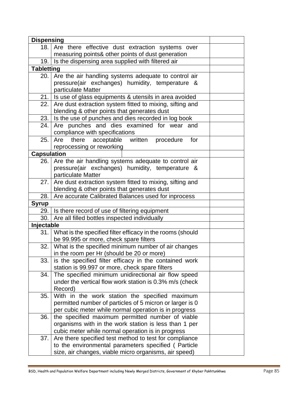| <b>Dispensing</b>  |                                                            |  |
|--------------------|------------------------------------------------------------|--|
| 18.                | Are there effective dust extraction systems over           |  |
|                    | measuring points& other points of dust generation          |  |
| 19.                | Is the dispensing area supplied with filtered air          |  |
| <b>Tabletting</b>  |                                                            |  |
| 20.                | Are the air handling systems adequate to control air       |  |
|                    | pressure(air exchanges) humidity, temperature &            |  |
|                    | particulate Matter                                         |  |
| 21.                | Is use of glass equipments & utensils in area avoided      |  |
| 22.                | Are dust extraction system fitted to mixing, sifting and   |  |
|                    | blending & other points that generates dust                |  |
| 23.                | Is the use of punches and dies recorded in log book        |  |
| 24.                | Are punches and dies examined for wear and                 |  |
|                    | compliance with specifications                             |  |
| 25.                | Are there acceptable written procedure<br>for              |  |
|                    | reprocessing or reworking                                  |  |
| <b>Capsulation</b> |                                                            |  |
| 26.                | Are the air handling systems adequate to control air       |  |
|                    | pressure(air exchanges) humidity, temperature &            |  |
|                    | particulate Matter                                         |  |
| 27.                | Are dust extraction system fitted to mixing, sifting and   |  |
|                    | blending & other points that generates dust                |  |
| 28.                | Are accurate Calibrated Balances used for inprocess        |  |
| <b>Syrup</b>       |                                                            |  |
|                    | 29. Is there record of use of filtering equipment          |  |
| 30.                | Are all filled bottles inspected individually              |  |
| Injectable         |                                                            |  |
| 31.                | What is the specified filter efficacy in the rooms (should |  |
|                    | be 99.995 or more, check spare filters                     |  |
| 32.                | What is the specified minimum number of air changes        |  |
|                    | in the room per Hr (should be 20 or more)                  |  |
| 33.                | is the specified filter efficacy in the contained work     |  |
|                    | station is 99.997 or more, check spare filters             |  |
| 34.                | The specified minimum unidirectional air flow speed        |  |
|                    | under the vertical flow work station is 0.3% m/s (check    |  |
|                    | Record)                                                    |  |
| 35.                | With in the work station the specified maximum             |  |
|                    | permitted number of particles of 5 micron or larger is 0   |  |
|                    | per cubic meter while normal operation is in progress      |  |
| 36.                | the specified maximum permitted number of viable           |  |
|                    | organisms with in the work station is less than 1 per      |  |
|                    | cubic meter while normal operation is in progress          |  |
| 37.                | Are there specified test method to test for compliance     |  |
|                    | to the environmental parameters specified (Particle        |  |
|                    | size, air changes, viable micro organisms, air speed)      |  |
|                    |                                                            |  |